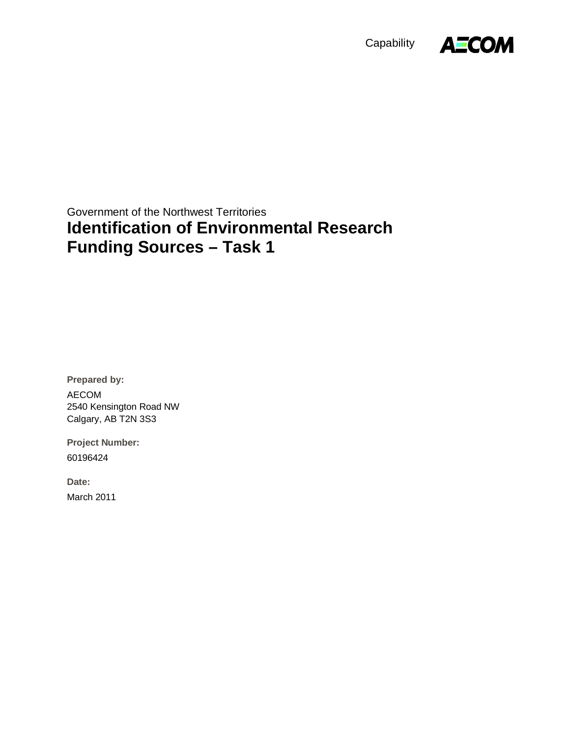



Government of the Northwest Territories **Identification of Environmental Research Funding Sources – Task 1** 

**Prepared by:**  AECOM 2540 Kensington Road NW Calgary, AB T2N 3S3

**Project Number:**  60196424

**Date:**  March 2011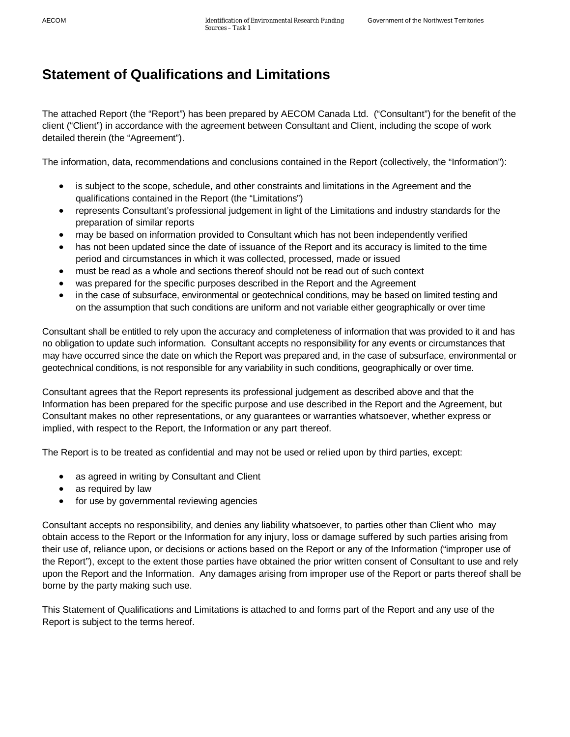# **Statement of Qualifications and Limitations**

The attached Report (the "Report") has been prepared by AECOM Canada Ltd. ("Consultant") for the benefit of the client ("Client") in accordance with the agreement between Consultant and Client, including the scope of work detailed therein (the "Agreement").

The information, data, recommendations and conclusions contained in the Report (collectively, the "Information"):

- is subject to the scope, schedule, and other constraints and limitations in the Agreement and the qualifications contained in the Report (the "Limitations")
- represents Consultant's professional judgement in light of the Limitations and industry standards for the preparation of similar reports
- may be based on information provided to Consultant which has not been independently verified
- has not been updated since the date of issuance of the Report and its accuracy is limited to the time period and circumstances in which it was collected, processed, made or issued
- must be read as a whole and sections thereof should not be read out of such context
- x was prepared for the specific purposes described in the Report and the Agreement
- in the case of subsurface, environmental or geotechnical conditions, may be based on limited testing and on the assumption that such conditions are uniform and not variable either geographically or over time

Consultant shall be entitled to rely upon the accuracy and completeness of information that was provided to it and has no obligation to update such information. Consultant accepts no responsibility for any events or circumstances that may have occurred since the date on which the Report was prepared and, in the case of subsurface, environmental or geotechnical conditions, is not responsible for any variability in such conditions, geographically or over time.

Consultant agrees that the Report represents its professional judgement as described above and that the Information has been prepared for the specific purpose and use described in the Report and the Agreement, but Consultant makes no other representations, or any guarantees or warranties whatsoever, whether express or implied, with respect to the Report, the Information or any part thereof.

The Report is to be treated as confidential and may not be used or relied upon by third parties, except:

- as agreed in writing by Consultant and Client
- $\bullet$  as required by law
- for use by governmental reviewing agencies

Consultant accepts no responsibility, and denies any liability whatsoever, to parties other than Client who may obtain access to the Report or the Information for any injury, loss or damage suffered by such parties arising from their use of, reliance upon, or decisions or actions based on the Report or any of the Information ("improper use of the Report"), except to the extent those parties have obtained the prior written consent of Consultant to use and rely upon the Report and the Information. Any damages arising from improper use of the Report or parts thereof shall be borne by the party making such use.

This Statement of Qualifications and Limitations is attached to and forms part of the Report and any use of the Report is subject to the terms hereof.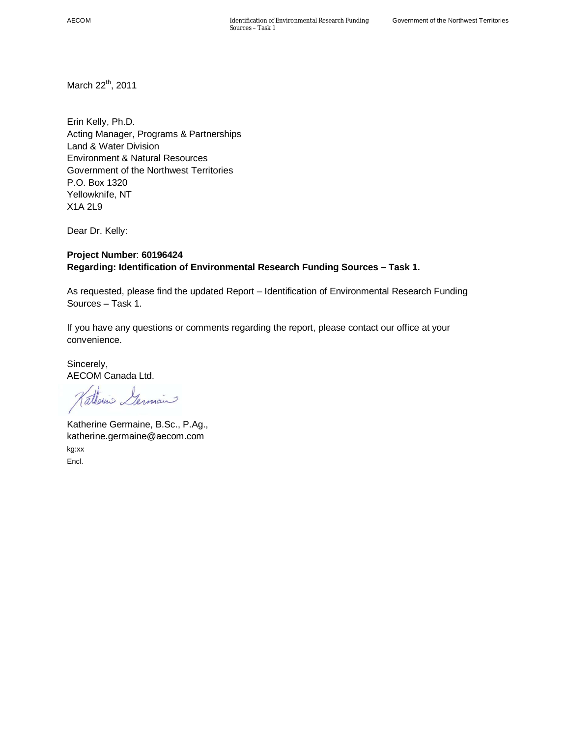March 22<sup>th</sup>, 2011

Erin Kelly, Ph.D. Acting Manager, Programs & Partnerships Land & Water Division Environment & Natural Resources Government of the Northwest Territories P.O. Box 1320 Yellowknife, NT X1A 2L9

Dear Dr. Kelly:

### **Project Number**: **60196424 Regarding: Identification of Environmental Research Funding Sources – Task 1.**

As requested, please find the updated Report – Identification of Environmental Research Funding Sources – Task 1.

If you have any questions or comments regarding the report, please contact our office at your convenience.

Sincerely, AECOM Canada Ltd.

atterns Germain

Katherine Germaine, B.Sc., P.Ag., katherine.germaine@aecom.com kg:xx Encl.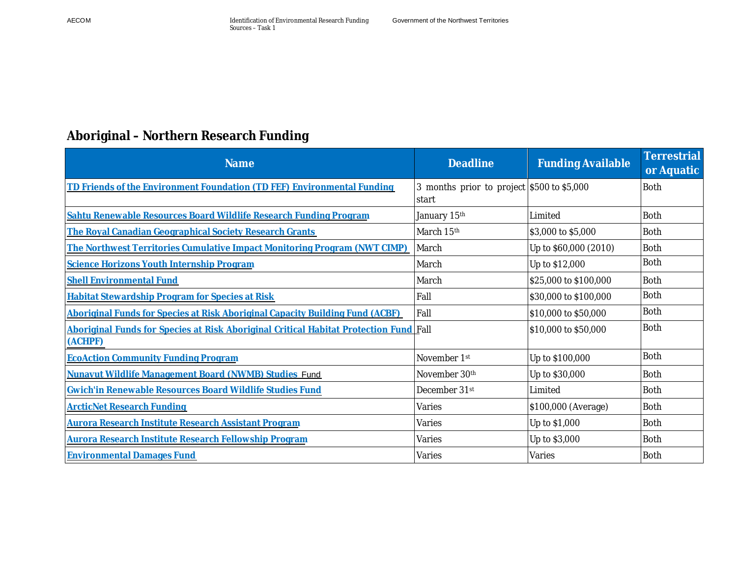# **Aboriginal – Northern Research Funding**

| <b>Name</b>                                                                                      | <b>Deadline</b>                                     | <b>Funding Available</b> | <b>Terrestrial</b><br>or Aquatic |
|--------------------------------------------------------------------------------------------------|-----------------------------------------------------|--------------------------|----------------------------------|
| TD Friends of the Environment Foundation (TD FEF) Environmental Funding                          | 3 months prior to project \$500 to \$5,000<br>start |                          | <b>Both</b>                      |
| Sahtu Renewable Resources Board Wildlife Research Funding Program                                | January 15th                                        | Limited                  | <b>Both</b>                      |
| The Royal Canadian Geographical Society Research Grants                                          | March 15th                                          | \$3,000 to \$5,000       | Both                             |
| The Northwest Territories Cumulative Impact Monitoring Program (NWT CIMP)                        | March                                               | Up to \$60,000 (2010)    | <b>Both</b>                      |
| Science Horizons Youth Internship Program                                                        | March                                               | Up to \$12,000           | <b>Both</b>                      |
| <b>Shell Environmental Fund</b>                                                                  | March                                               | \$25,000 to \$100,000    | <b>Both</b>                      |
| <b>Habitat Stewardship Program for Species at Risk</b>                                           | Fall                                                | \$30,000 to \$100,000    | <b>Both</b>                      |
| Aboriginal Funds for Species at Risk Aboriginal Capacity Building Fund (ACBF)                    | Fall                                                | \$10,000 to \$50,000     | <b>Both</b>                      |
| Aboriginal Funds for Species at Risk Aboriginal Critical Habitat Protection Fund Fall<br>(ACHPF) |                                                     | \$10,000 to \$50,000     | <b>Both</b>                      |
| <b>EcoAction Community Funding Program</b>                                                       | November 1st                                        | Up to \$100,000          | <b>Both</b>                      |
| Nunavut Wildlife Management Board (NWMB) Studies Fund                                            | November 30th                                       | Up to \$30,000           | <b>Both</b>                      |
| Gwich'in Renewable Resources Board Wildlife Studies Fund                                         | December 31st                                       | Limited                  | <b>Both</b>                      |
| <b>ArcticNet Research Funding</b>                                                                | Varies                                              | \$100,000 (Average)      | <b>Both</b>                      |
| <b>Aurora Research Institute Research Assistant Program</b>                                      | Varies                                              | Up to \$1,000            | <b>Both</b>                      |
| Aurora Research Institute Research Fellowship Program                                            | Varies                                              | Up to \$3,000            | <b>Both</b>                      |
| <b>Environmental Damages Fund</b>                                                                | Varies                                              | Varies                   | <b>Both</b>                      |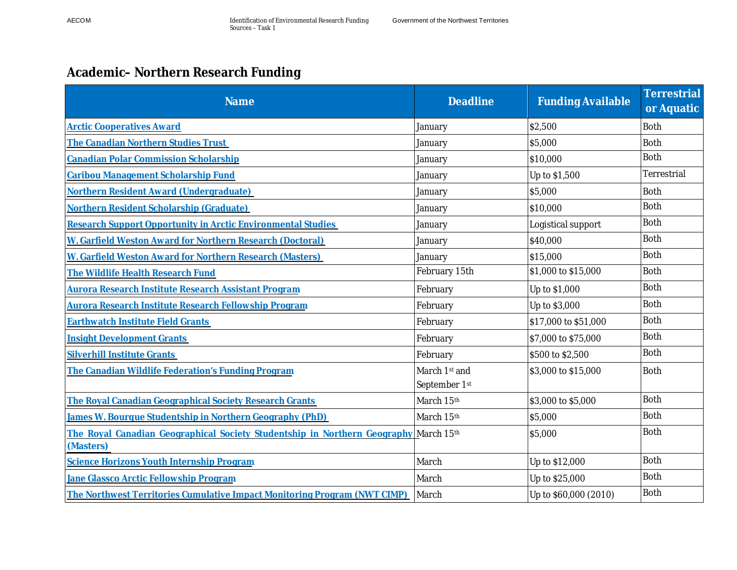# **Academic– Northern Research Funding**

| <b>Name</b>                                                                                       | <b>Deadline</b>                | <b>Funding Available</b> | Terrestrial<br>or Aquatic |
|---------------------------------------------------------------------------------------------------|--------------------------------|--------------------------|---------------------------|
| <b>Arctic Cooperatives Award</b>                                                                  | January                        | \$2,500                  | <b>Both</b>               |
| The Canadian Northern Studies Trust                                                               | January                        | \$5,000                  | <b>Both</b>               |
| <b>Canadian Polar Commission Scholarship</b>                                                      | January                        | \$10,000                 | <b>Both</b>               |
| Caribou Management Scholarship Fund                                                               | January                        | Up to \$1,500            | Terrestrial               |
| Northern Resident Award (Undergraduate)                                                           | January                        | \$5,000                  | <b>Both</b>               |
| Northern Resident Scholarship (Graduate)                                                          | January                        | \$10,000                 | <b>Both</b>               |
| Research Support Opportunity in Arctic Environmental Studies                                      | January                        | Logistical support       | <b>Both</b>               |
| W. Garfield Weston Award for Northern Research (Doctoral)                                         | January                        | \$40,000                 | <b>Both</b>               |
| W. Garfield Weston Award for Northern Research (Masters)                                          | January                        | \$15,000                 | <b>Both</b>               |
| The Wildlife Health Research Fund                                                                 | February 15th                  | \$1,000 to \$15,000      | <b>Both</b>               |
| Aurora Research Institute Research Assistant Program                                              | February                       | Up to \$1,000            | <b>Both</b>               |
| <b>Aurora Research Institute Research Fellowship Program</b>                                      | February                       | Up to \$3,000            | <b>Both</b>               |
| <b>Earthwatch Institute Field Grants</b>                                                          | February                       | \$17,000 to \$51,000     | <b>Both</b>               |
| <b>Insight Development Grants</b>                                                                 | February                       | \$7,000 to \$75,000      | <b>Both</b>               |
| <b>Silverhill Institute Grants</b>                                                                | February                       | \$500 to \$2,500         | <b>Both</b>               |
| The Canadian Wildlife Federation's Funding Program                                                | March 1st and<br>September 1st | \$3,000 to \$15,000      | <b>Both</b>               |
| The Royal Canadian Geographical Society Research Grants                                           | March 15th                     | \$3,000 to \$5,000       | <b>Both</b>               |
| James W. Bourque Studentship in Northern Geography (PhD)                                          | March 15th                     | \$5,000                  | <b>Both</b>               |
| The Royal Canadian Geographical Society Studentship in Northern Geography March 15th<br>(Masters) |                                | \$5,000                  | <b>Both</b>               |
| Science Horizons Youth Internship Program                                                         | March                          | Up to \$12,000           | <b>Both</b>               |
| Jane Glassco Arctic Fellowship Program                                                            | March                          | Up to \$25,000           | Both                      |
| The Northwest Territories Cumulative Impact Monitoring Program (NWT CIMP)                         | March                          | Up to \$60,000 (2010)    | <b>Both</b>               |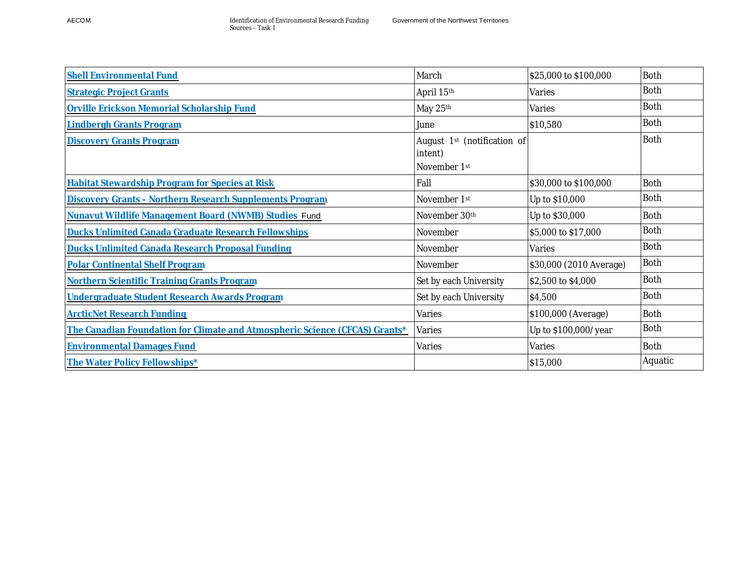| <b>Shell Environmental Fund</b>                                             | March                                                              | \$25,000 to \$100,000   | <b>Both</b> |
|-----------------------------------------------------------------------------|--------------------------------------------------------------------|-------------------------|-------------|
| <b>Strategic Project Grants</b>                                             | April 15th                                                         | Varies                  | <b>Both</b> |
| Orville Erickson Memorial Scholarship Fund                                  | May 25th                                                           | Varies                  | <b>Both</b> |
| <b>Lindbergh Grants Program</b>                                             | June                                                               | \$10,580                | <b>Both</b> |
| <b>Discovery Grants Program</b>                                             | August 1 <sup>st</sup> (notification of<br>intent)<br>November 1st |                         | <b>Both</b> |
| <b>Habitat Stewardship Program for Species at Risk</b>                      | Fall                                                               | \$30,000 to \$100,000   | <b>Both</b> |
| <b>Discovery Grants - Northern Research Supplements Program</b>             | November 1st                                                       | Up to \$10,000          | <b>Both</b> |
| Nunavut Wildlife Management Board (NWMB) Studies Fund                       | November 30th                                                      | Up to \$30,000          | <b>Both</b> |
| Ducks Unlimited Canada Graduate Research Fellowships                        | November                                                           | \$5,000 to \$17,000     | <b>Both</b> |
| Ducks Unlimited Canada Research Proposal Funding                            | November                                                           | Varies                  | <b>Both</b> |
| <b>Polar Continental Shelf Program</b>                                      | November                                                           | \$30,000 (2010 Average) | <b>Both</b> |
| <b>Northern Scientific Training Grants Program</b>                          | Set by each University                                             | \$2,500 to \$4,000      | <b>Both</b> |
| Undergraduate Student Research Awards Program                               | Set by each University                                             | \$4,500                 | <b>Both</b> |
| <b>ArcticNet Research Funding</b>                                           | Varies                                                             | \$100,000 (Average)     | <b>Both</b> |
| The Canadian Foundation for Climate and Atmospheric Science (CFCAS) Grants* | Varies                                                             | Up to \$100,000/year    | <b>Both</b> |
| <b>Environmental Damages Fund</b>                                           | Varies                                                             | Varies                  | <b>Both</b> |
| The Water Policy Fellowships*                                               |                                                                    | \$15,000                | Aquatic     |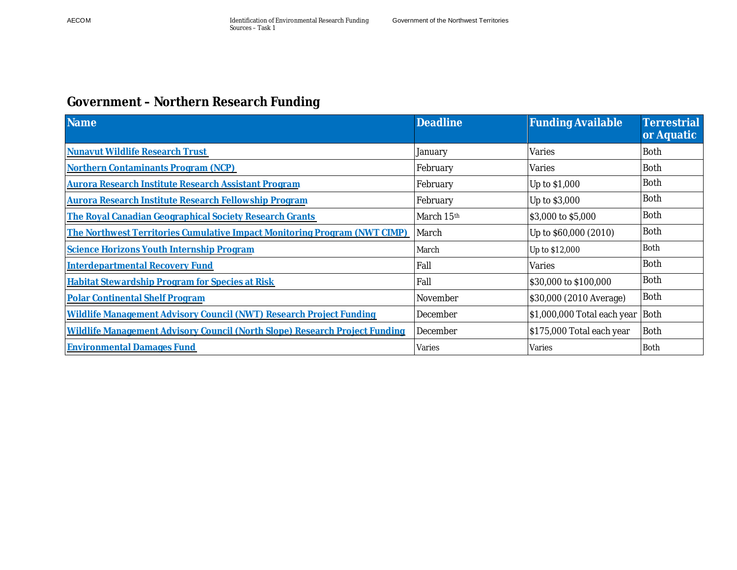# **Government – Northern Research Funding**

| <b>Name</b>                                                                 | <b>Deadline</b> | <b>Funding Available</b>    | Terrestrial<br>or Aquatic |
|-----------------------------------------------------------------------------|-----------------|-----------------------------|---------------------------|
| Nunavut Wildlife Research Trust                                             | January         | Varies                      | <b>Both</b>               |
| Northern Contaminants Program (NCP)                                         | February        | Varies                      | Both                      |
| <b>Aurora Research Institute Research Assistant Program</b>                 | February        | Up to \$1,000               | <b>Both</b>               |
| Aurora Research Institute Research Fellowship Program                       | February        | Up to \$3,000               | <b>Both</b>               |
| The Royal Canadian Geographical Society Research Grants                     | March 15th      | \$3,000 to \$5,000          | <b>Both</b>               |
| The Northwest Territories Cumulative Impact Monitoring Program (NWT CIMP)   | March           | Up to \$60,000 (2010)       | <b>Both</b>               |
| Science Horizons Youth Internship Program                                   | March           | Up to \$12,000              | <b>Both</b>               |
| <b>Interdepartmental Recovery Fund</b>                                      | Fall            | Varies                      | <b>Both</b>               |
| <b>Habitat Stewardship Program for Species at Risk</b>                      | Fall            | \$30,000 to \$100,000       | <b>Both</b>               |
| <b>Polar Continental Shelf Program</b>                                      | November        | \$30,000 (2010 Average)     | <b>Both</b>               |
| Wildlife Management Advisory Council (NWT) Research Project Funding         | December        | \$1,000,000 Total each year | Both                      |
| Wildlife Management Advisory Council (North Slope) Research Project Funding | December        | \$175,000 Total each year   | <b>Both</b>               |
| <b>Environmental Damages Fund</b>                                           | Varies          | Varies                      | <b>Both</b>               |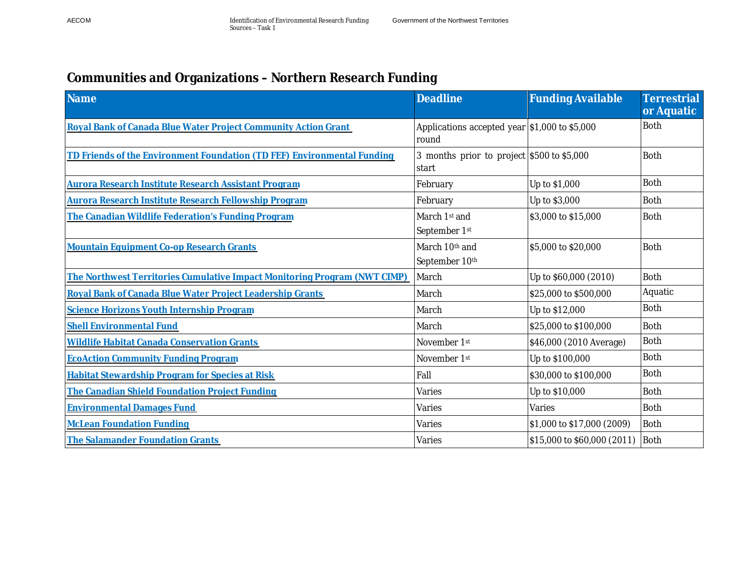# **Communities and Organizations – Northern Research Funding**

| <b>Name</b>                                                               | <b>Deadline</b>                                        | <b>Funding Available</b>    | <b>Terrestrial</b><br>or Aquatic |
|---------------------------------------------------------------------------|--------------------------------------------------------|-----------------------------|----------------------------------|
| Royal Bank of Canada Blue Water Project Community Action Grant            | Applications accepted year \$1,000 to \$5,000<br>round |                             | <b>Both</b>                      |
| TD Friends of the Environment Foundation (TD FEF) Environmental Funding   | 3 months prior to project \$500 to \$5,000<br>start    |                             | <b>Both</b>                      |
| <b>Aurora Research Institute Research Assistant Program</b>               | February                                               | Up to \$1,000               | <b>Both</b>                      |
| Aurora Research Institute Research Fellowship Program                     | February                                               | Up to \$3,000               | <b>Both</b>                      |
| The Canadian Wildlife Federation's Funding Program                        | March 1st and<br>September 1st                         | \$3,000 to \$15,000         | <b>Both</b>                      |
| Mountain Equipment Co-op Research Grants                                  | March 10th and<br>September 10th                       | \$5,000 to \$20,000         | <b>Both</b>                      |
| The Northwest Territories Cumulative Impact Monitoring Program (NWT CIMP) | March                                                  | Up to \$60,000 (2010)       | <b>Both</b>                      |
| Royal Bank of Canada Blue Water Project Leadership Grants                 | March                                                  | \$25,000 to \$500,000       | Aquatic                          |
| Science Horizons Youth Internship Program                                 | March                                                  | Up to \$12,000              | <b>Both</b>                      |
| <b>Shell Environmental Fund</b>                                           | March                                                  | \$25,000 to \$100,000       | <b>Both</b>                      |
| Wildlife Habitat Canada Conservation Grants                               | November 1st                                           | \$46,000 (2010 Average)     | <b>Both</b>                      |
| <b>EcoAction Community Funding Program</b>                                | November 1st                                           | Up to \$100,000             | <b>Both</b>                      |
| <b>Habitat Stewardship Program for Species at Risk</b>                    | Fall                                                   | \$30,000 to \$100,000       | <b>Both</b>                      |
| The Canadian Shield Foundation Project Funding                            | Varies                                                 | Up to \$10,000              | <b>Both</b>                      |
| <b>Environmental Damages Fund</b>                                         | Varies                                                 | Varies                      | <b>Both</b>                      |
| <b>McLean Foundation Funding</b>                                          | Varies                                                 | \$1,000 to \$17,000 (2009)  | <b>Both</b>                      |
| The Salamander Foundation Grants                                          | Varies                                                 | \$15,000 to \$60,000 (2011) | Both                             |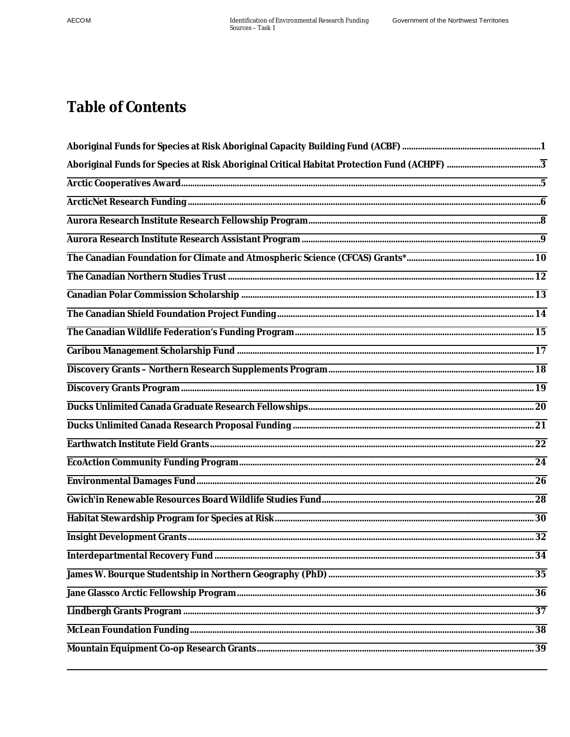# **Table of Contents**

| Aboriginal Funds for Species at Risk Aboriginal Critical Habitat Protection Fund (ACHPF) ………………………………………………………                                                                                                                |                |
|-------------------------------------------------------------------------------------------------------------------------------------------------------------------------------------------------------------------------------|----------------|
|                                                                                                                                                                                                                               |                |
|                                                                                                                                                                                                                               |                |
|                                                                                                                                                                                                                               |                |
|                                                                                                                                                                                                                               |                |
|                                                                                                                                                                                                                               |                |
|                                                                                                                                                                                                                               |                |
|                                                                                                                                                                                                                               |                |
| the control of the control of the control of the control of the control of the control of the control of the control of the control of the control of the control of the control of the control of the control of the control |                |
|                                                                                                                                                                                                                               |                |
|                                                                                                                                                                                                                               |                |
| the control of the control of the control of the control of the control of the control of                                                                                                                                     |                |
|                                                                                                                                                                                                                               |                |
|                                                                                                                                                                                                                               |                |
|                                                                                                                                                                                                                               |                |
|                                                                                                                                                                                                                               |                |
|                                                                                                                                                                                                                               |                |
|                                                                                                                                                                                                                               |                |
|                                                                                                                                                                                                                               |                |
|                                                                                                                                                                                                                               |                |
|                                                                                                                                                                                                                               |                |
|                                                                                                                                                                                                                               | $\frac{1}{34}$ |
|                                                                                                                                                                                                                               |                |
|                                                                                                                                                                                                                               |                |
|                                                                                                                                                                                                                               |                |
|                                                                                                                                                                                                                               |                |
|                                                                                                                                                                                                                               |                |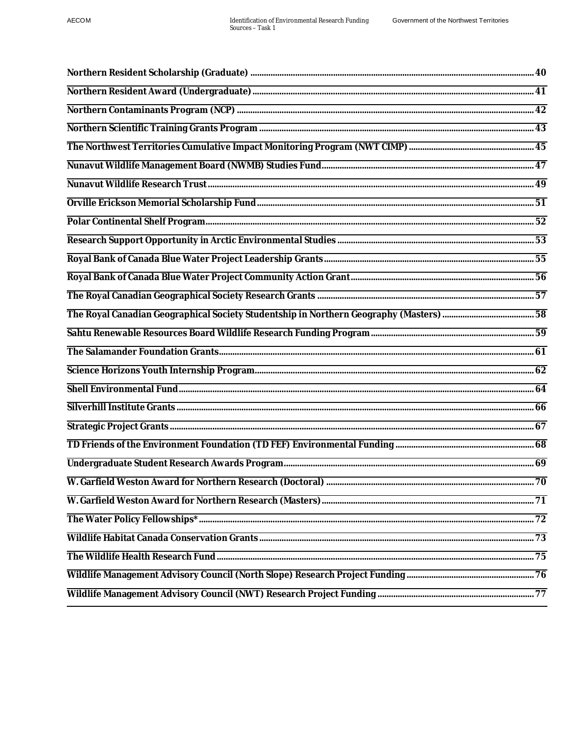| 69 |
|----|
|    |
|    |
|    |
|    |
|    |
|    |
|    |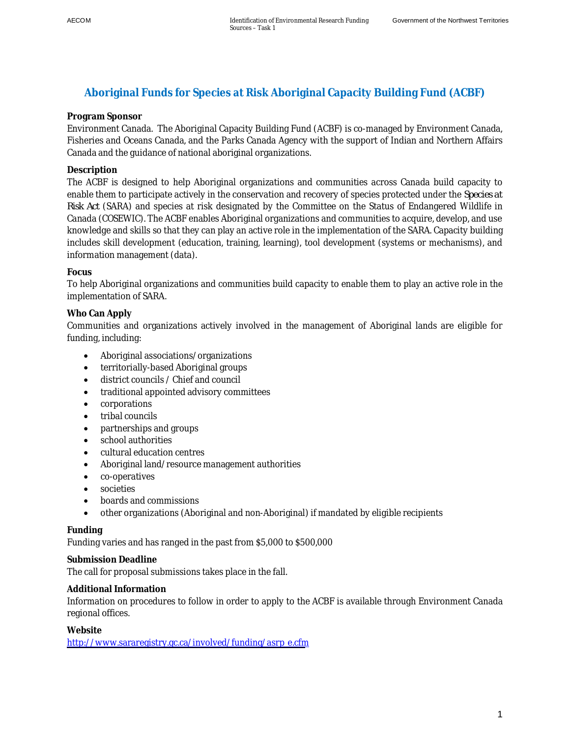# <span id="page-10-0"></span>**Aboriginal Funds for Species at Risk Aboriginal Capacity Building Fund (ACBF)**

### **Program Sponsor**

Environment Canada. The Aboriginal Capacity Building Fund (ACBF) is co-managed by Environment Canada, Fisheries and Oceans Canada, and the Parks Canada Agency with the support of Indian and Northern Affairs Canada and the guidance of national aboriginal organizations.

### **Description**

The ACBF is designed to help Aboriginal organizations and communities across Canada build capacity to enable them to participate actively in the conservation and recovery of species protected under the *Species at Risk Act* (SARA) and species at risk designated by the Committee on the Status of Endangered Wildlife in Canada (COSEWIC). The ACBF enables Aboriginal organizations and communities to acquire, develop, and use knowledge and skills so that they can play an active role in the implementation of the SARA. Capacity building includes skill development (education, training, learning), tool development (systems or mechanisms), and information management (data).

### **Focus**

To help Aboriginal organizations and communities build capacity to enable them to play an active role in the implementation of SARA.

### **Who Can Apply**

Communities and organizations actively involved in the management of Aboriginal lands are eligible for funding, including:

- Aboriginal associations/organizations
- territorially-based Aboriginal groups
- $\bullet$  district councils / Chief and council
- traditional appointed advisory committees
- corporations
- $\bullet$  tribal councils
- partnerships and groups
- school authorities
- cultural education centres
- Aboriginal land/resource management authorities
- co-operatives
- societies
- boards and commissions
- x other organizations (Aboriginal and non-Aboriginal) if mandated by eligible recipients

### **Funding**

Funding varies and has ranged in the past from \$5,000 to \$500,000

**Submission Deadline** 

The call for proposal submissions takes place in the fall.

### **Additional Information**

Information on procedures to follow in order to apply to the ACBF is available through Environment Canada regional offices.

**Website** 

[http://www.sararegistry.gc.ca/involved/funding/asrp\\_e.cfm](http://www.sararegistry.gc.ca/involved/funding/asrp_e.cfm)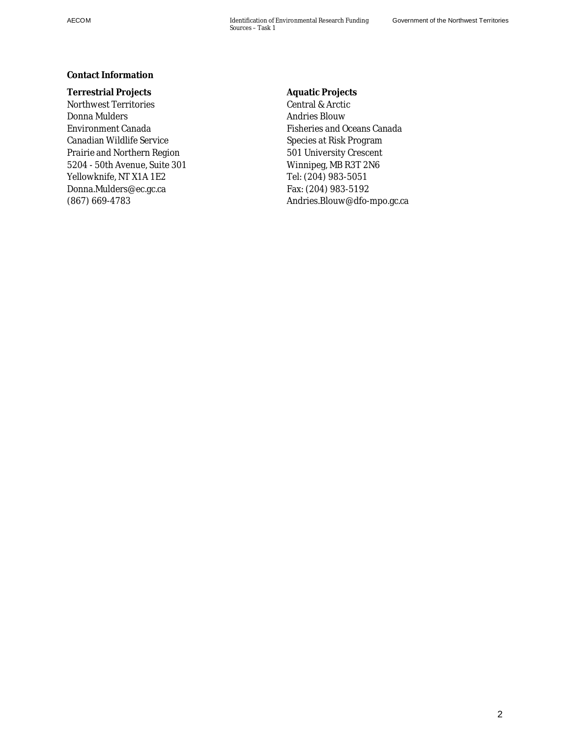### **Contact Information**

**Terrestrial Projects**  Northwest Territories Donna Mulders Environment Canada Canadian Wildlife Service Prairie and Northern Region 5204 - 50th Avenue, Suite 301 Yellowknife, NT X1A 1E2 Donna.Mulders@ec.gc.ca (867) 669-4783

**Aquatic Projects**  Central & Arctic Andries Blouw Fisheries and Oceans Canada Species at Risk Program 501 University Crescent Winnipeg, MB R3T 2N6 Tel: (204) 983-5051 Fax: (204) 983-5192 Andries.Blouw@dfo-mpo.gc.ca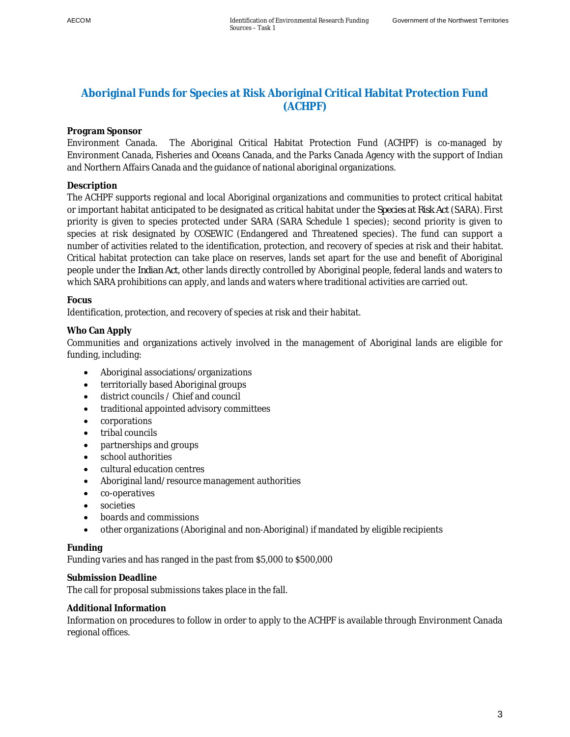### <span id="page-12-0"></span>**Aboriginal Funds for Species at Risk Aboriginal Critical Habitat Protection Fund (ACHPF)**

### **Program Sponsor**

Environment Canada. The Aboriginal Critical Habitat Protection Fund (ACHPF) is co-managed by Environment Canada, Fisheries and Oceans Canada, and the Parks Canada Agency with the support of Indian and Northern Affairs Canada and the guidance of national aboriginal organizations.

### **Description**

The ACHPF supports regional and local Aboriginal organizations and communities to protect critical habitat or important habitat anticipated to be designated as critical habitat under the *Species at Risk Act* (SARA). First priority is given to species protected under SARA (SARA Schedule 1 species); second priority is given to species at risk designated by COSEWIC (Endangered and Threatened species). The fund can support a number of activities related to the identification, protection, and recovery of species at risk and their habitat. Critical habitat protection can take place on reserves, lands set apart for the use and benefit of Aboriginal people under the *Indian Act*, other lands directly controlled by Aboriginal people, federal lands and waters to which SARA prohibitions can apply, and lands and waters where traditional activities are carried out.

### **Focus**

Identification, protection, and recovery of species at risk and their habitat.

### **Who Can Apply**

Communities and organizations actively involved in the management of Aboriginal lands are eligible for funding, including:

- Aboriginal associations/organizations
- territorially based Aboriginal groups
- district councils / Chief and council
- traditional appointed advisory committees
- corporations
- $\bullet$  tribal councils
- partnerships and groups
- school authorities
- cultural education centres
- Aboriginal land/resource management authorities
- co-operatives
- x societies
- boards and commissions
- x other organizations (Aboriginal and non-Aboriginal) if mandated by eligible recipients

### **Funding**

Funding varies and has ranged in the past from \$5,000 to \$500,000

### **Submission Deadline**

The call for proposal submissions takes place in the fall.

### **Additional Information**

Information on procedures to follow in order to apply to the ACHPF is available through Environment Canada regional offices.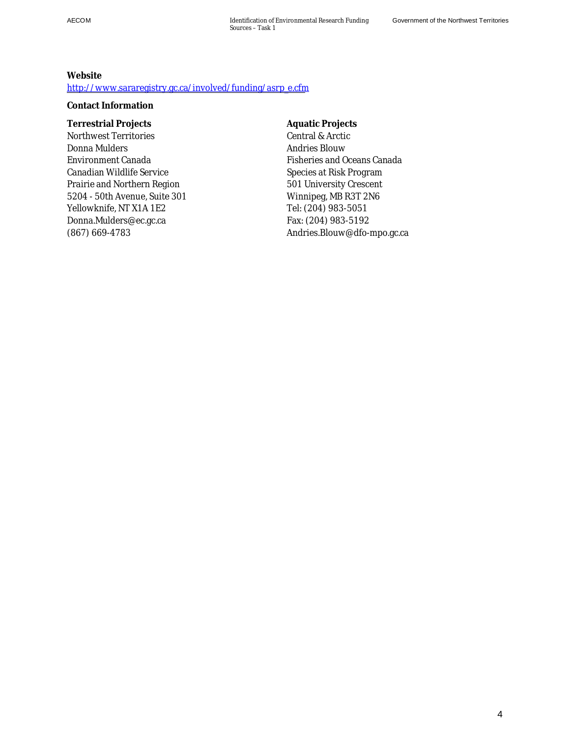**Website**  [http://www.sararegistry.gc.ca/involved/funding/asrp\\_e.cfm](http://www.sararegistry.gc.ca/involved/funding/asrp_e.cfm)

**Contact Information**

**Terrestrial Projects**  Northwest Territories Donna Mulders Environment Canada Canadian Wildlife Service Prairie and Northern Region 5204 - 50th Avenue, Suite 301 Yellowknife, NT X1A 1E2 Donna.Mulders@ec.gc.ca (867) 669-4783

**Aquatic Projects**  Central & Arctic Andries Blouw Fisheries and Oceans Canada Species at Risk Program 501 University Crescent Winnipeg, MB R3T 2N6 Tel: (204) 983-5051 Fax: (204) 983-5192 Andries.Blouw@dfo-mpo.gc.ca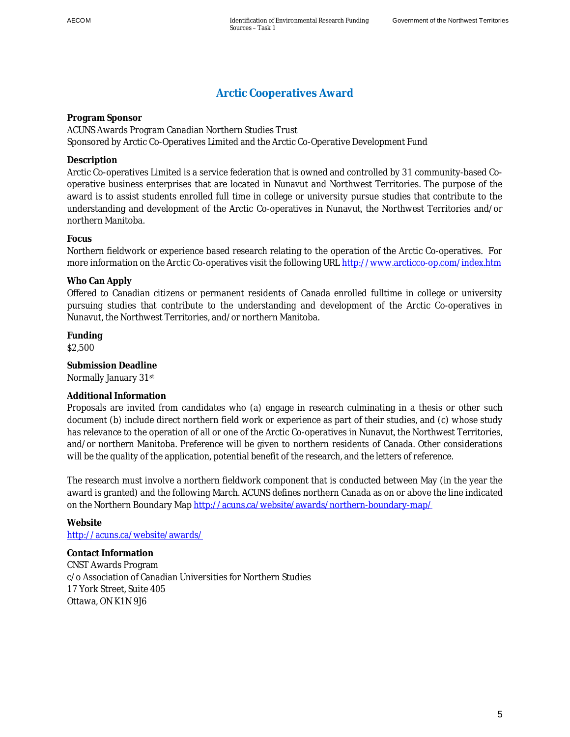### <span id="page-14-0"></span>**Arctic Cooperatives Award**

**Program Sponsor**  ACUNS Awards Program Canadian Northern Studies Trust Sponsored by Arctic Co-Operatives Limited and the Arctic Co-Operative Development Fund

### **Description**

Arctic Co-operatives Limited is a service federation that is owned and controlled by 31 community-based Cooperative business enterprises that are located in Nunavut and Northwest Territories. The purpose of the award is to assist students enrolled full time in college or university pursue studies that contribute to the understanding and development of the Arctic Co-operatives in Nunavut, the Northwest Territories and/or northern Manitoba.

### **Focus**

Northern fieldwork or experience based research relating to the operation of the Arctic Co-operatives. For more information on the Arctic Co-operatives visit the following URL http://www.arcticco-op.com/index.htm

### **Who Can Apply**

Offered to Canadian citizens or permanent residents of Canada enrolled fulltime in college or university pursuing studies that contribute to the understanding and development of the Arctic Co-operatives in Nunavut, the Northwest Territories, and/or northern Manitoba.

**Funding**  \$2,500

**Submission Deadline**  Normally January 31st

### **Additional Information**

Proposals are invited from candidates who (a) engage in research culminating in a thesis or other such document (b) include direct northern field work or experience as part of their studies, and (c) whose study has relevance to the operation of all or one of the Arctic Co-operatives in Nunavut, the Northwest Territories, and/or northern Manitoba. Preference will be given to northern residents of Canada. Other considerations will be the quality of the application, potential benefit of the research, and the letters of reference.

The research must involve a northern fieldwork component that is conducted between May (in the year the award is granted) and the following March. ACUNS defines northern Canada as on or above the line indicated on the Northern Boundary Map http://acuns.ca/website/awards/northern-boundary-map/

**Website**  http://acuns.ca/website/awards/

**Contact Information**  CNST Awards Program c/o Association of Canadian Universities for Northern Studies 17 York Street, Suite 405 Ottawa, ON K1N 9J6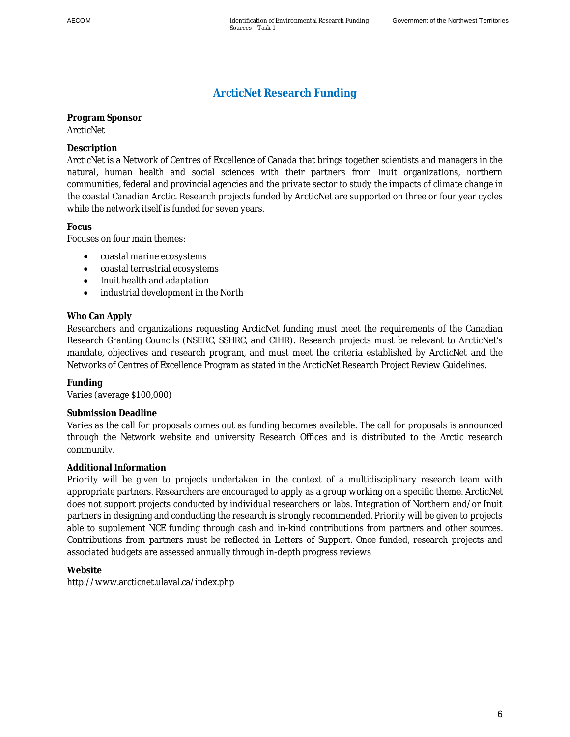## <span id="page-15-0"></span>**ArcticNet Research Funding**

**Program Sponsor**  ArcticNet

**Description** 

ArcticNet is a Network of Centres of Excellence of Canada that brings together scientists and managers in the natural, human health and social sciences with their partners from Inuit organizations, northern communities, federal and provincial agencies and the private sector to study the impacts of climate change in the coastal Canadian Arctic. Research projects funded by ArcticNet are supported on three or four year cycles while the network itself is funded for seven years.

**Focus** 

Focuses on four main themes:

- coastal marine ecosystems
- coastal terrestrial ecosystems
- Inuit health and adaptation
- industrial development in the North

### **Who Can Apply**

Researchers and organizations requesting ArcticNet funding must meet the requirements of the Canadian Research Granting Councils (NSERC, SSHRC, and CIHR). Research projects must be relevant to ArcticNet's mandate, objectives and research program, and must meet the criteria established by ArcticNet and the Networks of Centres of Excellence Program as stated in the ArcticNet Research Project Review Guidelines.

**Funding** 

Varies (average \$100,000)

#### **Submission Deadline**

Varies as the call for proposals comes out as funding becomes available. The call for proposals is announced through the Network website and university Research Offices and is distributed to the Arctic research community.

#### **Additional Information**

Priority will be given to projects undertaken in the context of a multidisciplinary research team with appropriate partners. Researchers are encouraged to apply as a group working on a specific theme. ArcticNet does not support projects conducted by individual researchers or labs. Integration of Northern and/or Inuit partners in designing and conducting the research is strongly recommended. Priority will be given to projects able to supplement NCE funding through cash and in-kind contributions from partners and other sources. Contributions from partners must be reflected in Letters of Support. Once funded, research projects and associated budgets are assessed annually through in-depth progress reviews

**Website** 

http://www.arcticnet.ulaval.ca/index.php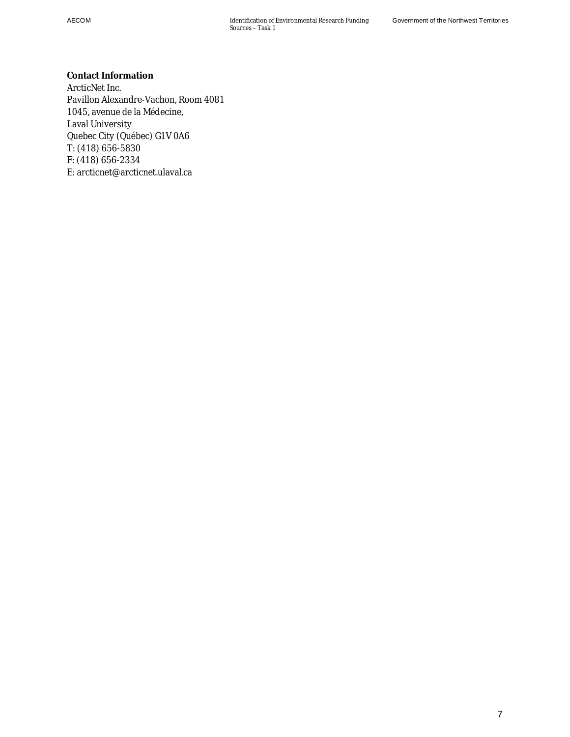**Contact Information**  ArcticNet Inc. Pavillon Alexandre-Vachon, Room 4081 1045, avenue de la Médecine, Laval University Quebec City (Québec) G1V 0A6 T: (418) 656-5830 F: (418) 656-2334 E: arcticnet@arcticnet.ulaval.ca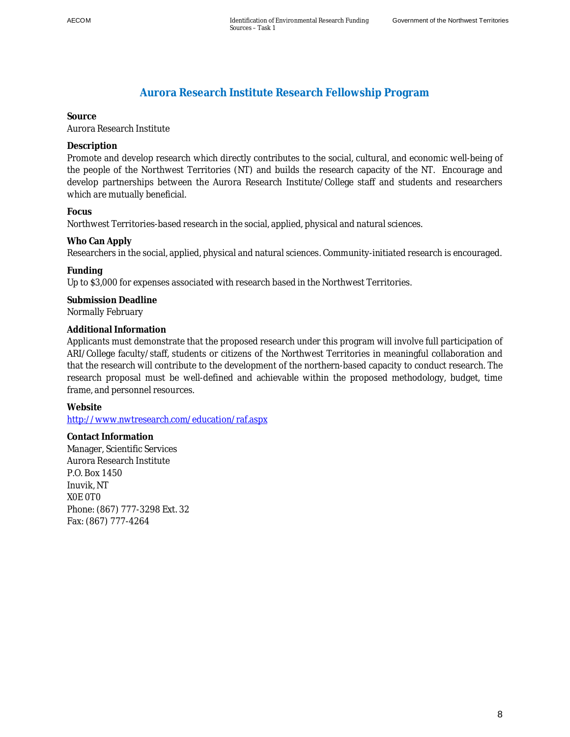## <span id="page-17-0"></span>**Aurora Research Institute Research Fellowship Program**

### **Source**

Aurora Research Institute

### **Description**

Promote and develop research which directly contributes to the social, cultural, and economic well-being of the people of the Northwest Territories (NT) and builds the research capacity of the NT. Encourage and develop partnerships between the Aurora Research Institute/College staff and students and researchers which are mutually beneficial.

### **Focus**

Northwest Territories-based research in the social, applied, physical and natural sciences.

### **Who Can Apply**

Researchers in the social, applied, physical and natural sciences. Community-initiated research is encouraged.

### **Funding**

Up to \$3,000 for expenses associated with research based in the Northwest Territories.

**Submission Deadline**  Normally February

### **Additional Information**

Applicants must demonstrate that the proposed research under this program will involve full participation of ARI/College faculty/staff, students or citizens of the Northwest Territories in meaningful collaboration and that the research will contribute to the development of the northern-based capacity to conduct research. The research proposal must be well-defined and achievable within the proposed methodology, budget, time frame, and personnel resources.

**Website** 

http://www.nwtresearch.com/education/raf.aspx

**Contact Information**  Manager, Scientific Services Aurora Research Institute P.O. Box 1450 Inuvik, NT X0E 0T0 Phone: (867) 777-3298 Ext. 32 Fax: (867) 777-4264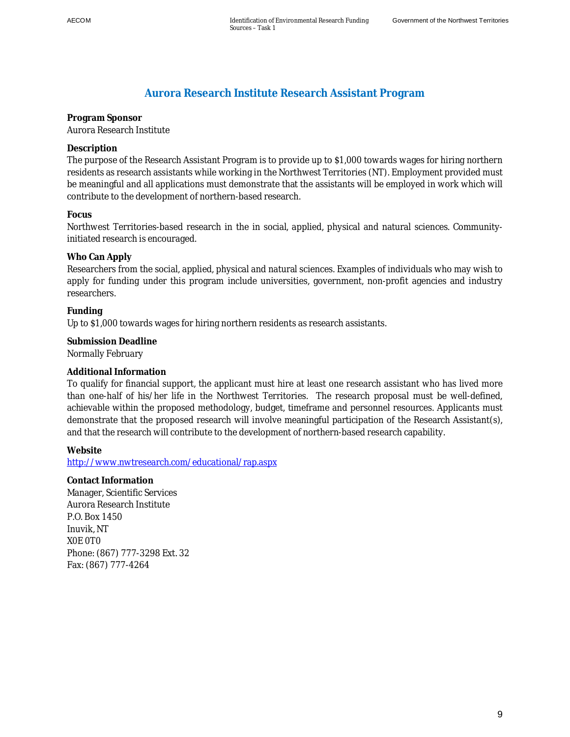## <span id="page-18-0"></span>**Aurora Research Institute Research Assistant Program**

### **Program Sponsor**  Aurora Research Institute

### **Description**

The purpose of the Research Assistant Program is to provide up to \$1,000 towards wages for hiring northern residents as research assistants while working in the Northwest Territories (NT). Employment provided must be meaningful and all applications must demonstrate that the assistants will be employed in work which will contribute to the development of northern-based research.

### **Focus**

Northwest Territories-based research in the in social, applied, physical and natural sciences. Communityinitiated research is encouraged.

### **Who Can Apply**

Researchers from the social, applied, physical and natural sciences. Examples of individuals who may wish to apply for funding under this program include universities, government, non-profit agencies and industry researchers.

**Funding**  Up to \$1,000 towards wages for hiring northern residents as research assistants.

**Submission Deadline**  Normally February

### **Additional Information**

To qualify for financial support, the applicant must hire at least one research assistant who has lived more than one-half of his/her life in the Northwest Territories. The research proposal must be well-defined, achievable within the proposed methodology, budget, timeframe and personnel resources. Applicants must demonstrate that the proposed research will involve meaningful participation of the Research Assistant(s), and that the research will contribute to the development of northern-based research capability.

**Website** 

http://www.nwtresearch.com/educational/rap.aspx

**Contact Information**  Manager, Scientific Services Aurora Research Institute P.O. Box 1450 Inuvik, NT X0E 0T0 Phone: (867) 777-3298 Ext. 32 Fax: (867) 777-4264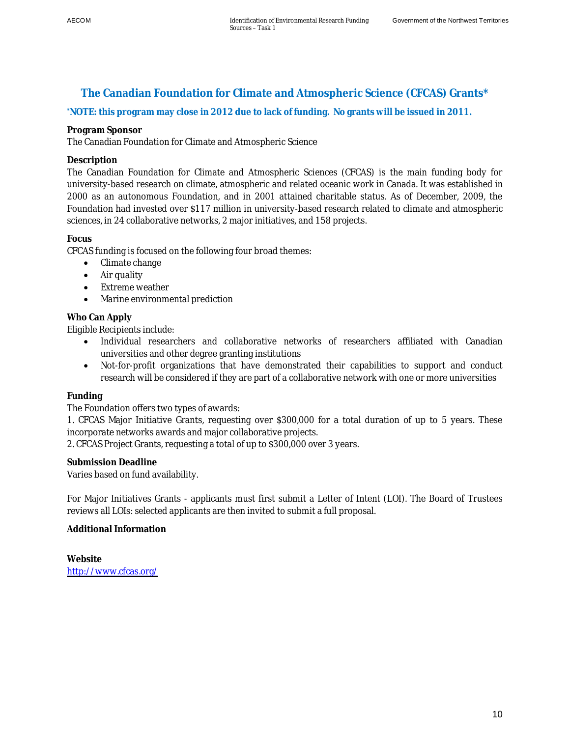# <span id="page-19-0"></span>**The Canadian Foundation for Climate and Atmospheric Science (CFCAS) Grants\***

**\*NOTE: this program may close in 2012 due to lack of funding. No grants will be issued in 2011.** 

### **Program Sponsor**

The Canadian Foundation for Climate and Atmospheric Science

### **Description**

The Canadian Foundation for Climate and Atmospheric Sciences (CFCAS) is the main funding body for university-based research on climate, atmospheric and related oceanic work in Canada. It was established in 2000 as an autonomous Foundation, and in 2001 attained charitable status. As of December, 2009, the Foundation had invested over \$117 million in university-based research related to climate and atmospheric sciences, in 24 collaborative networks, 2 major initiatives, and 158 projects.

### **Focus**

CFCAS funding is focused on the following four broad themes:

- Climate change
- $\bullet$  Air quality
- Extreme weather
- Marine environmental prediction

### **Who Can Apply**

Eligible Recipients include:

- Individual researchers and collaborative networks of researchers affiliated with Canadian universities and other degree granting institutions
- Not-for-profit organizations that have demonstrated their capabilities to support and conduct research will be considered if they are part of a collaborative network with one or more universities

### **Funding**

The Foundation offers two types of awards:

1. CFCAS Major Initiative Grants, requesting over \$300,000 for a total duration of up to 5 years. These incorporate networks awards and major collaborative projects.

2. CFCAS Project Grants, requesting a total of up to \$300,000 over 3 years.

**Submission Deadline** 

Varies based on fund availability.

For Major Initiatives Grants - applicants must first submit a Letter of Intent (LOI). The Board of Trustees reviews all LOIs: selected applicants are then invited to submit a full proposal.

### **Additional Information**

**Website**  <http://www.cfcas.org/>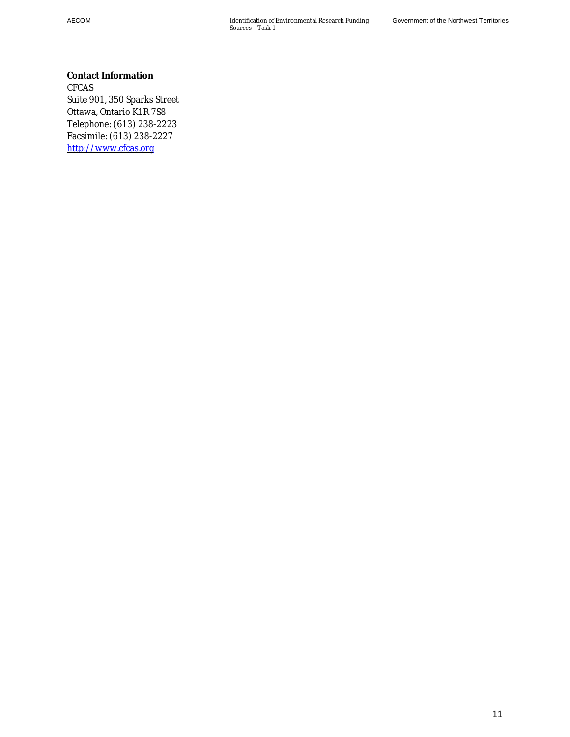AECOM Identification of Environmental Research Funding Sources – Task 1

**Contact Information**  CFCAS Suite 901, 350 Sparks Street Ottawa, Ontario K1R 7S8 Telephone: (613) 238-2223 Facsimile: (613) 238-2227 [http://www.cfcas.org](http://www.cfcas.org/)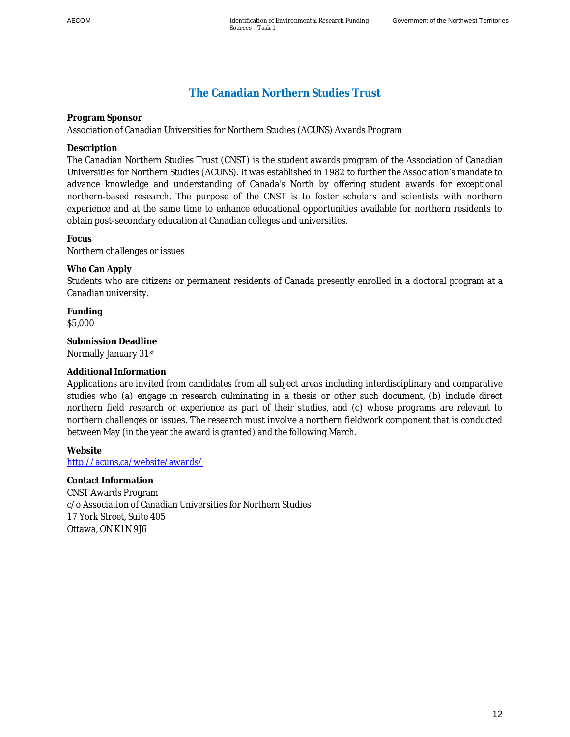## <span id="page-21-0"></span>**The Canadian Northern Studies Trust**

**Program Sponsor** 

Association of Canadian Universities for Northern Studies (ACUNS) Awards Program

**Description** 

The Canadian Northern Studies Trust (CNST) is the student awards program of the Association of Canadian Universities for Northern Studies (ACUNS). It was established in 1982 to further the Association's mandate to advance knowledge and understanding of Canada's North by offering student awards for exceptional northern-based research. The purpose of the CNST is to foster scholars and scientists with northern experience and at the same time to enhance educational opportunities available for northern residents to obtain post-secondary education at Canadian colleges and universities.

**Focus**  Northern challenges or issues

**Who Can Apply**  Students who are citizens or permanent residents of Canada presently enrolled in a doctoral program at a Canadian university.

**Funding**  \$5,000

**Submission Deadline**  Normally January 31st

### **Additional Information**

Applications are invited from candidates from all subject areas including interdisciplinary and comparative studies who (a) engage in research culminating in a thesis or other such document, (b) include direct northern field research or experience as part of their studies, and (c) whose programs are relevant to northern challenges or issues. The research must involve a northern fieldwork component that is conducted between May (in the year the award is granted) and the following March.

**Website**  http://acuns.ca/website/awards/

**Contact Information**  CNST Awards Program c/o Association of Canadian Universities for Northern Studies 17 York Street, Suite 405 Ottawa, ON K1N 9J6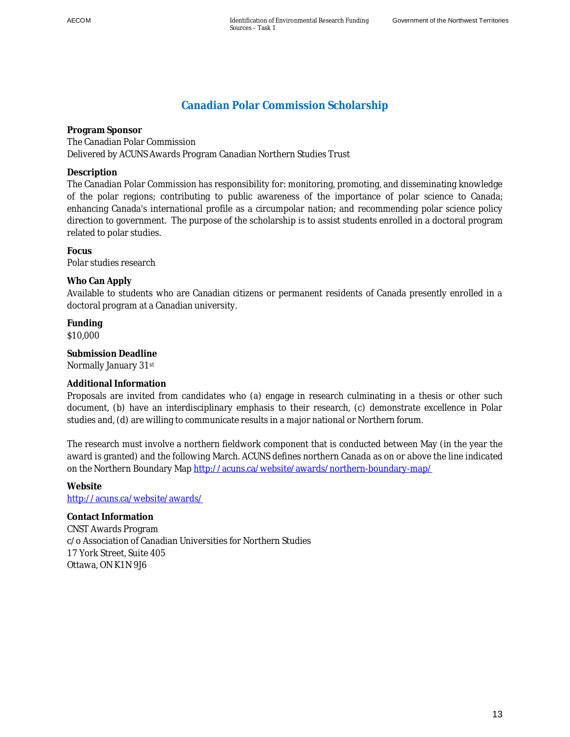# <span id="page-22-0"></span>**Canadian Polar Commission Scholarship**

**Program Sponsor**  The Canadian Polar Commission Delivered by ACUNS Awards Program Canadian Northern Studies Trust

**Description** 

The Canadian Polar Commission has responsibility for: monitoring, promoting, and disseminating knowledge of the polar regions; contributing to public awareness of the importance of polar science to Canada; enhancing Canada's international profile as a circumpolar nation; and recommending polar science policy direction to government. The purpose of the scholarship is to assist students enrolled in a doctoral program related to polar studies.

**Focus**  Polar studies research

**Who Can Apply**  Available to students who are Canadian citizens or permanent residents of Canada presently enrolled in a doctoral program at a Canadian university.

**Funding**  \$10,000

**Submission Deadline**  Normally January 31st

### **Additional Information**

Proposals are invited from candidates who (a) engage in research culminating in a thesis or other such document, (b) have an interdisciplinary emphasis to their research, (c) demonstrate excellence in Polar studies and, (d) are willing to communicate results in a major national or Northern forum.

The research must involve a northern fieldwork component that is conducted between May (in the year the award is granted) and the following March. ACUNS defines northern Canada as on or above the line indicated on the Northern Boundary Map http://acuns.ca/website/awards/northern-boundary-map/

**Website**  http://acuns.ca/website/awards/

**Contact Information**  CNST Awards Program c/o Association of Canadian Universities for Northern Studies 17 York Street, Suite 405 Ottawa, ON K1N 9J6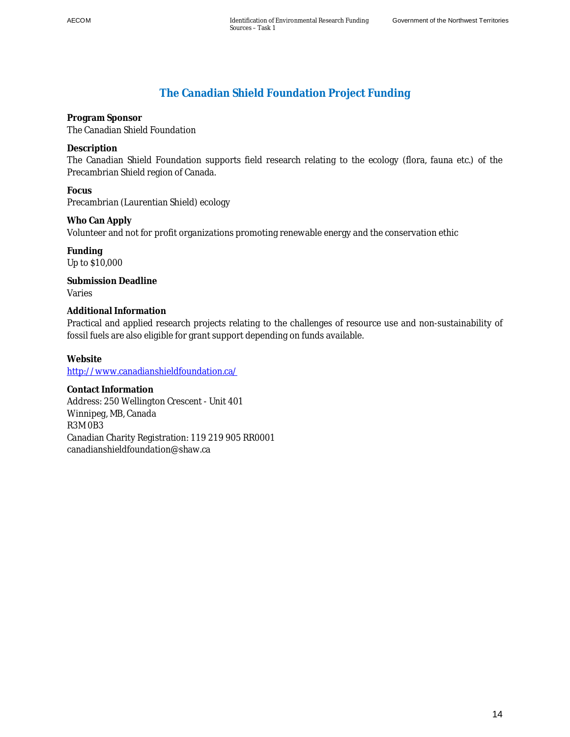# <span id="page-23-0"></span>**The Canadian Shield Foundation Project Funding**

**Program Sponsor**  The Canadian Shield Foundation

**Description** 

The Canadian Shield Foundation supports field research relating to the ecology (flora, fauna etc.) of the Precambrian Shield region of Canada.

**Focus**  Precambrian (Laurentian Shield) ecology

**Who Can Apply**  Volunteer and not for profit organizations promoting renewable energy and the conservation ethic

**Funding**  Up to \$10,000

**Submission Deadline**  Varies

**Additional Information**  Practical and applied research projects relating to the challenges of resource use and non-sustainability of fossil fuels are also eligible for grant support depending on funds available.

**Website**  http://www.canadianshieldfoundation.ca/

**Contact Information**  Address: 250 Wellington Crescent - Unit 401 Winnipeg, MB, Canada R3M 0B3 Canadian Charity Registration: 119 219 905 RR0001 canadianshieldfoundation@shaw.ca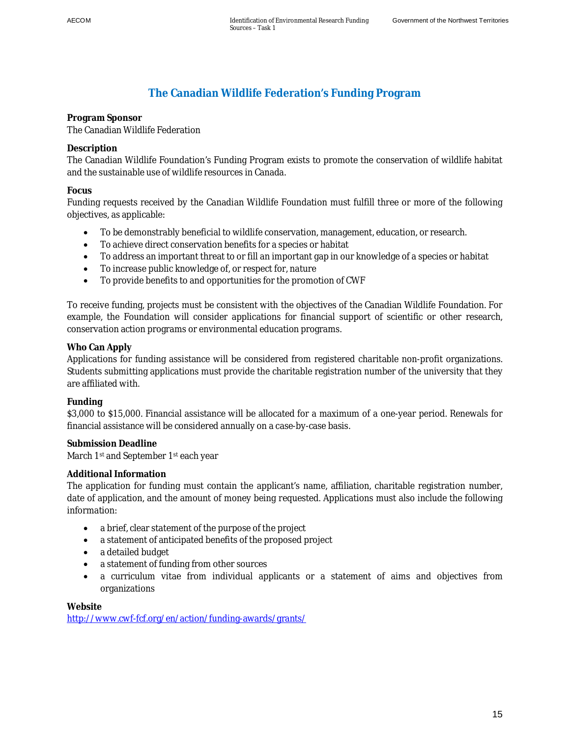# <span id="page-24-0"></span>**The Canadian Wildlife Federation's Funding Program**

# **Program Sponsor**

The Canadian Wildlife Federation

### **Description**

The Canadian Wildlife Foundation's Funding Program exists to promote the conservation of wildlife habitat and the sustainable use of wildlife resources in Canada.

### **Focus**

Funding requests received by the Canadian Wildlife Foundation must fulfill three or more of the following objectives, as applicable:

- To be demonstrably beneficial to wildlife conservation, management, education, or research.
- To achieve direct conservation benefits for a species or habitat
- To address an important threat to or fill an important gap in our knowledge of a species or habitat
- To increase public knowledge of, or respect for, nature
- To provide benefits to and opportunities for the promotion of CWF

To receive funding, projects must be consistent with the objectives of the Canadian Wildlife Foundation. For example, the Foundation will consider applications for financial support of scientific or other research, conservation action programs or environmental education programs.

### **Who Can Apply**

Applications for funding assistance will be considered from registered charitable non-profit organizations. Students submitting applications must provide the charitable registration number of the university that they are affiliated with.

### **Funding**

\$3,000 to \$15,000. Financial assistance will be allocated for a maximum of a one-year period. Renewals for financial assistance will be considered annually on a case-by-case basis.

**Submission Deadline**  March 1<sup>st</sup> and September 1<sup>st</sup> each year

### **Additional Information**

The application for funding must contain the applicant's name, affiliation, charitable registration number, date of application, and the amount of money being requested. Applications must also include the following information:

- a brief, clear statement of the purpose of the project
- a statement of anticipated benefits of the proposed project
- a detailed budget
- a statement of funding from other sources
- a curriculum vitae from individual applicants or a statement of aims and objectives from organizations

**Website**  http://www.cwf-fcf.org/en/action/funding-awards/grants/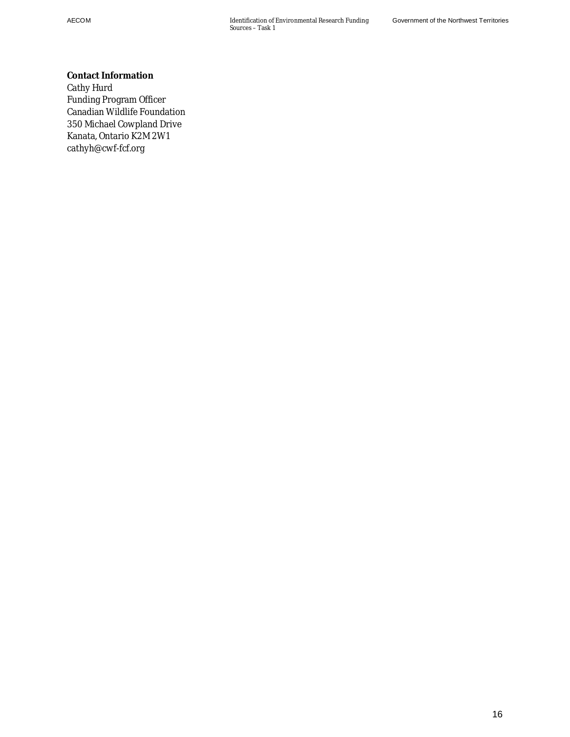**Contact Information**  Cathy Hurd Funding Program Officer Canadian Wildlife Foundation 350 Michael Cowpland Drive Kanata, Ontario K2M 2W1 cathyh@cwf-fcf.org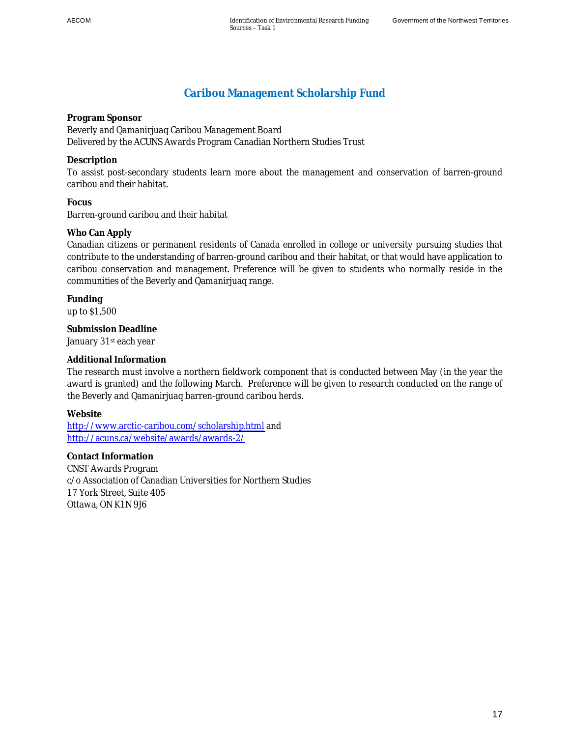## <span id="page-26-0"></span>**Caribou Management Scholarship Fund**

**Program Sponsor**  Beverly and Qamanirjuaq Caribou Management Board Delivered by the ACUNS Awards Program Canadian Northern Studies Trust

**Description** 

To assist post-secondary students learn more about the management and conservation of barren-ground caribou and their habitat.

**Focus**  Barren-ground caribou and their habitat

### **Who Can Apply**

Canadian citizens or permanent residents of Canada enrolled in college or university pursuing studies that contribute to the understanding of barren-ground caribou and their habitat, or that would have application to caribou conservation and management. Preference will be given to students who normally reside in the communities of the Beverly and Qamanirjuaq range.

**Funding**  up to \$1,500

**Submission Deadline**  January 31st each year

### **Additional Information**

The research must involve a northern fieldwork component that is conducted between May (in the year the award is granted) and the following March. Preference will be given to research conducted on the range of the Beverly and Qamanirjuaq barren-ground caribou herds.

**Website** 

<http://www.arctic-caribou.com/scholarship.html>and <http://acuns.ca/website/awards/awards-2/>

**Contact Information**  CNST Awards Program c/o Association of Canadian Universities for Northern Studies 17 York Street, Suite 405 Ottawa, ON K1N 9J6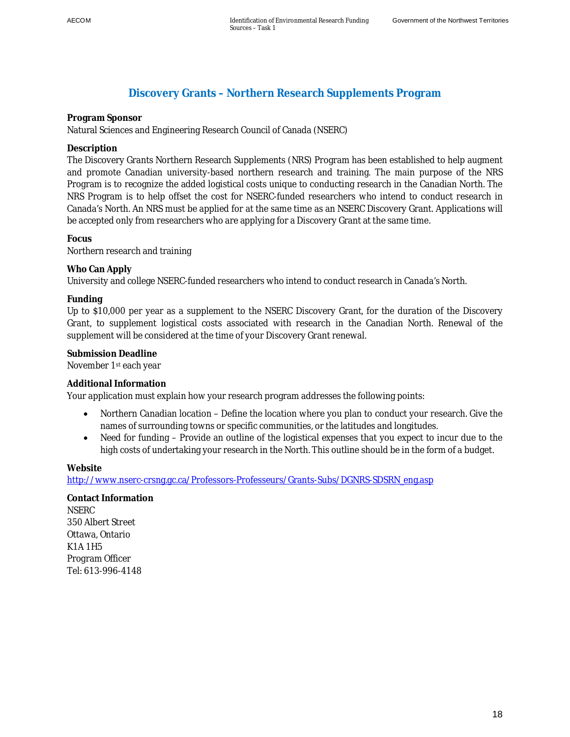### <span id="page-27-0"></span>**Discovery Grants – Northern Research Supplements Program**

### **Program Sponsor**

Natural Sciences and Engineering Research Council of Canada (NSERC)

### **Description**

The Discovery Grants Northern Research Supplements (NRS) Program has been established to help augment and promote Canadian university-based northern research and training. The main purpose of the NRS Program is to recognize the added logistical costs unique to conducting research in the Canadian North. The NRS Program is to help offset the cost for NSERC-funded researchers who intend to conduct research in Canada's North. An NRS must be applied for at the same time as an NSERC Discovery Grant. Applications will be accepted only from researchers who are applying for a Discovery Grant at the same time.

### **Focus**

Northern research and training

### **Who Can Apply**

University and college NSERC-funded researchers who intend to conduct research in Canada's North.

### **Funding**

Up to \$10,000 per year as a supplement to the NSERC Discovery Grant, for the duration of the Discovery Grant, to supplement logistical costs associated with research in the Canadian North. Renewal of the supplement will be considered at the time of your Discovery Grant renewal.

# **Submission Deadline**

November 1st each year

### **Additional Information**

Your application must explain how your research program addresses the following points:

- Northern Canadian location Define the location where you plan to conduct your research. Give the names of surrounding towns or specific communities, or the latitudes and longitudes.
- Need for funding Provide an outline of the logistical expenses that you expect to incur due to the high costs of undertaking your research in the North. This outline should be in the form of a budget.

#### **Website**

http://www.nserc-crsng.gc.ca/Professors-Professeurs/Grants-Subs/DGNRS-SDSRN\_eng.asp

**Contact Information NSERC** 350 Albert Street Ottawa, Ontario K1A 1H5 Program Officer Tel: 613-996-4148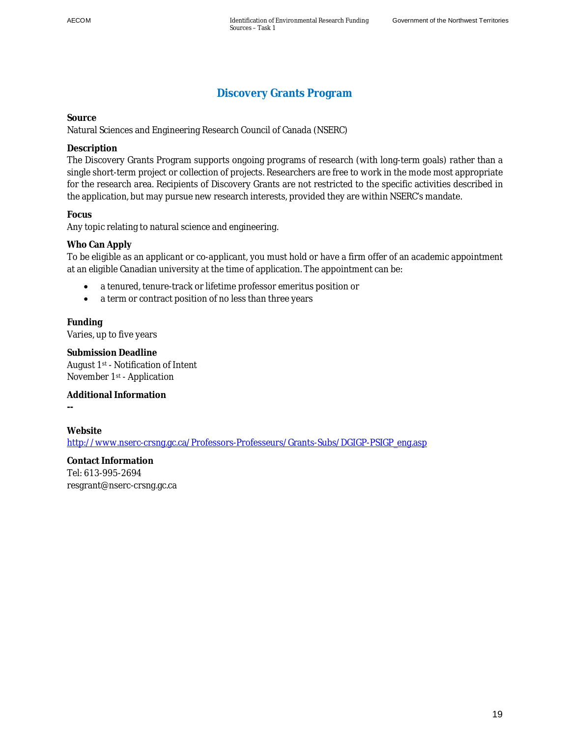## <span id="page-28-0"></span>**Discovery Grants Program**

**Source** 

Natural Sciences and Engineering Research Council of Canada (NSERC)

### **Description**

The Discovery Grants Program supports ongoing programs of research (with long-term goals) rather than a single short-term project or collection of projects. Researchers are free to work in the mode most appropriate for the research area. Recipients of Discovery Grants are not restricted to the specific activities described in the application, but may pursue new research interests, provided they are within NSERC's mandate.

**Focus** 

Any topic relating to natural science and engineering.

### **Who Can Apply**

To be eligible as an applicant or co-applicant, you must hold or have a firm offer of an academic appointment at an eligible Canadian university at the time of application. The appointment can be:

- a tenured, tenure-track or lifetime professor emeritus position or
- a term or contract position of no less than three years

**Funding**  Varies, up to five years

**Submission Deadline**  August 1st - Notification of Intent November 1st - Application

**Additional Information** 

**Website**  http://www.nserc-crsnq.qc.ca/Professors-Professeurs/Grants-Subs/DGIGP-PSIGP\_eng.asp

**Contact Information**  Tel: 613-995-2694 resgrant@nserc-crsng.gc.ca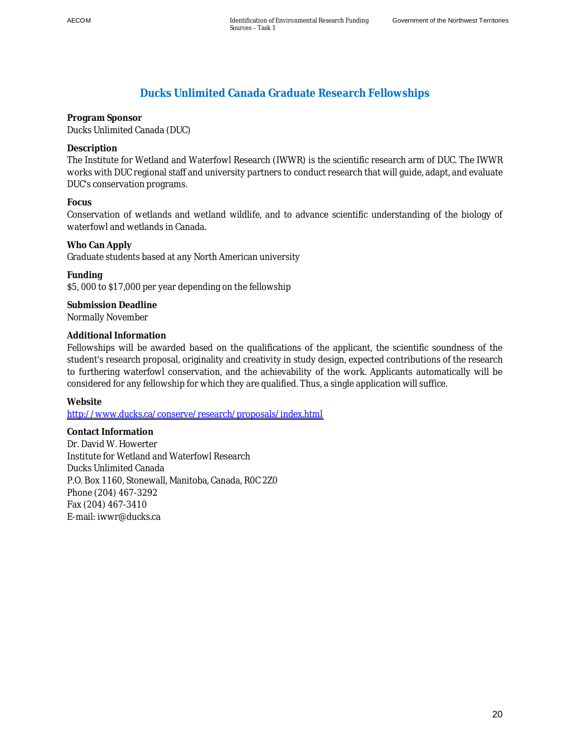## <span id="page-29-0"></span>**Ducks Unlimited Canada Graduate Research Fellowships**

**Program Sponsor**  Ducks Unlimited Canada (DUC)

**Description** 

The Institute for Wetland and Waterfowl Research (IWWR) is the scientific research arm of DUC. The IWWR works with DUC regional staff and university partners to conduct research that will guide, adapt, and evaluate DUC's conservation programs.

**Focus**

Conservation of wetlands and wetland wildlife, and to advance scientific understanding of the biology of waterfowl and wetlands in Canada.

**Who Can Apply** Graduate students based at any North American university

**Funding**  \$5, 000 to \$17,000 per year depending on the fellowship

**Submission Deadline**  Normally November

### **Additional Information**

Fellowships will be awarded based on the qualifications of the applicant, the scientific soundness of the student's research proposal, originality and creativity in study design, expected contributions of the research to furthering waterfowl conservation, and the achievability of the work. Applicants automatically will be considered for any fellowship for which they are qualified. Thus, a single application will suffice.

**Website** 

<http://www.ducks.ca/conserve/research/proposals/index.html>

**Contact Information**  Dr. David W. Howerter Institute for Wetland and Waterfowl Research Ducks Unlimited Canada P.O. Box 1160, Stonewall, Manitoba, Canada, R0C 2Z0 Phone (204) 467-3292 Fax (204) 467-3410 E-mail: iwwr@ducks.ca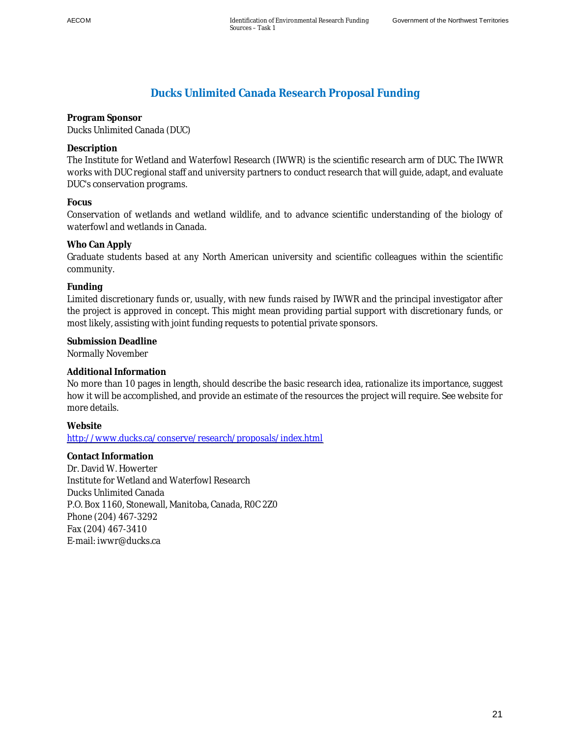## <span id="page-30-0"></span>**Ducks Unlimited Canada Research Proposal Funding**

**Program Sponsor**  Ducks Unlimited Canada (DUC)

**Description** 

The Institute for Wetland and Waterfowl Research (IWWR) is the scientific research arm of DUC. The IWWR works with DUC regional staff and university partners to conduct research that will guide, adapt, and evaluate DUC's conservation programs.

**Focus** 

Conservation of wetlands and wetland wildlife, and to advance scientific understanding of the biology of waterfowl and wetlands in Canada.

### **Who Can Apply**

Graduate students based at any North American university and scientific colleagues within the scientific community.

**Funding** 

Limited discretionary funds or, usually, with new funds raised by IWWR and the principal investigator after the project is approved in concept. This might mean providing partial support with discretionary funds, or most likely, assisting with joint funding requests to potential private sponsors.

**Submission Deadline**  Normally November

**Additional Information** 

No more than 10 pages in length, should describe the basic research idea, rationalize its importance, suggest how it will be accomplished, and provide an estimate of the resources the project will require. See website for more details.

**Website** 

<http://www.ducks.ca/conserve/research/proposals/index.html>

**Contact Information**  Dr. David W. Howerter Institute for Wetland and Waterfowl Research Ducks Unlimited Canada P.O. Box 1160, Stonewall, Manitoba, Canada, R0C 2Z0 Phone (204) 467-3292 Fax (204) 467-3410 E-mail: iwwr@ducks.ca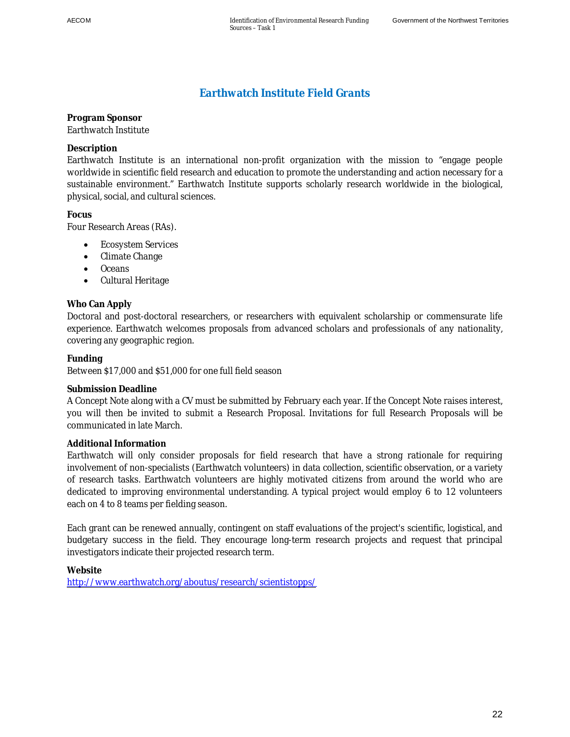# <span id="page-31-0"></span>**Earthwatch Institute Field Grants**

**Program Sponsor**  Earthwatch Institute

### **Description**

Earthwatch Institute is an international non-profit organization with the mission to "engage people worldwide in scientific field research and education to promote the understanding and action necessary for a sustainable environment." Earthwatch Institute supports scholarly research worldwide in the biological, physical, social, and cultural sciences.

**Focus** 

Four Research Areas (RAs).

- Ecosystem Services
- Climate Change
- Oceans
- Cultural Heritage

### **Who Can Apply**

Doctoral and post-doctoral researchers, or researchers with equivalent scholarship or commensurate life experience. Earthwatch welcomes proposals from advanced scholars and professionals of any nationality, covering any geographic region.

**Funding** 

Between \$17,000 and \$51,000 for one full field season

#### **Submission Deadline**

A Concept Note along with a CV must be submitted by February each year. If the Concept Note raises interest, you will then be invited to submit a Research Proposal. Invitations for full Research Proposals will be communicated in late March.

#### **Additional Information**

Earthwatch will only consider proposals for field research that have a strong rationale for requiring involvement of non-specialists (Earthwatch volunteers) in data collection, scientific observation, or a variety of research tasks. Earthwatch volunteers are highly motivated citizens from around the world who are dedicated to improving environmental understanding. A typical project would employ 6 to 12 volunteers each on 4 to 8 teams per fielding season.

Each grant can be renewed annually, contingent on staff evaluations of the project's scientific, logistical, and budgetary success in the field. They encourage long-term research projects and request that principal investigators indicate their projected research term.

**Website**  <http://www.earthwatch.org/aboutus/research/scientistopps/>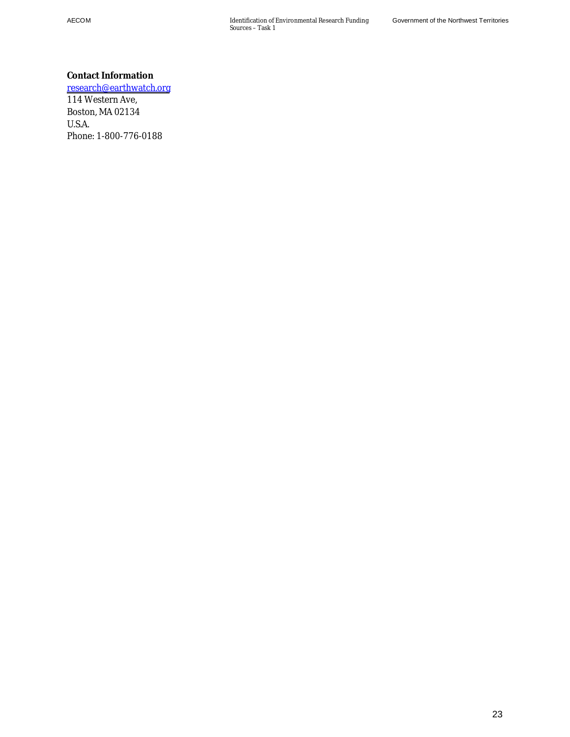AECOM Identification of Environmental Research Funding Sources – Task 1

**Contact Information**  [research@earthwatch.org](mailto:research@earthwatch.org) 114 Western Ave, Boston, MA 02134 U.S.A. Phone: 1-800-776-0188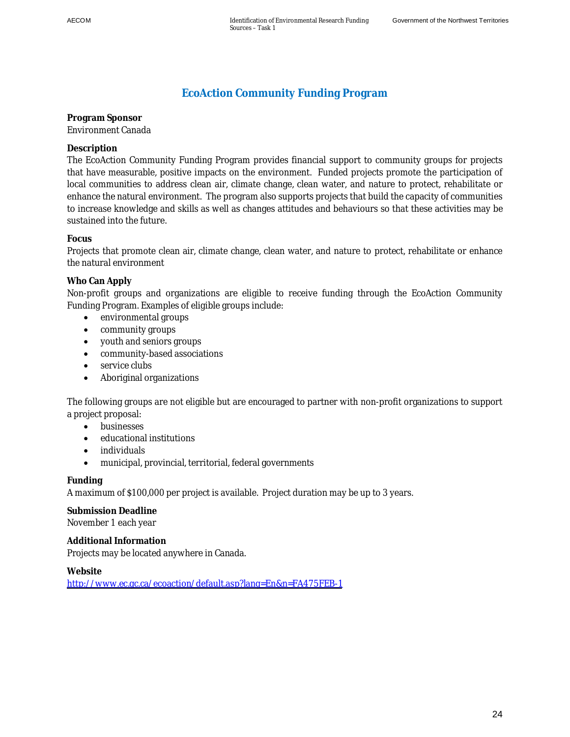# <span id="page-33-0"></span>**EcoAction Community Funding Program**

**Program Sponsor**  Environment Canada

**Description** 

The EcoAction Community Funding Program provides financial support to community groups for projects that have measurable, positive impacts on the environment. Funded projects promote the participation of local communities to address clean air, climate change, clean water, and nature to protect, rehabilitate or enhance the natural environment. The program also supports projects that build the capacity of communities to increase knowledge and skills as well as changes attitudes and behaviours so that these activities may be sustained into the future.

### **Focus**

Projects that promote clean air, climate change, clean water, and nature to protect, rehabilitate or enhance the natural environment

### **Who Can Apply**

Non-profit groups and organizations are eligible to receive funding through the EcoAction Community Funding Program. Examples of eligible groups include:

- environmental groups
- community groups
- youth and seniors groups
- community-based associations
- $\bullet$  service clubs
- Aboriginal organizations

The following groups are not eligible but are encouraged to partner with non-profit organizations to support a project proposal:

- businesses
- x educational institutions
- $\bullet$  individuals
- municipal, provincial, territorial, federal governments

### **Funding**

A maximum of \$100,000 per project is available. Project duration may be up to 3 years.

**Submission Deadline**  November 1 each year

**Additional Information**  Projects may be located anywhere in Canada.

**Website**  <http://www.ec.gc.ca/ecoaction/default.asp?lang=En&n=FA475FEB-1>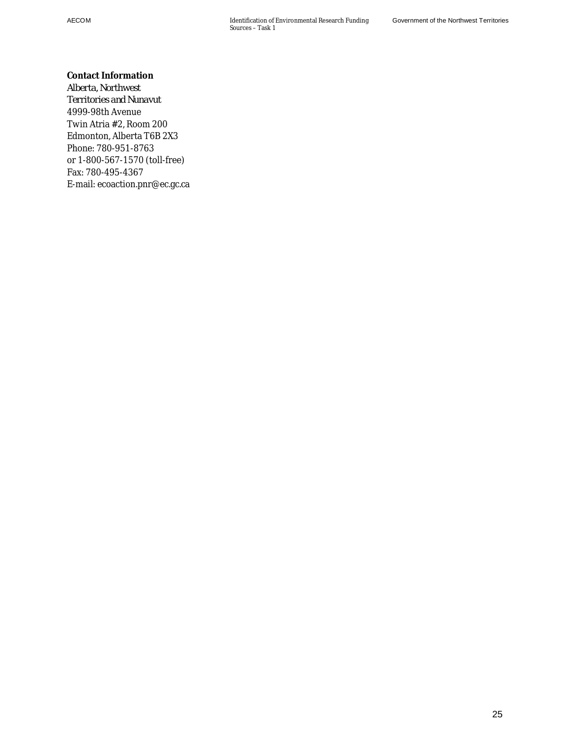**Contact Information**  *Alberta, Northwest Territories and Nunavut*  4999-98th Avenue Twin Atria #2, Room 200 Edmonton, Alberta T6B 2X3 Phone: 780-951-8763 or 1-800-567-1570 (toll-free) Fax: 780-495-4367 E-mail: ecoaction.pnr@ec.gc.ca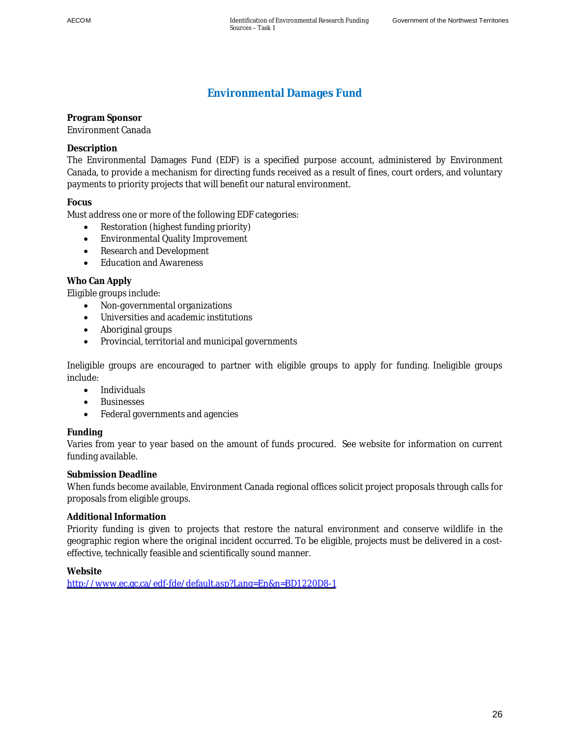### <span id="page-35-0"></span>**Environmental Damages Fund**

**Program Sponsor**  Environment Canada

### **Description**

The Environmental Damages Fund (EDF) is a specified purpose account, administered by Environment Canada, to provide a mechanism for directing funds received as a result of fines, court orders, and voluntary payments to priority projects that will benefit our natural environment.

### **Focus**

Must address one or more of the following EDF categories:

- Restoration (highest funding priority)
- Environmental Quality Improvement
- Research and Development
- Education and Awareness

### **Who Can Apply**

Eligible groups include:

- Non-governmental organizations
- Universities and academic institutions
- Aboriginal groups
- Provincial, territorial and municipal governments

Ineligible groups are encouraged to partner with eligible groups to apply for funding. Ineligible groups include:

- Individuals
- **Businesses**
- Federal governments and agencies

### **Funding**

Varies from year to year based on the amount of funds procured. See website for information on current funding available.

#### **Submission Deadline**

When funds become available, Environment Canada regional offices solicit project proposals through calls for proposals from eligible groups.

### **Additional Information**

Priority funding is given to projects that restore the natural environment and conserve wildlife in the geographic region where the original incident occurred. To be eligible, projects must be delivered in a costeffective, technically feasible and scientifically sound manner.

#### **Website**

<http://www.ec.gc.ca/edf-fde/default.asp?Lang=En&n=BD1220D8-1>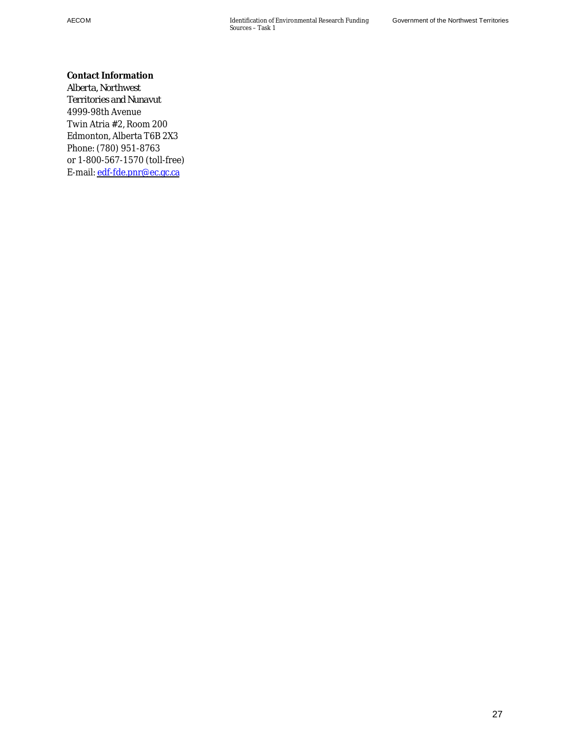**Contact Information**  *Alberta, Northwest Territories and Nunavut*  4999-98th Avenue Twin Atria #2, Room 200 Edmonton, Alberta T6B 2X3 Phone: (780) 951-8763 or 1-800-567-1570 (toll-free) E-mail: [edf-fde.pnr@ec.gc.ca](mailto:edf-fde.pnr@ec.gc.ca)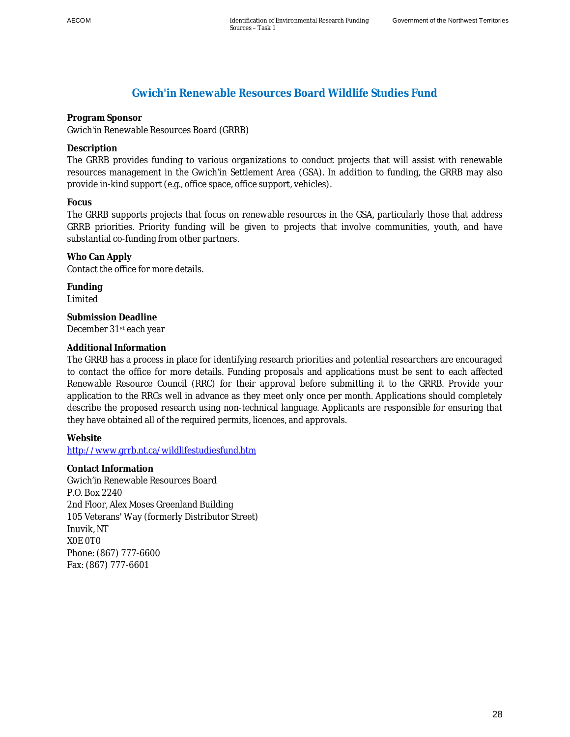## **Gwich'in Renewable Resources Board Wildlife Studies Fund**

**Program Sponsor**  Gwich'in Renewable Resources Board (GRRB)

**Description** 

The GRRB provides funding to various organizations to conduct projects that will assist with renewable resources management in the Gwich'in Settlement Area (GSA). In addition to funding, the GRRB may also provide in-kind support (e.g., office space, office support, vehicles).

**Focus** 

The GRRB supports projects that focus on renewable resources in the GSA, particularly those that address GRRB priorities. Priority funding will be given to projects that involve communities, youth, and have substantial co-funding from other partners.

**Who Can Apply**  Contact the office for more details.

**Funding**  Limited

**Submission Deadline**  December 31st each year

## **Additional Information**

The GRRB has a process in place for identifying research priorities and potential researchers are encouraged to contact the office for more details. Funding proposals and applications must be sent to each affected Renewable Resource Council (RRC) for their approval before submitting it to the GRRB. Provide your application to the RRCs well in advance as they meet only once per month. Applications should completely describe the proposed research using non-technical language. Applicants are responsible for ensuring that they have obtained all of the required permits, licences, and approvals.

**Website** 

http://www.grrb.nt.ca/wildlifestudiesfund.htm

**Contact Information**  Gwich'in Renewable Resources Board P.O. Box 2240 2nd Floor, Alex Moses Greenland Building 105 Veterans' Way (formerly Distributor Street) Inuvik, NT X0E 0T0 Phone: (867) 777-6600 Fax: (867) 777-6601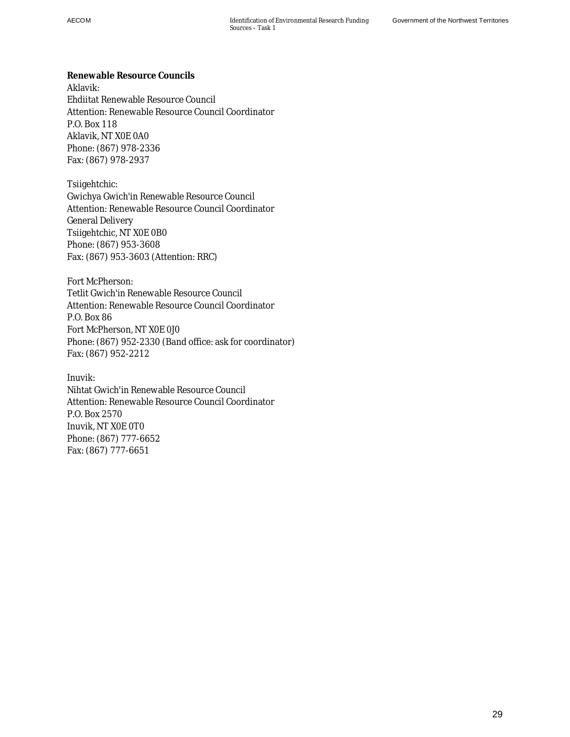**Renewable Resource Councils**  Aklavik: Ehdiitat Renewable Resource Council Attention: Renewable Resource Council Coordinator P.O. Box 118 Aklavik, NT X0E 0A0 Phone: (867) 978-2336 Fax: (867) 978-2937

Tsiigehtchic: Gwichya Gwich'in Renewable Resource Council Attention: Renewable Resource Council Coordinator General Delivery Tsiigehtchic, NT X0E 0B0 Phone: (867) 953-3608 Fax: (867) 953-3603 (Attention: RRC)

Fort McPherson: Tetlit Gwich'in Renewable Resource Council Attention: Renewable Resource Council Coordinator P.O. Box 86 Fort McPherson, NT X0E 0J0 Phone: (867) 952-2330 (Band office: ask for coordinator) Fax: (867) 952-2212

Inuvik: Nihtat Gwich'in Renewable Resource Council Attention: Renewable Resource Council Coordinator P.O. Box 2570 Inuvik, NT X0E 0T0 Phone: (867) 777-6652 Fax: (867) 777-6651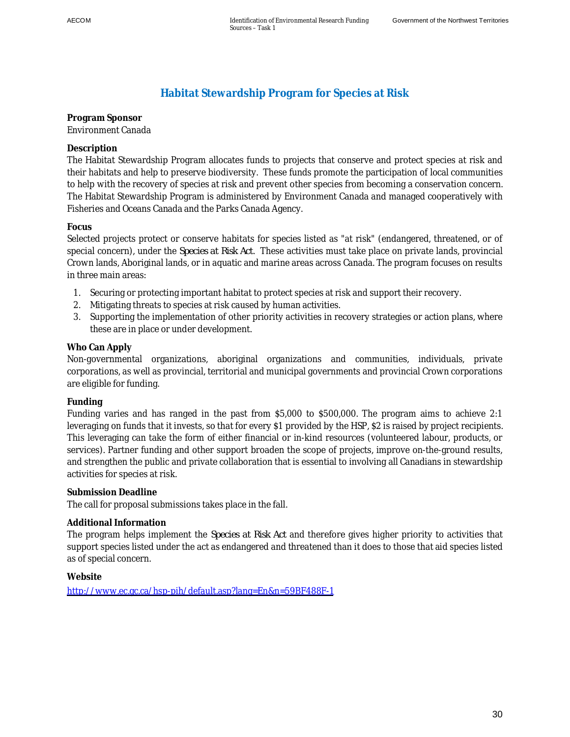# **Habitat Stewardship Program for Species at Risk**

## **Program Sponsor**  Environment Canada

## **Description**

The Habitat Stewardship Program allocates funds to projects that conserve and protect species at risk and their habitats and help to preserve biodiversity. These funds promote the participation of local communities to help with the recovery of species at risk and prevent other species from becoming a conservation concern. The Habitat Stewardship Program is administered by Environment Canada and managed cooperatively with Fisheries and Oceans Canada and the Parks Canada Agency.

## **Focus**

Selected projects protect or conserve habitats for species listed as "at risk" (endangered, threatened, or of special concern), under the *Species at Risk Act*. These activities must take place on private lands, provincial Crown lands, Aboriginal lands, or in aquatic and marine areas across Canada. The program focuses on results in three main areas:

- 1. Securing or protecting important habitat to protect species at risk and support their recovery.
- 2. Mitigating threats to species at risk caused by human activities.
- 3. Supporting the implementation of other priority activities in recovery strategies or action plans, where these are in place or under development.

## **Who Can Apply**

Non-governmental organizations, aboriginal organizations and communities, individuals, private corporations, as well as provincial, territorial and municipal governments and provincial Crown corporations are eligible for funding.

### **Funding**

Funding varies and has ranged in the past from \$5,000 to \$500,000. The program aims to achieve 2:1 leveraging on funds that it invests, so that for every \$1 provided by the HSP, \$2 is raised by project recipients. This leveraging can take the form of either financial or in-kind resources (volunteered labour, products, or services). Partner funding and other support broaden the scope of projects, improve on-the-ground results, and strengthen the public and private collaboration that is essential to involving all Canadians in stewardship activities for species at risk.

### **Submission Deadline**

The call for proposal submissions takes place in the fall.

### **Additional Information**

The program helps implement the *Species at Risk Act* and therefore gives higher priority to activities that support species listed under the act as endangered and threatened than it does to those that aid species listed as of special concern.

### **Website**

<http://www.ec.gc.ca/hsp-pih/default.asp?lang=En&n=59BF488F-1>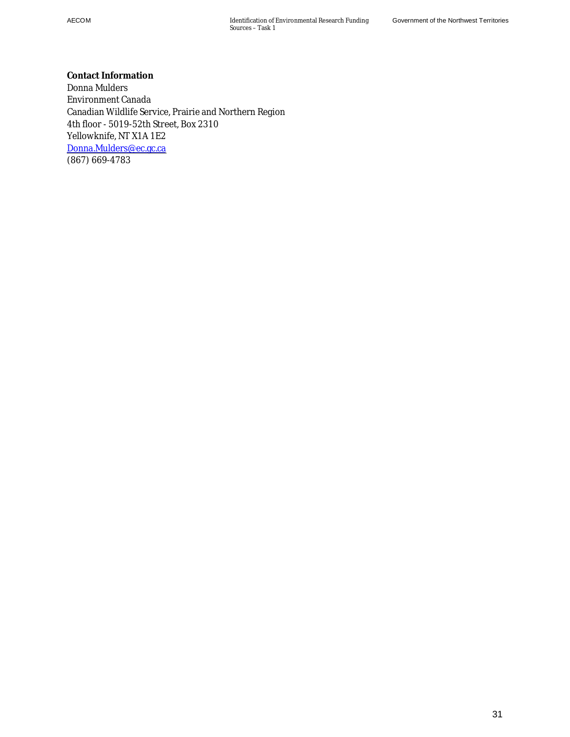**Contact Information**  Donna Mulders Environment Canada Canadian Wildlife Service, Prairie and Northern Region 4th floor - 5019-52th Street, Box 2310 Yellowknife, NT X1A 1E2 [Donna.Mulders@ec.gc.ca](mailto:Donna.Mulders@ec.gc.ca) (867) 669-4783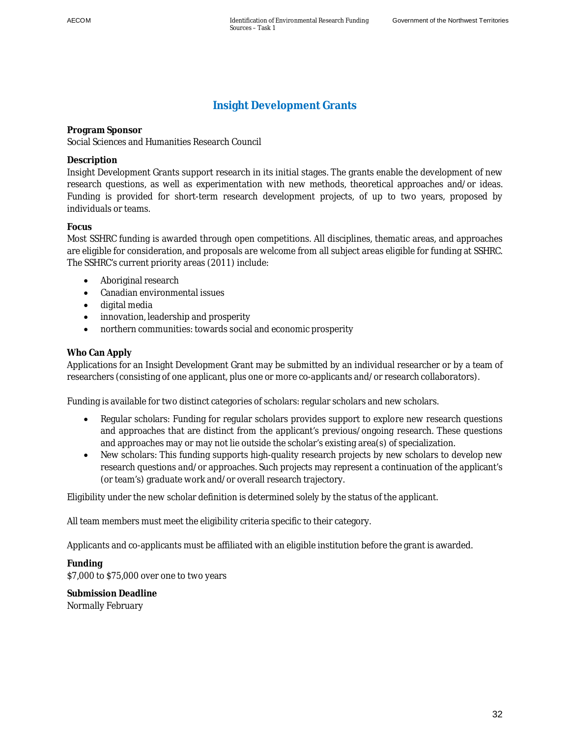## **Insight Development Grants**

**Program Sponsor**  Social Sciences and Humanities Research Council

### **Description**

Insight Development Grants support research in its initial stages. The grants enable the development of new research questions, as well as experimentation with new methods, theoretical approaches and/or ideas. Funding is provided for short-term research development projects, of up to two years, proposed by individuals or teams.

## **Focus**

Most SSHRC funding is awarded through open competitions. All disciplines, thematic areas, and approaches are eligible for consideration, and proposals are welcome from all subject areas eligible for funding at SSHRC. The SSHRC's current priority areas (2011) include:

- Aboriginal research
- Canadian environmental issues
- $\bullet$  digital media
- innovation, leadership and prosperity
- northern communities: towards social and economic prosperity

## **Who Can Apply**

Applications for an Insight Development Grant may be submitted by an individual researcher or by a team of researchers (consisting of one applicant, plus one or more co-applicants and/or research collaborators).

Funding is available for two distinct categories of scholars: regular scholars and new scholars.

- Regular scholars: Funding for regular scholars provides support to explore new research questions and approaches that are distinct from the applicant's previous/ongoing research. These questions and approaches may or may not lie outside the scholar's existing area(s) of specialization.
- New scholars: This funding supports high-quality research projects by new scholars to develop new research questions and/or approaches. Such projects may represent a continuation of the applicant's (or team's) graduate work and/or overall research trajectory.

Eligibility under the new scholar definition is determined solely by the status of the applicant.

All team members must meet the eligibility criteria specific to their category.

Applicants and co-applicants must be affiliated with an eligible institution before the grant is awarded.

**Funding**  \$7,000 to \$75,000 over one to two years

**Submission Deadline**  Normally February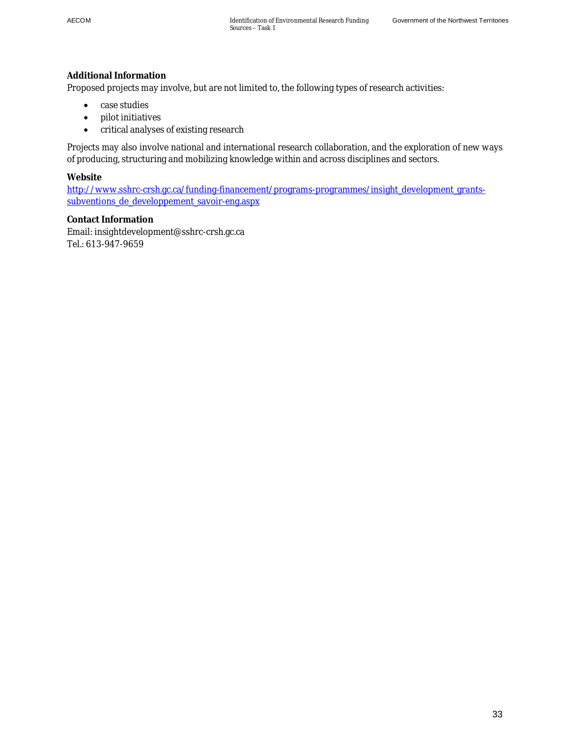### **Additional Information**

Proposed projects may involve, but are not limited to, the following types of research activities:

- $\bullet$  case studies
- pilot initiatives
- critical analyses of existing research

Projects may also involve national and international research collaboration, and the exploration of new ways of producing, structuring and mobilizing knowledge within and across disciplines and sectors.

**Website** 

http://www.sshrc-crsh.gc.ca/funding-financement/programs-programmes/insight\_development\_grantssubventions de developpement savoir-eng.aspx

**Contact Information**  Email: insightdevelopment@sshrc-crsh.gc.ca Tel.: 613-947-9659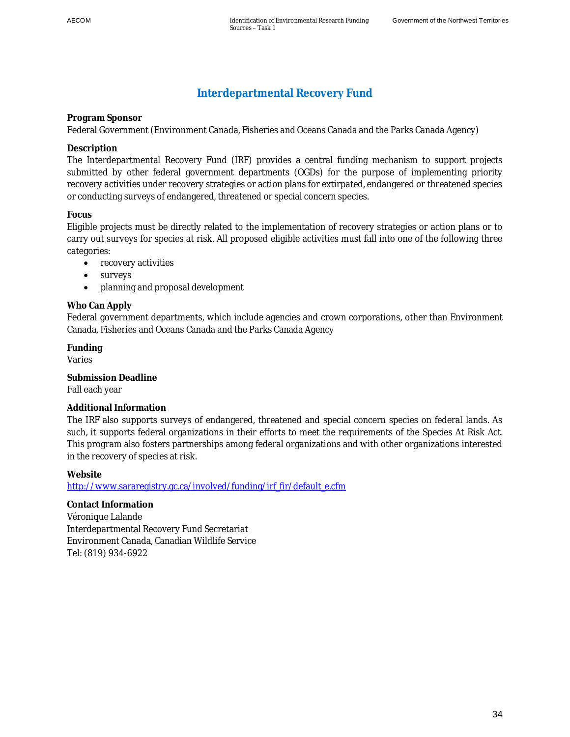## **Interdepartmental Recovery Fund**

**Program Sponsor** 

Federal Government (Environment Canada, Fisheries and Oceans Canada and the Parks Canada Agency)

**Description** 

The Interdepartmental Recovery Fund (IRF) provides a central funding mechanism to support projects submitted by other federal government departments (OGDs) for the purpose of implementing priority recovery activities under recovery strategies or action plans for extirpated, endangered or threatened species or conducting surveys of endangered, threatened or special concern species.

## **Focus**

Eligible projects must be directly related to the implementation of recovery strategies or action plans or to carry out surveys for species at risk. All proposed eligible activities must fall into one of the following three categories:

- recovery activities
- $\bullet$  surveys
- planning and proposal development

## **Who Can Apply**

Federal government departments, which include agencies and crown corporations, other than Environment Canada, Fisheries and Oceans Canada and the Parks Canada Agency

**Funding**  Varies

**Submission Deadline**  Fall each year

### **Additional Information**

The IRF also supports surveys of endangered, threatened and special concern species on federal lands. As such, it supports federal organizations in their efforts to meet the requirements of the Species At Risk Act. This program also fosters partnerships among federal organizations and with other organizations interested in the recovery of species at risk.

**Website** 

http://www.sararegistry.gc.ca/involved/funding/irf\_fir/default\_e.cfm

**Contact Information**  Véronique Lalande Interdepartmental Recovery Fund Secretariat Environment Canada, Canadian Wildlife Service Tel: (819) 934-6922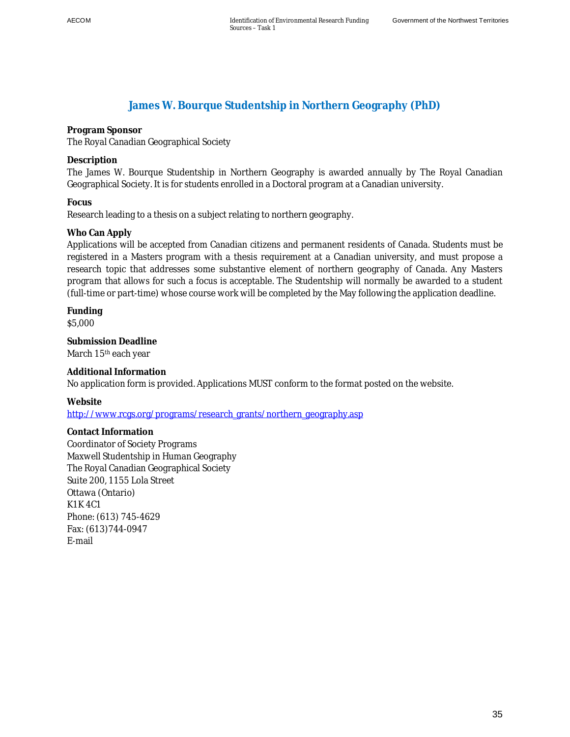## **James W. Bourque Studentship in Northern Geography (PhD)**

**Program Sponsor** 

The Royal Canadian Geographical Society

**Description** 

The James W. Bourque Studentship in Northern Geography is awarded annually by The Royal Canadian Geographical Society. It is for students enrolled in a Doctoral program at a Canadian university.

**Focus** 

Research leading to a thesis on a subject relating to northern geography.

### **Who Can Apply**

Applications will be accepted from Canadian citizens and permanent residents of Canada. Students must be registered in a Masters program with a thesis requirement at a Canadian university, and must propose a research topic that addresses some substantive element of northern geography of Canada. Any Masters program that allows for such a focus is acceptable. The Studentship will normally be awarded to a student (full-time or part-time) whose course work will be completed by the May following the application deadline.

**Funding**  \$5,000

**Submission Deadline**  March 15<sup>th</sup> each year

**Additional Information**  No application form is provided. Applications MUST conform to the format posted on the website.

**Website** 

http://www.rcgs.org/programs/research\_grants/northern\_geography.asp

**Contact Information**  Coordinator of Society Programs Maxwell Studentship in Human Geography The Royal Canadian Geographical Society Suite 200, 1155 Lola Street Ottawa (Ontario) K1K 4C1 Phone: (613) 745-4629 Fax: (613)744-0947 E-mail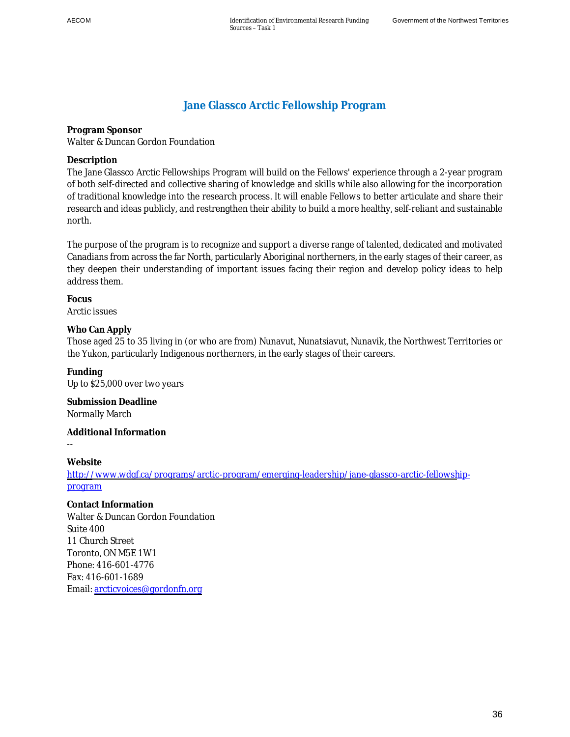# **Jane Glassco Arctic Fellowship Program**

**Program Sponsor**  Walter & Duncan Gordon Foundation

**Description** 

The Jane Glassco Arctic Fellowships Program will build on the Fellows' experience through a 2-year program of both self-directed and collective sharing of knowledge and skills while also allowing for the incorporation of traditional knowledge into the research process. It will enable Fellows to better articulate and share their research and ideas publicly, and restrengthen their ability to build a more healthy, self-reliant and sustainable north.

The purpose of the program is to recognize and support a diverse range of talented, dedicated and motivated Canadians from across the far North, particularly Aboriginal northerners, in the early stages of their career, as they deepen their understanding of important issues facing their region and develop policy ideas to help address them.

**Focus**  Arctic issues

**Who Can Apply** 

Those aged 25 to 35 living in (or who are from) Nunavut, Nunatsiavut, Nunavik, the Northwest Territories or the Yukon, particularly Indigenous northerners, in the early stages of their careers.

**Funding**  Up to \$25,000 over two years

**Submission Deadline**  Normally March

**Additional Information** 

--

**Website**  [http://www.wdgf.ca/programs/arctic-program/emerging-leadership/jane-glassco-arctic-fellowsh](http://www.wdgf.ca/programs/arctic-program/emerging-leadership/jane-glassco-arctic-fellowship-program)ipprogram

**Contact Information**  Walter & Duncan Gordon Foundation Suite 400 11 Church Street Toronto, ON M5E 1W1 Phone: 416-601-4776 Fax: 416-601-1689 Email: [arcticvoices@gordonfn.org](mailto:arcticvoices@gordonfn.org)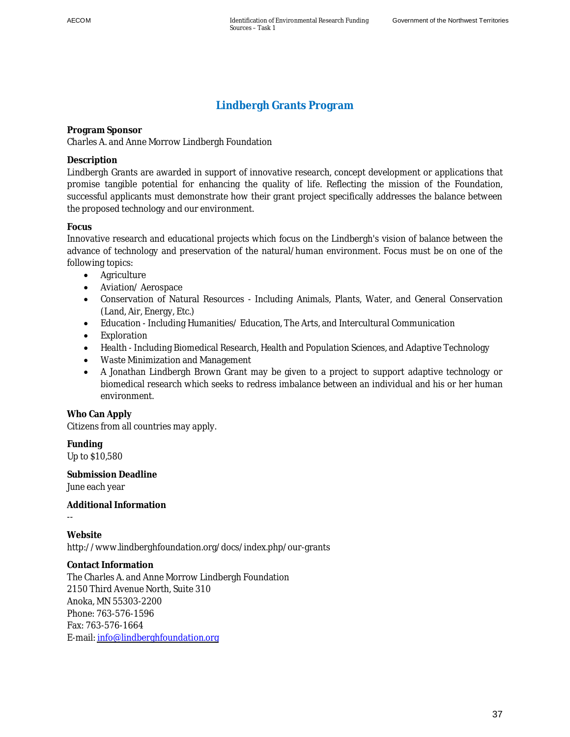# **Lindbergh Grants Program**

**Program Sponsor**  Charles A. and Anne Morrow Lindbergh Foundation

### **Description**

Lindbergh Grants are awarded in support of innovative research, concept development or applications that promise tangible potential for enhancing the quality of life. Reflecting the mission of the Foundation, successful applicants must demonstrate how their grant project specifically addresses the balance between the proposed technology and our environment.

## **Focus**

Innovative research and educational projects which focus on the Lindbergh's vision of balance between the advance of technology and preservation of the natural/human environment. Focus must be on one of the following topics:

- Agriculture
- Aviation/ Aerospace
- Conservation of Natural Resources Including Animals, Plants, Water, and General Conservation (Land, Air, Energy, Etc.)
- Education Including Humanities/ Education, The Arts, and Intercultural Communication
- Exploration
- Health Including Biomedical Research, Health and Population Sciences, and Adaptive Technology
- Waste Minimization and Management
- A Jonathan Lindbergh Brown Grant may be given to a project to support adaptive technology or biomedical research which seeks to redress imbalance between an individual and his or her human environment.

**Who Can Apply**  Citizens from all countries may apply.

**Funding**  Up to \$10,580

--

**Submission Deadline**  June each year

**Additional Information** 

**Website**  http://www.lindberghfoundation.org/docs/index.php/our-grants

**Contact Information**  The Charles A. and Anne Morrow Lindbergh Foundation 2150 Third Avenue North, Suite 310 Anoka, MN 55303-2200 Phone: 763-576-1596 Fax: 763-576-1664 E-mail: [info@lindberghfoundation.org](mailto:info@lindberghfoundation.org)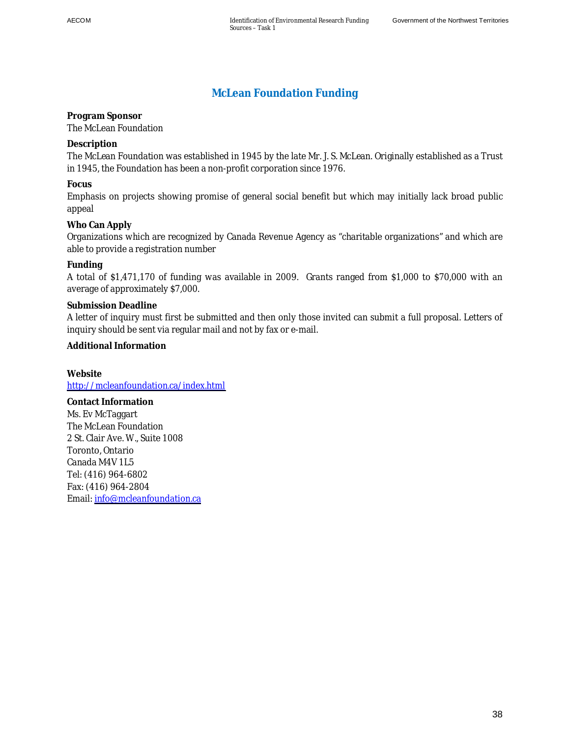# **McLean Foundation Funding**

**Program Sponsor**  The McLean Foundation

**Description** 

The McLean Foundation was established in 1945 by the late Mr. J. S. McLean. Originally established as a Trust in 1945, the Foundation has been a non-profit corporation since 1976.

**Focus** 

Emphasis on projects showing promise of general social benefit but which may initially lack broad public appeal

**Who Can Apply** 

Organizations which are recognized by Canada Revenue Agency as "charitable organizations" and which are able to provide a registration number

#### **Funding**

A total of \$1,471,170 of funding was available in 2009. Grants ranged from \$1,000 to \$70,000 with an average of approximately \$7,000.

**Submission Deadline** 

A letter of inquiry must first be submitted and then only those invited can submit a full proposal. Letters of inquiry should be sent via regular mail and not by fax or e-mail.

**Additional Information** 

**Website**  <http://mcleanfoundation.ca/index.html>

**Contact Information**  Ms. Ev McTaggart The McLean Foundation 2 St. Clair Ave. W., Suite 1008 Toronto, Ontario Canada M4V 1L5 Tel: (416) 964-6802 Fax: (416) 964-2804 Email: [info@mcleanfoundation.ca](mailto:info@mcleanfoundation.ca)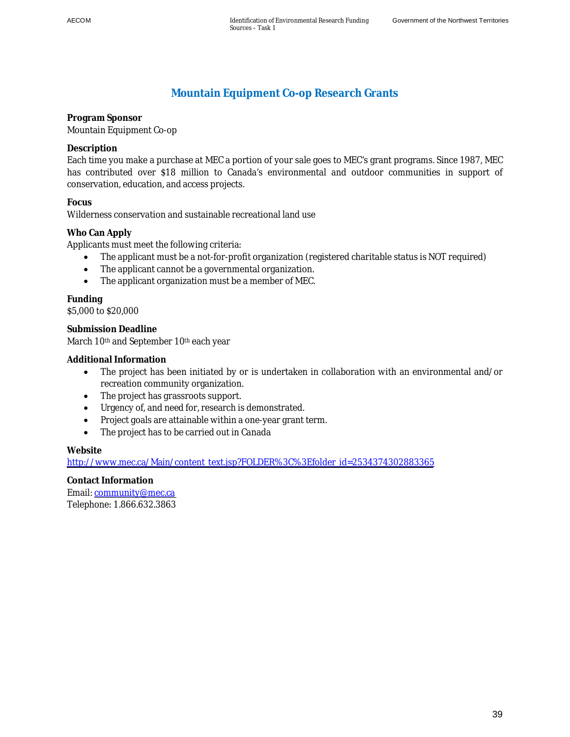## **Mountain Equipment Co-op Research Grants**

**Program Sponsor**  Mountain Equipment Co-op

**Description** 

Each time you make a purchase at MEC a portion of your sale goes to MEC's grant programs. Since 1987, MEC has contributed over \$18 million to Canada's environmental and outdoor communities in support of conservation, education, and access projects.

**Focus** 

Wilderness conservation and sustainable recreational land use

**Who Can Apply** 

Applicants must meet the following criteria:

- The applicant must be a not-for-profit organization (registered charitable status is NOT required)
- The applicant cannot be a governmental organization.
- The applicant organization must be a member of MEC.

**Funding**  \$5,000 to \$20,000

**Submission Deadline**  March 10<sup>th</sup> and September 10<sup>th</sup> each year

### **Additional Information**

- The project has been initiated by or is undertaken in collaboration with an environmental and/or recreation community organization.
- The project has grassroots support.
- Urgency of, and need for, research is demonstrated.
- Project goals are attainable within a one-year grant term.
- The project has to be carried out in Canada

#### **Website**

[http://www.mec.ca/Main/content\\_text.jsp?FOLDER%3C%3Efolder\\_id=2534374302883365](http://www.mec.ca/Main/content_text.jsp?FOLDER%3C%3Efolder_id=2534374302883365)

**Contact Information**  Email: [community@mec.ca](mailto:community@mec.ca) Telephone: 1.866.632.3863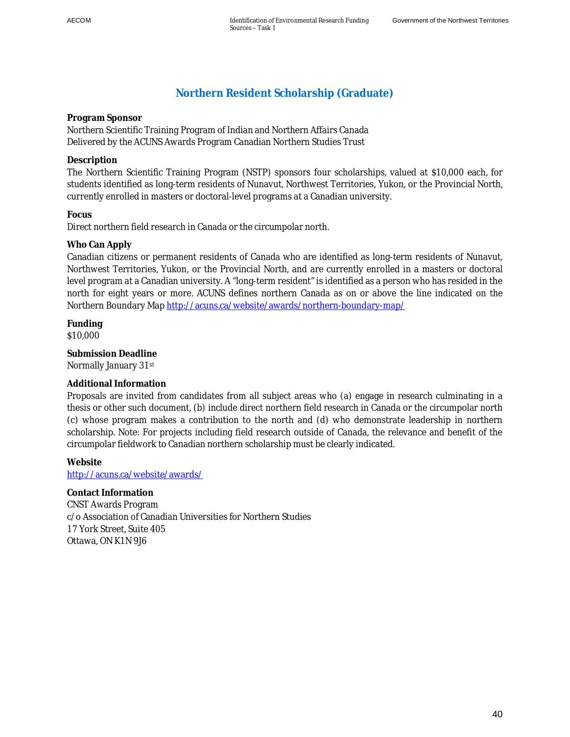## **Northern Resident Scholarship (Graduate)**

**Program Sponsor** 

Northern Scientific Training Program of Indian and Northern Affairs Canada Delivered by the ACUNS Awards Program Canadian Northern Studies Trust

### **Description**

The Northern Scientific Training Program (NSTP) sponsors four scholarships, valued at \$10,000 each, for students identified as long-term residents of Nunavut, Northwest Territories, Yukon, or the Provincial North, currently enrolled in masters or doctoral-level programs at a Canadian university.

## **Focus**

Direct northern field research in Canada or the circumpolar north.

## **Who Can Apply**

Canadian citizens or permanent residents of Canada who are identified as long-term residents of Nunavut, Northwest Territories, Yukon, or the Provincial North, and are currently enrolled in a masters or doctoral level program at a Canadian university. A "long-term resident" is identified as a person who has resided in the north for eight years or more. ACUNS defines northern Canada as on or above the line indicated on the Northern Boundary Map http://acuns.ca/website/awards/northern-boundary-map/

**Funding**  \$10,000

**Submission Deadline**  Normally January 31st

## **Additional Information**

Proposals are invited from candidates from all subject areas who (a) engage in research culminating in a thesis or other such document, (b) include direct northern field research in Canada or the circumpolar north (c) whose program makes a contribution to the north and (d) who demonstrate leadership in northern scholarship. Note: For projects including field research outside of Canada, the relevance and benefit of the circumpolar fieldwork to Canadian northern scholarship must be clearly indicated.

**Website**  http://acuns.ca/website/awards/

**Contact Information**  CNST Awards Program c/o Association of Canadian Universities for Northern Studies 17 York Street, Suite 405 Ottawa, ON K1N 9J6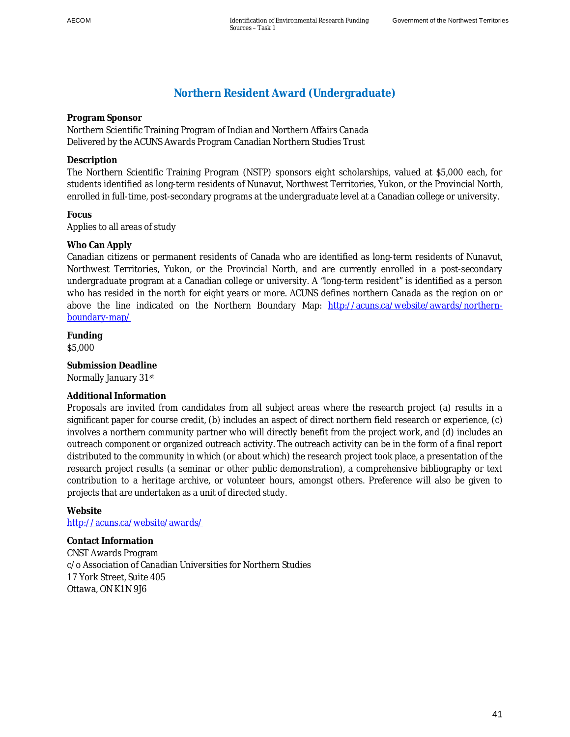## **Northern Resident Award (Undergraduate)**

**Program Sponsor** 

Northern Scientific Training Program of Indian and Northern Affairs Canada Delivered by the ACUNS Awards Program Canadian Northern Studies Trust

### **Description**

The Northern Scientific Training Program (NSTP) sponsors eight scholarships, valued at \$5,000 each, for students identified as long-term residents of Nunavut, Northwest Territories, Yukon, or the Provincial North, enrolled in full-time, post-secondary programs at the undergraduate level at a Canadian college or university.

**Focus**  Applies to all areas of study

### **Who Can Apply**

Canadian citizens or permanent residents of Canada who are identified as long-term residents of Nunavut, Northwest Territories, Yukon, or the Provincial North, and are currently enrolled in a post-secondary undergraduate program at a Canadian college or university. A "long-term resident" is identified as a person who has resided in the north for eight years or more. ACUNS defines northern Canada as the region on or above the line indicated on the Northern Boundary Map: http://acuns.ca/website/awards/northernboundary-map/

**Funding**  \$5,000

**Submission Deadline**  Normally January 31st

### **Additional Information**

Proposals are invited from candidates from all subject areas where the research project (a) results in a significant paper for course credit, (b) includes an aspect of direct northern field research or experience, (c) involves a northern community partner who will directly benefit from the project work, and (d) includes an outreach component or organized outreach activity. The outreach activity can be in the form of a final report distributed to the community in which (or about which) the research project took place, a presentation of the research project results (a seminar or other public demonstration), a comprehensive bibliography or text contribution to a heritage archive, or volunteer hours, amongst others. Preference will also be given to projects that are undertaken as a unit of directed study.

#### **Website**

http://acuns.ca/website/awards/

**Contact Information**  CNST Awards Program c/o Association of Canadian Universities for Northern Studies 17 York Street, Suite 405 Ottawa, ON K1N 9J6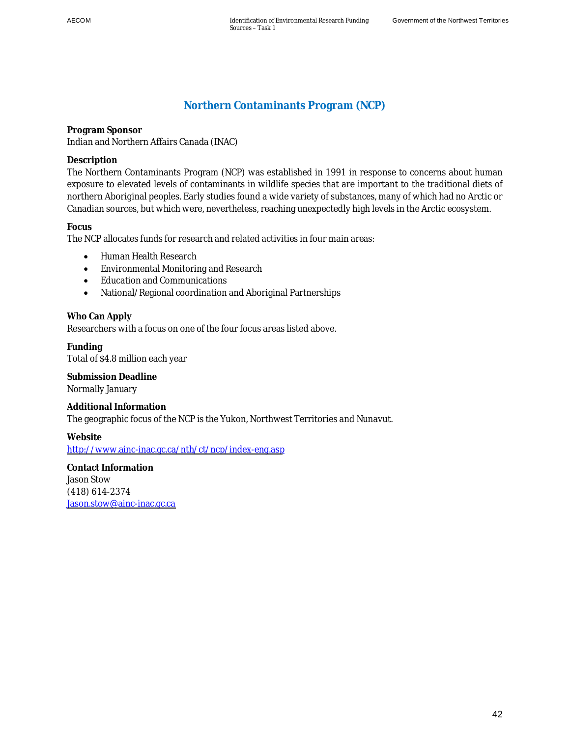# **Northern Contaminants Program (NCP)**

**Program Sponsor**  Indian and Northern Affairs Canada (INAC)

**Description** 

The Northern Contaminants Program (NCP) was established in 1991 in response to concerns about human exposure to elevated levels of contaminants in wildlife species that are important to the traditional diets of northern Aboriginal peoples. Early studies found a wide variety of substances, many of which had no Arctic or Canadian sources, but which were, nevertheless, reaching unexpectedly high levels in the Arctic ecosystem.

**Focus** 

The NCP allocates funds for research and related activities in four main areas:

- Human Health Research
- Environmental Monitoring and Research
- Education and Communications
- National/Regional coordination and Aboriginal Partnerships

**Who Can Apply** 

Researchers with a focus on one of the four focus areas listed above.

**Funding**  Total of \$4.8 million each year

**Submission Deadline**  Normally January

**Additional Information**  The geographic focus of the NCP is the Yukon, Northwest Territories and Nunavut.

**Website** 

<http://www.ainc-inac.gc.ca/nth/ct/ncp/index-eng.asp>

**Contact Information**  Jason Stow (418) 614-2374 [Jason.stow@ainc-inac.gc.ca](mailto:Jason.stow@ainc-inac.gc.ca)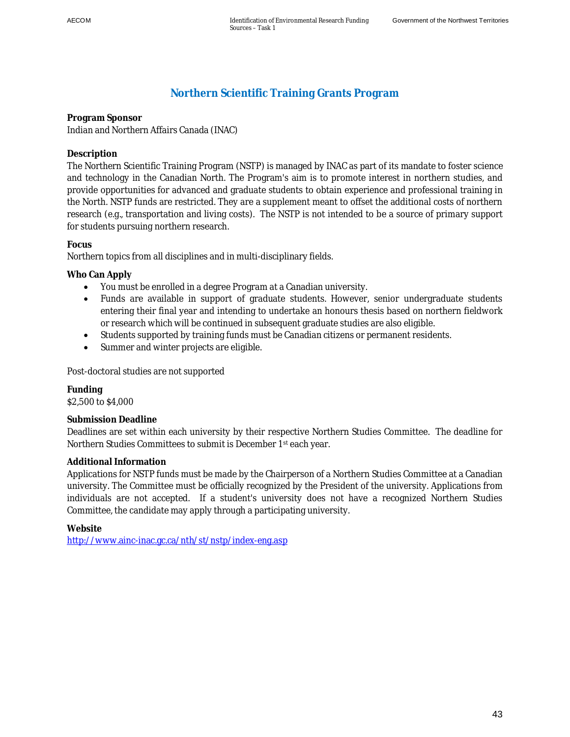# **Northern Scientific Training Grants Program**

**Program Sponsor**  Indian and Northern Affairs Canada (INAC)

### **Description**

The Northern Scientific Training Program (NSTP) is managed by INAC as part of its mandate to foster science and technology in the Canadian North. The Program's aim is to promote interest in northern studies, and provide opportunities for advanced and graduate students to obtain experience and professional training in the North. NSTP funds are restricted. They are a supplement meant to offset the additional costs of northern research (e.g., transportation and living costs). The NSTP is not intended to be a source of primary support for students pursuing northern research.

### **Focus**

Northern topics from all disciplines and in multi-disciplinary fields.

**Who Can Apply** 

- You must be enrolled in a degree Program at a Canadian university.
- Funds are available in support of graduate students. However, senior undergraduate students entering their final year and intending to undertake an honours thesis based on northern fieldwork or research which will be continued in subsequent graduate studies are also eligible.
- Students supported by training funds must be Canadian citizens or permanent residents.
- Summer and winter projects are eligible.

Post-doctoral studies are not supported

**Funding**  \$2,500 to \$4,000

### **Submission Deadline**

Deadlines are set within each university by their respective Northern Studies Committee. The deadline for Northern Studies Committees to submit is December 1st each year.

### **Additional Information**

Applications for NSTP funds must be made by the Chairperson of a Northern Studies Committee at a Canadian university. The Committee must be officially recognized by the President of the university. Applications from individuals are not accepted. If a student's university does not have a recognized Northern Studies Committee, the candidate may apply through a participating university.

**Website**  http://www.ainc-inac.gc.ca/nth/st/nstp/index-eng.asp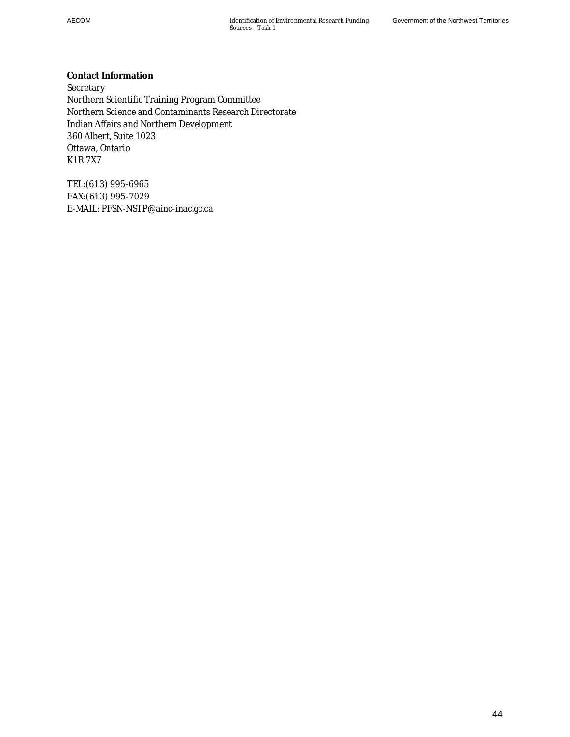**Contact Information Secretary** Northern Scientific Training Program Committee Northern Science and Contaminants Research Directorate Indian Affairs and Northern Development 360 Albert, Suite 1023 Ottawa, Ontario K1R 7X7

TEL:(613) 995-6965 FAX:(613) 995-7029 E-MAIL: PFSN-NSTP@ainc-inac.gc.ca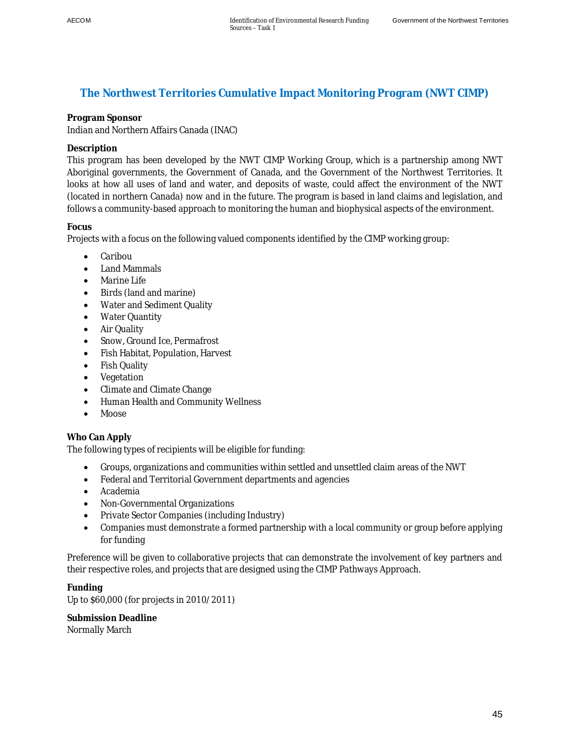## **The Northwest Territories Cumulative Impact Monitoring Program (NWT CIMP)**

## **Program Sponsor**

Indian and Northern Affairs Canada (INAC)

## **Description**

This program has been developed by the NWT CIMP Working Group, which is a partnership among NWT Aboriginal governments, the Government of Canada, and the Government of the Northwest Territories. It looks at how all uses of land and water, and deposits of waste, could affect the environment of the NWT (located in northern Canada) now and in the future. The program is based in land claims and legislation, and follows a community-based approach to monitoring the human and biophysical aspects of the environment.

## **Focus**

Projects with a focus on the following valued components identified by the CIMP working group:

- Caribou
- Land Mammals
- Marine Life
- Birds (land and marine)
- Water and Sediment Quality
- Water Quantity
- Air Quality
- Snow, Ground Ice, Permafrost
- Fish Habitat, Population, Harvest
- Fish Quality
- Vegetation
- Climate and Climate Change
- Human Health and Community Wellness
- $\bullet$  Moose

## **Who Can Apply**

The following types of recipients will be eligible for funding:

- Groups, organizations and communities within settled and unsettled claim areas of the NWT
- Federal and Territorial Government departments and agencies
- Academia
- Non-Governmental Organizations
- Private Sector Companies (including Industry)
- Companies must demonstrate a formed partnership with a local community or group before applying for funding

Preference will be given to collaborative projects that can demonstrate the involvement of key partners and their respective roles, and projects that are designed using the CIMP Pathways Approach.

**Funding**  Up to \$60,000 (for projects in 2010/2011)

**Submission Deadline**  Normally March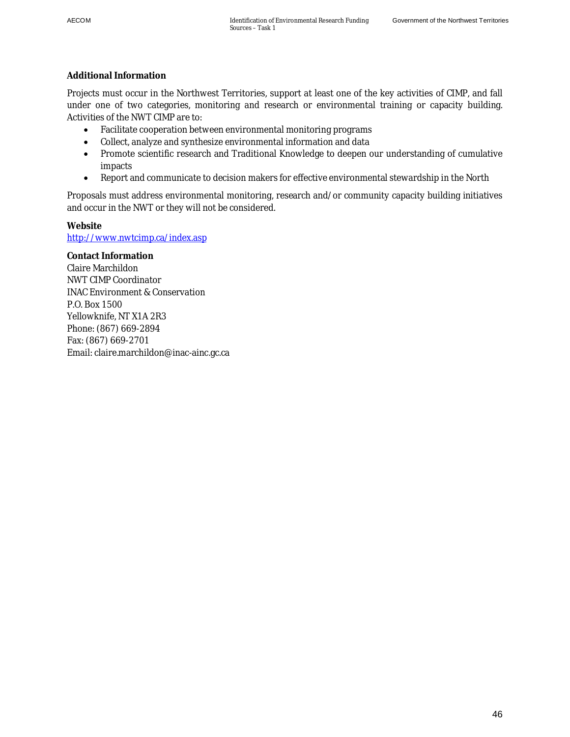### **Additional Information**

Projects must occur in the Northwest Territories, support at least one of the key activities of CIMP, and fall under one of two categories, monitoring and research or environmental training or capacity building. Activities of the NWT CIMP are to:

- Facilitate cooperation between environmental monitoring programs
- Collect, analyze and synthesize environmental information and data
- Promote scientific research and Traditional Knowledge to deepen our understanding of cumulative impacts
- Report and communicate to decision makers for effective environmental stewardship in the North

Proposals must address environmental monitoring, research and/or community capacity building initiatives and occur in the NWT or they will not be considered.

**Website** 

http://www.nwtcimp.ca/index.asp

**Contact Information**  Claire Marchildon NWT CIMP Coordinator INAC Environment & Conservation P.O. Box 1500 Yellowknife, NT X1A 2R3 Phone: (867) 669-2894 Fax: (867) 669-2701 Email: claire.marchildon@inac-ainc.gc.ca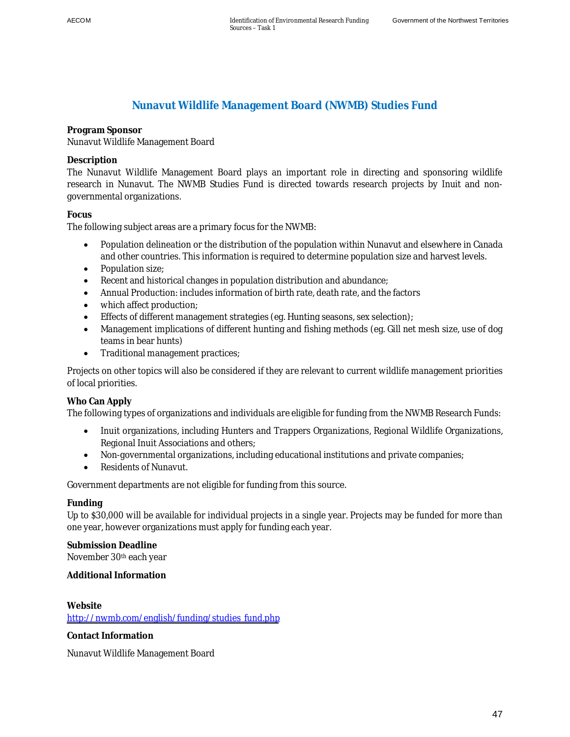## **Nunavut Wildlife Management Board (NWMB) Studies Fund**

**Program Sponsor** 

Nunavut Wildlife Management Board

## **Description**

The Nunavut Wildlife Management Board plays an important role in directing and sponsoring wildlife research in Nunavut. The NWMB Studies Fund is directed towards research projects by Inuit and nongovernmental organizations.

## **Focus**

The following subject areas are a primary focus for the NWMB:

- Population delineation or the distribution of the population within Nunavut and elsewhere in Canada and other countries. This information is required to determine population size and harvest levels.
- Population size;
- Recent and historical changes in population distribution and abundance;
- Annual Production: includes information of birth rate, death rate, and the factors
- which affect production;
- **Effects of different management strategies (eg. Hunting seasons, sex selection);**
- Management implications of different hunting and fishing methods (eg. Gill net mesh size, use of dog teams in bear hunts)
- Traditional management practices;

Projects on other topics will also be considered if they are relevant to current wildlife management priorities of local priorities.

### **Who Can Apply**

The following types of organizations and individuals are eligible for funding from the NWMB Research Funds:

- Inuit organizations, including Hunters and Trappers Organizations, Regional Wildlife Organizations, Regional Inuit Associations and others;
- Non-governmental organizations, including educational institutions and private companies;
- Residents of Nunavut.

Government departments are not eligible for funding from this source.

### **Funding**

Up to \$30,000 will be available for individual projects in a single year. Projects may be funded for more than one year, however organizations must apply for funding each year.

**Submission Deadline**  November 30th each year

**Additional Information** 

**Website**  [http://nwmb.com/english/funding/studies\\_fund.php](http://nwmb.com/english/funding/studies_fund.php)

**Contact Information** 

Nunavut Wildlife Management Board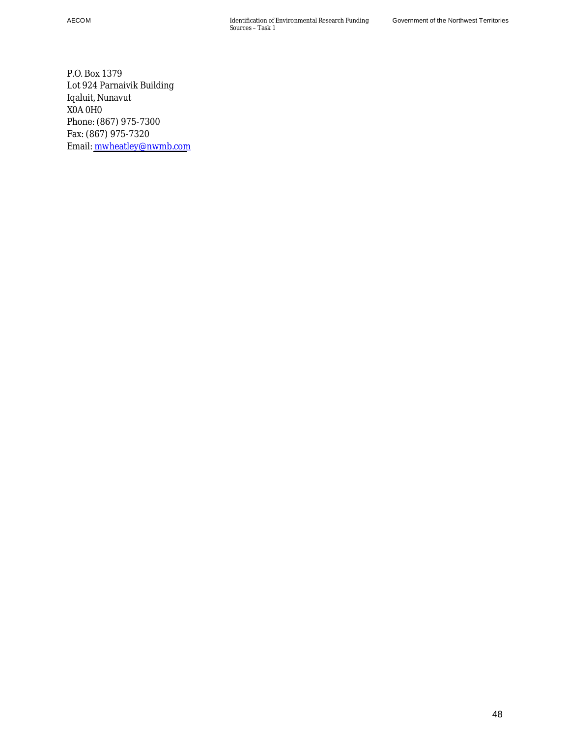AECOM Identification of Environmental Research Funding Sources – Task 1

P.O. Box 1379 Lot 924 Parnaivik Building Iqaluit, Nunavut X0A 0H0 Phone: (867) 975-7300 Fax: (867) 975-7320 Email: [mwheatley@nwmb.com](mailto:mwheatley@nwmb.com)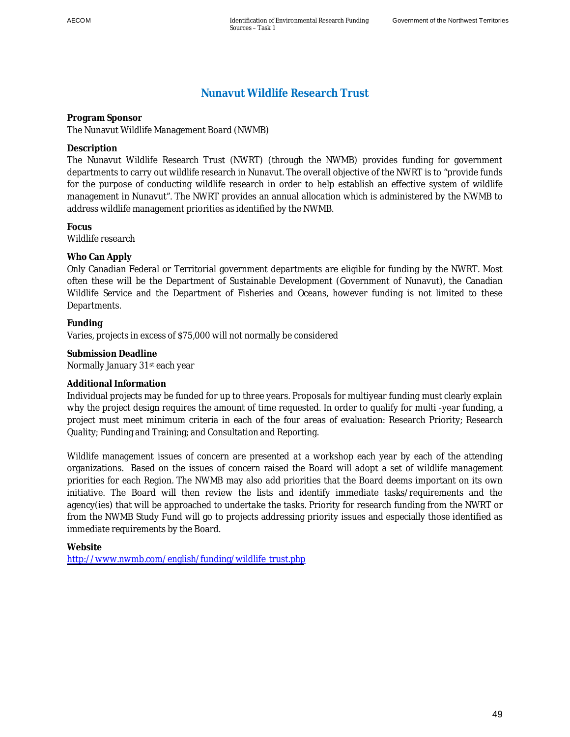## **Nunavut Wildlife Research Trust**

**Program Sponsor**  The Nunavut Wildlife Management Board (NWMB)

**Description** 

The Nunavut Wildlife Research Trust (NWRT) (through the NWMB) provides funding for government departments to carry out wildlife research in Nunavut. The overall objective of the NWRT is to "provide funds for the purpose of conducting wildlife research in order to help establish an effective system of wildlife management in Nunavut". The NWRT provides an annual allocation which is administered by the NWMB to address wildlife management priorities as identified by the NWMB.

**Focus**  Wildlife research

**Who Can Apply** 

Only Canadian Federal or Territorial government departments are eligible for funding by the NWRT. Most often these will be the Department of Sustainable Development (Government of Nunavut), the Canadian Wildlife Service and the Department of Fisheries and Oceans, however funding is not limited to these Departments.

**Funding**  Varies, projects in excess of \$75,000 will not normally be considered

**Submission Deadline**  Normally January 31st each year

**Additional Information** 

Individual projects may be funded for up to three years. Proposals for multiyear funding must clearly explain why the project design requires the amount of time requested. In order to qualify for multi -year funding, a project must meet minimum criteria in each of the four areas of evaluation: Research Priority; Research Quality; Funding and Training; and Consultation and Reporting.

Wildlife management issues of concern are presented at a workshop each year by each of the attending organizations. Based on the issues of concern raised the Board will adopt a set of wildlife management priorities for each Region. The NWMB may also add priorities that the Board deems important on its own initiative. The Board will then review the lists and identify immediate tasks/requirements and the agency(ies) that will be approached to undertake the tasks. Priority for research funding from the NWRT or from the NWMB Study Fund will go to projects addressing priority issues and especially those identified as immediate requirements by the Board.

**Website**  [http://www.nwmb.com/english/funding/wildlife\\_trust.php](http://www.nwmb.com/english/funding/wildlife_trust.php)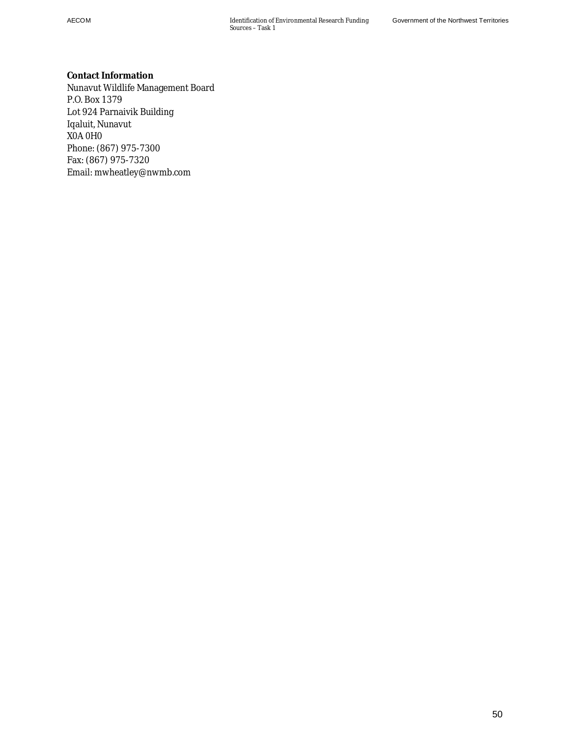**Contact Information**  Nunavut Wildlife Management Board P.O. Box 1379 Lot 924 Parnaivik Building Iqaluit, Nunavut X0A 0H0 Phone: (867) 975-7300 Fax: (867) 975-7320 Email: mwheatley@nwmb.com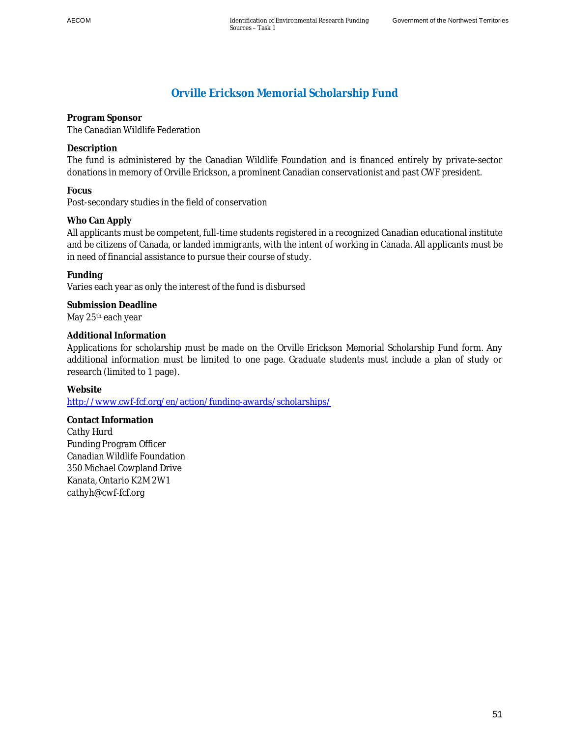## **Orville Erickson Memorial Scholarship Fund**

**Program Sponsor**  The Canadian Wildlife Federation

**Description** 

The fund is administered by the Canadian Wildlife Foundation and is financed entirely by private-sector donations in memory of Orville Erickson, a prominent Canadian conservationist and past CWF president.

**Focus** 

Post-secondary studies in the field of conservation

**Who Can Apply** 

All applicants must be competent, full-time students registered in a recognized Canadian educational institute and be citizens of Canada, or landed immigrants, with the intent of working in Canada. All applicants must be in need of financial assistance to pursue their course of study.

**Funding** 

Varies each year as only the interest of the fund is disbursed

**Submission Deadline**  May 25<sup>th</sup> each year

**Additional Information** 

Applications for scholarship must be made on the Orville Erickson Memorial Scholarship Fund form. Any additional information must be limited to one page. Graduate students must include a plan of study or research (limited to 1 page).

**Website** 

<http://www.cwf-fcf.org/en/action/funding-awards/scholarships/>

**Contact Information**  Cathy Hurd Funding Program Officer Canadian Wildlife Foundation 350 Michael Cowpland Drive Kanata, Ontario K2M 2W1 cathyh@cwf-fcf.org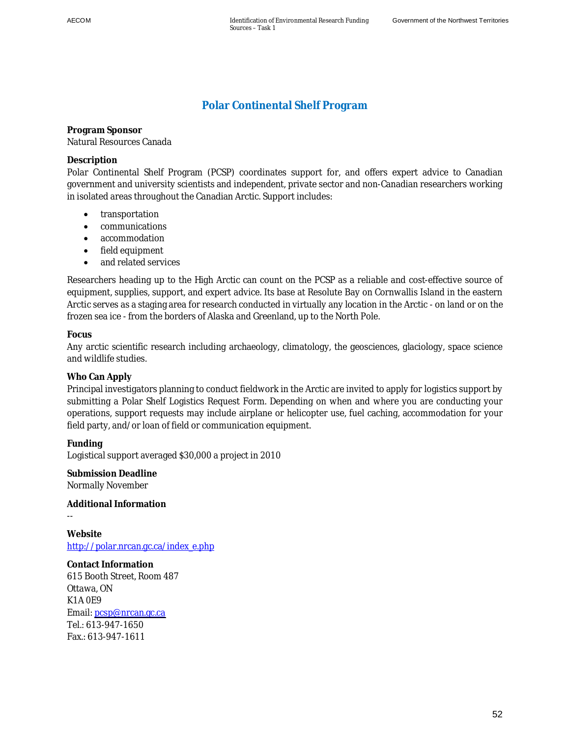# **Polar Continental Shelf Program**

**Program Sponsor**  Natural Resources Canada

#### **Description**

Polar Continental Shelf Program (PCSP) coordinates support for, and offers expert advice to Canadian government and university scientists and independent, private sector and non-Canadian researchers working in isolated areas throughout the Canadian Arctic. Support includes:

- transportation
- communications
- accommodation
- field equipment
- and related services

Researchers heading up to the High Arctic can count on the PCSP as a reliable and cost-effective source of equipment, supplies, support, and expert advice. Its base at Resolute Bay on Cornwallis Island in the eastern Arctic serves as a staging area for research conducted in virtually any location in the Arctic - on land or on the frozen sea ice - from the borders of Alaska and Greenland, up to the North Pole.

### **Focus**

--

Any arctic scientific research including archaeology, climatology, the geosciences, glaciology, space science and wildlife studies.

### **Who Can Apply**

Principal investigators planning to conduct fieldwork in the Arctic are invited to apply for logistics support by submitting a Polar Shelf Logistics Request Form. Depending on when and where you are conducting your operations, support requests may include airplane or helicopter use, fuel caching, accommodation for your field party, and/or loan of field or communication equipment.

**Funding**  Logistical support averaged \$30,000 a project in 2010

**Submission Deadline**  Normally November

**Additional Information** 

**Website**  http://polar.nrcan.gc.ca/index\_e.php

**Contact Information**  615 Booth Street, Room 487 Ottawa, ON K1A 0E9 Email: [pcsp@nrcan.gc.ca](mailto:pcsp@nrcan.gc.ca)  Tel.: 613-947-1650 Fax.: 613-947-1611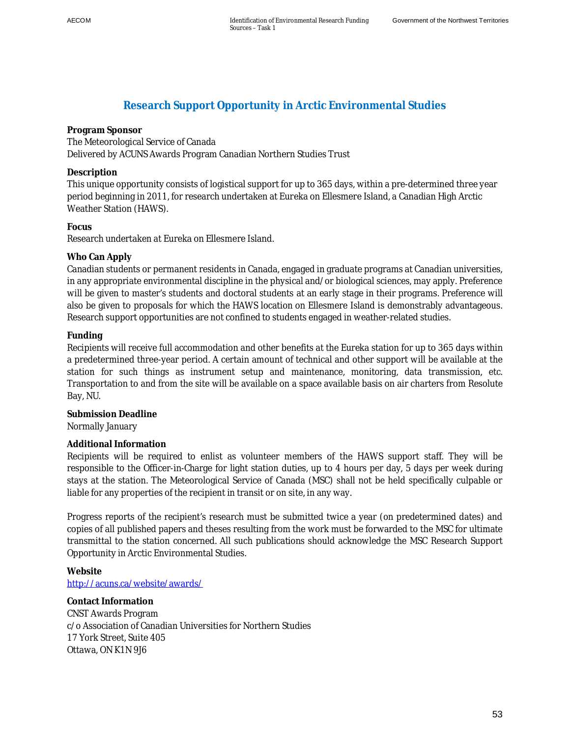## **Research Support Opportunity in Arctic Environmental Studies**

### **Program Sponsor**

## The Meteorological Service of Canada

Delivered by ACUNS Awards Program Canadian Northern Studies Trust

### **Description**

This unique opportunity consists of logistical support for up to 365 days, within a pre-determined three year period beginning in 2011, for research undertaken at Eureka on Ellesmere Island, a Canadian High Arctic Weather Station (HAWS).

## **Focus**

Research undertaken at Eureka on Ellesmere Island.

## **Who Can Apply**

Canadian students or permanent residents in Canada, engaged in graduate programs at Canadian universities, in any appropriate environmental discipline in the physical and/or biological sciences, may apply. Preference will be given to master's students and doctoral students at an early stage in their programs. Preference will also be given to proposals for which the HAWS location on Ellesmere Island is demonstrably advantageous. Research support opportunities are not confined to students engaged in weather-related studies.

## **Funding**

Recipients will receive full accommodation and other benefits at the Eureka station for up to 365 days within a predetermined three-year period. A certain amount of technical and other support will be available at the station for such things as instrument setup and maintenance, monitoring, data transmission, etc. Transportation to and from the site will be available on a space available basis on air charters from Resolute Bay, NU.

**Submission Deadline**  Normally January

## **Additional Information**

Recipients will be required to enlist as volunteer members of the HAWS support staff. They will be responsible to the Officer-in-Charge for light station duties, up to 4 hours per day, 5 days per week during stays at the station. The Meteorological Service of Canada (MSC) shall not be held specifically culpable or liable for any properties of the recipient in transit or on site, in any way.

Progress reports of the recipient's research must be submitted twice a year (on predetermined dates) and copies of all published papers and theses resulting from the work must be forwarded to the MSC for ultimate transmittal to the station concerned. All such publications should acknowledge the MSC Research Support Opportunity in Arctic Environmental Studies.

**Website**  http://acuns.ca/website/awards/

**Contact Information**  CNST Awards Program c/o Association of Canadian Universities for Northern Studies 17 York Street, Suite 405 Ottawa, ON K1N 9J6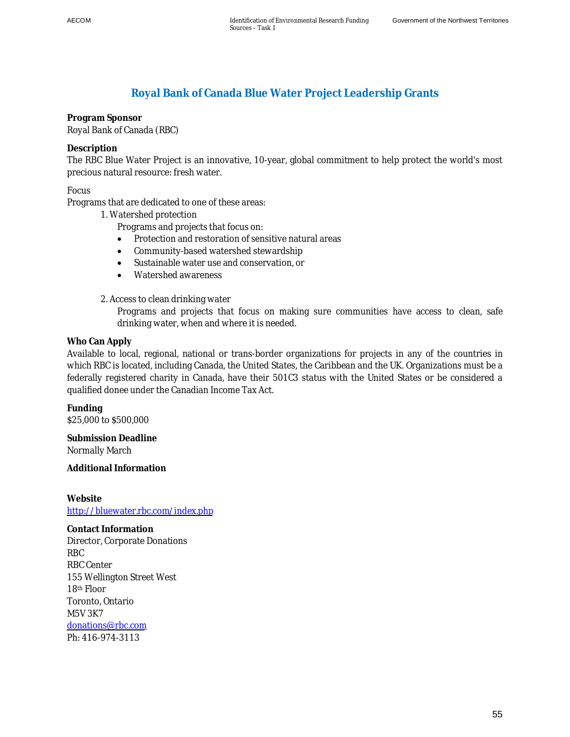## **Royal Bank of Canada Blue Water Project Leadership Grants**

**Program Sponsor**  Royal Bank of Canada (RBC)

**Description** 

The RBC Blue Water Project is an innovative, 10-year, global commitment to help protect the world's most precious natural resource: fresh water.

Focus

Programs that are dedicated to one of these areas:

1. Watershed protection

Programs and projects that focus on:

- Protection and restoration of sensitive natural areas
- Community-based watershed stewardship
- Sustainable water use and conservation, or
- Watershed awareness

2. Access to clean drinking water

Programs and projects that focus on making sure communities have access to clean, safe drinking water, when and where it is needed.

**Who Can Apply** 

Available to local, regional, national or trans-border organizations for projects in any of the countries in which RBC is located, including Canada, the United States, the Caribbean and the UK. Organizations must be a federally registered charity in Canada, have their 501C3 status with the United States or be considered a qualified donee under the Canadian Income Tax Act.

**Funding**  \$25,000 to \$500,000

**Submission Deadline**  Normally March

**Additional Information** 

**Website**  <http://bluewater.rbc.com/index.php>

**Contact Information**  Director, Corporate Donations RBC RBC Center 155 Wellington Street West 18th Floor Toronto, Ontario M5V 3K7 [donations@rbc.com](mailto:donations@rbc.com) Ph: 416-974-3113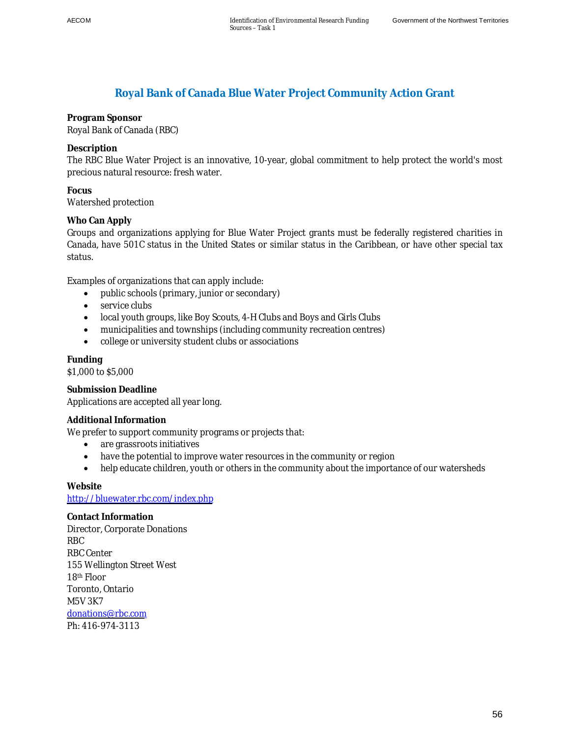## **Royal Bank of Canada Blue Water Project Community Action Grant**

**Program Sponsor**  Royal Bank of Canada (RBC)

**Description** 

The RBC Blue Water Project is an innovative, 10-year, global commitment to help protect the world's most precious natural resource: fresh water.

**Focus**  Watershed protection

**Who Can Apply** 

Groups and organizations applying for Blue Water Project grants must be federally registered charities in Canada, have 501C status in the United States or similar status in the Caribbean, or have other special tax status.

Examples of organizations that can apply include:

- $\bullet$  public schools (primary, junior or secondary)
- $\bullet$  service clubs
- local youth groups, like Boy Scouts, 4-H Clubs and Boys and Girls Clubs
- municipalities and townships (including community recreation centres)
- college or university student clubs or associations

**Funding**  \$1,000 to \$5,000

**Submission Deadline**  Applications are accepted all year long.

**Additional Information** 

We prefer to support community programs or projects that:

- are grassroots initiatives
- have the potential to improve water resources in the community or region
- help educate children, youth or others in the community about the importance of our watersheds

**Website**  <http://bluewater.rbc.com/index.php>

**Contact Information**  Director, Corporate Donations RBC RBC Center 155 Wellington Street West 18th Floor Toronto, Ontario M5V 3K7 [donations@rbc.com](mailto:donations@rbc.com) Ph: 416-974-3113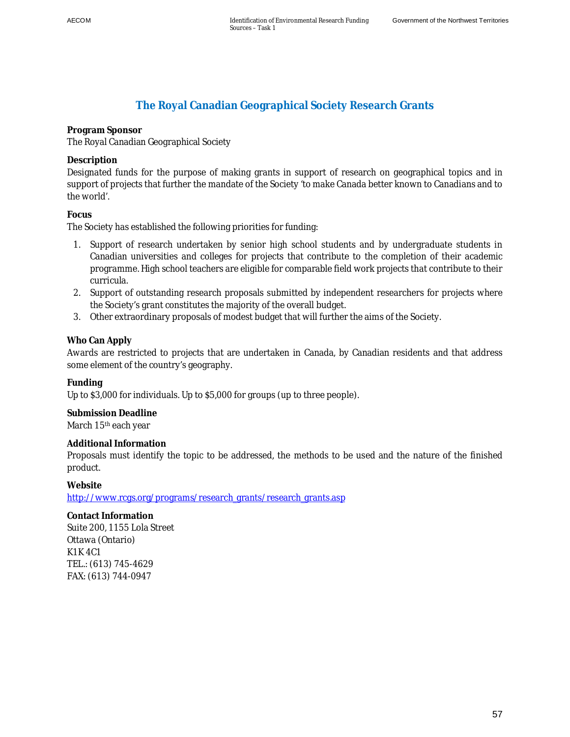# **The Royal Canadian Geographical Society Research Grants**

**Program Sponsor** 

The Royal Canadian Geographical Society

**Description** 

Designated funds for the purpose of making grants in support of research on geographical topics and in support of projects that further the mandate of the Society 'to make Canada better known to Canadians and to the world'.

**Focus** 

The Society has established the following priorities for funding:

- 1. Support of research undertaken by senior high school students and by undergraduate students in Canadian universities and colleges for projects that contribute to the completion of their academic programme. High school teachers are eligible for comparable field work projects that contribute to their curricula.
- 2. Support of outstanding research proposals submitted by independent researchers for projects where the Society's grant constitutes the majority of the overall budget.
- 3. Other extraordinary proposals of modest budget that will further the aims of the Society.

## **Who Can Apply**

Awards are restricted to projects that are undertaken in Canada, by Canadian residents and that address some element of the country's geography.

**Funding** 

Up to \$3,000 for individuals. Up to \$5,000 for groups (up to three people).

**Submission Deadline**  March 15<sup>th</sup> each year

**Additional Information** 

Proposals must identify the topic to be addressed, the methods to be used and the nature of the finished product.

**Website** 

http://www.rcgs.org/programs/research\_grants/research\_grants.asp

**Contact Information**  Suite 200, 1155 Lola Street Ottawa (Ontario) K1K 4C1 TEL.: (613) 745-4629 FAX: (613) 744-0947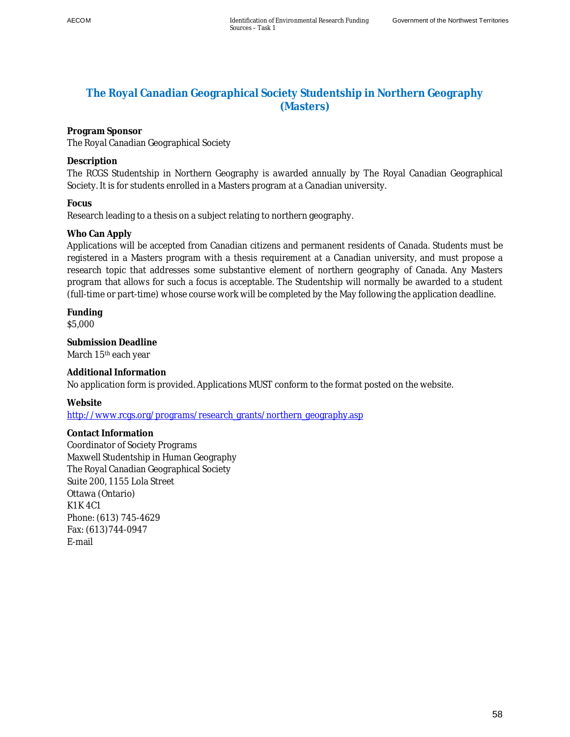## **The Royal Canadian Geographical Society Studentship in Northern Geography (Masters)**

**Program Sponsor**  The Royal Canadian Geographical Society

**Description** 

The RCGS Studentship in Northern Geography is awarded annually by The Royal Canadian Geographical Society. It is for students enrolled in a Masters program at a Canadian university.

**Focus** 

Research leading to a thesis on a subject relating to northern geography.

**Who Can Apply** 

Applications will be accepted from Canadian citizens and permanent residents of Canada. Students must be registered in a Masters program with a thesis requirement at a Canadian university, and must propose a research topic that addresses some substantive element of northern geography of Canada. Any Masters program that allows for such a focus is acceptable. The Studentship will normally be awarded to a student (full-time or part-time) whose course work will be completed by the May following the application deadline.

**Funding**  \$5,000

**Submission Deadline**  March 15<sup>th</sup> each year

**Additional Information**  No application form is provided. Applications MUST conform to the format posted on the website.

**Website** 

http://www.rcgs.org/programs/research\_grants/northern\_geography.asp

**Contact Information**  Coordinator of Society Programs Maxwell Studentship in Human Geography The Royal Canadian Geographical Society Suite 200, 1155 Lola Street Ottawa (Ontario) K1K 4C1 Phone: (613) 745-4629 Fax: (613)744-0947 E-mail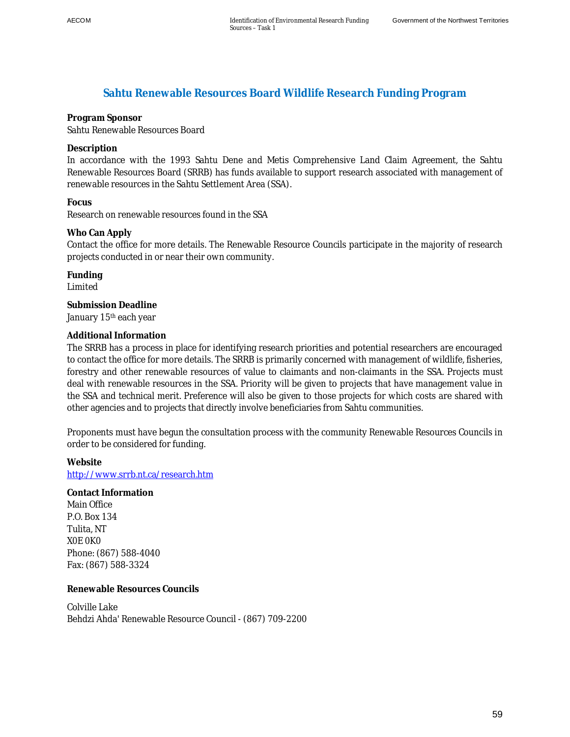## **Sahtu Renewable Resources Board Wildlife Research Funding Program**

**Program Sponsor**  Sahtu Renewable Resources Board

**Description** 

In accordance with the 1993 Sahtu Dene and Metis Comprehensive Land Claim Agreement, the Sahtu Renewable Resources Board (SRRB) has funds available to support research associated with management of renewable resources in the Sahtu Settlement Area (SSA).

```
Focus
```
Research on renewable resources found in the SSA

**Who Can Apply** 

Contact the office for more details. The Renewable Resource Councils participate in the majority of research projects conducted in or near their own community.

**Funding**  Limited

**Submission Deadline**  January 15th each year

### **Additional Information**

The SRRB has a process in place for identifying research priorities and potential researchers are encouraged to contact the office for more details. The SRRB is primarily concerned with management of wildlife, fisheries, forestry and other renewable resources of value to claimants and non-claimants in the SSA. Projects must deal with renewable resources in the SSA. Priority will be given to projects that have management value in the SSA and technical merit. Preference will also be given to those projects for which costs are shared with other agencies and to projects that directly involve beneficiaries from Sahtu communities.

Proponents must have begun the consultation process with the community Renewable Resources Councils in order to be considered for funding.

**Website**  http://www.srrb.nt.ca/research.htm

**Contact Information**  Main Office P.O. Box 134 Tulita, NT X0E 0K0 Phone: (867) 588-4040 Fax: (867) 588-3324

**Renewable Resources Councils** 

Colville Lake Behdzi Ahda' Renewable Resource Council - (867) 709-2200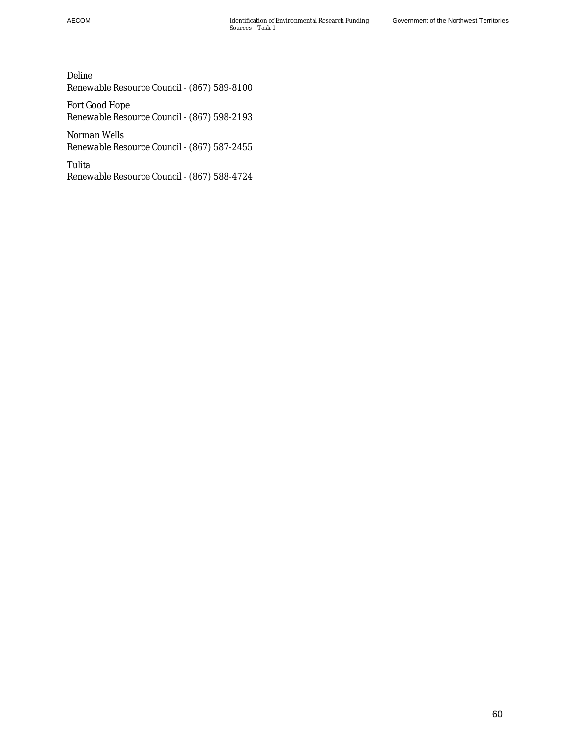Deline Renewable Resource Council - (867) 589-8100

Fort Good Hope Renewable Resource Council - (867) 598-2193

Norman Wells Renewable Resource Council - (867) 587-2455

Tulita Renewable Resource Council - (867) 588-4724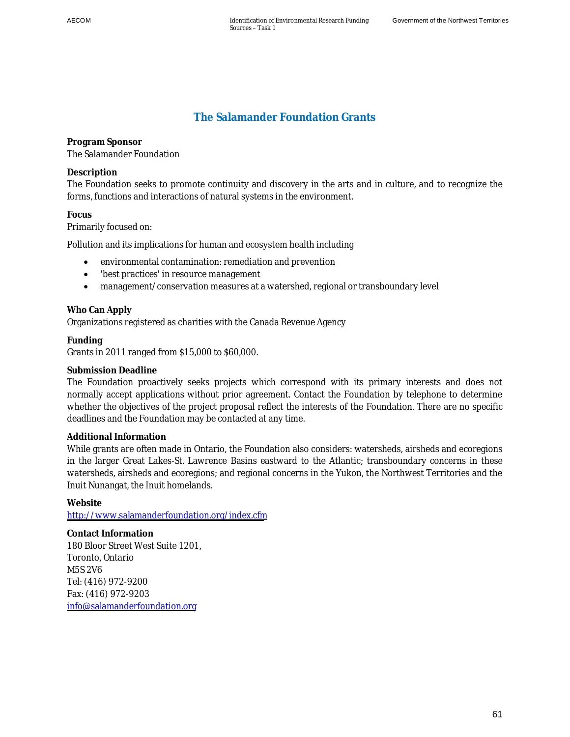# **The Salamander Foundation Grants**

**Program Sponsor**  The Salamander Foundation

### **Description**

The Foundation seeks to promote continuity and discovery in the arts and in culture, and to recognize the forms, functions and interactions of natural systems in the environment.

### **Focus**

Primarily focused on:

Pollution and its implications for human and ecosystem health including

- environmental contamination: remediation and prevention
- 'best practices' in resource management
- management/conservation measures at a watershed, regional or transboundary level

#### **Who Can Apply**

Organizations registered as charities with the Canada Revenue Agency

#### **Funding**

Grants in 2011 ranged from \$15,000 to \$60,000.

#### **Submission Deadline**

The Foundation proactively seeks projects which correspond with its primary interests and does not normally accept applications without prior agreement. Contact the Foundation by telephone to determine whether the objectives of the project proposal reflect the interests of the Foundation. There are no specific deadlines and the Foundation may be contacted at any time.

#### **Additional Information**

While grants are often made in Ontario, the Foundation also considers: watersheds, airsheds and ecoregions in the larger Great Lakes-St. Lawrence Basins eastward to the Atlantic; transboundary concerns in these watersheds, airsheds and ecoregions; and regional concerns in the Yukon, the Northwest Territories and the Inuit Nunangat, the Inuit homelands.

#### **Website**

<http://www.salamanderfoundation.org/index.cfm>

**Contact Information**  180 Bloor Street West Suite 1201, Toronto, Ontario M5S 2V6 Tel: (416) 972-9200 Fax: (416) 972-9203 [info@salamanderfoundation.org](mailto:info@salamanderfoundation.org)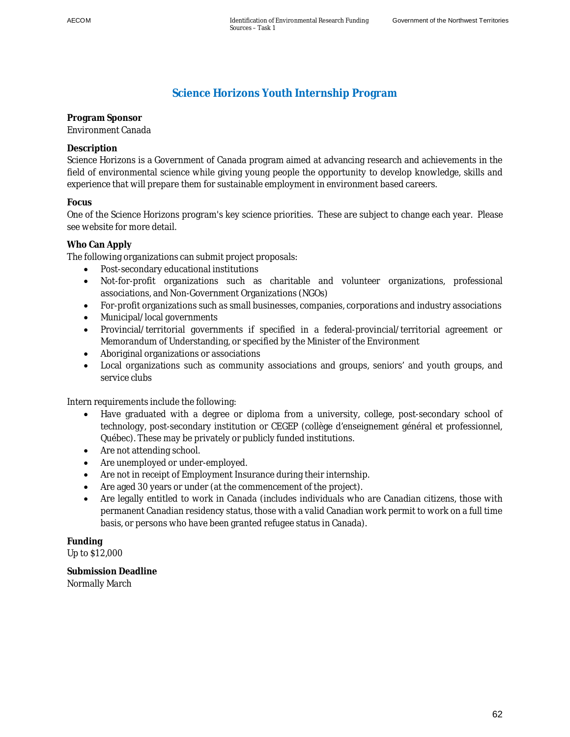## **Science Horizons Youth Internship Program**

**Program Sponsor**  Environment Canada

## **Description**

Science Horizons is a Government of Canada program aimed at advancing research and achievements in the field of environmental science while giving young people the opportunity to develop knowledge, skills and experience that will prepare them for sustainable employment in environment based careers.

## **Focus**

One of the Science Horizons program's key science priorities. These are subject to change each year. Please see website for more detail.

### **Who Can Apply**

The following organizations can submit project proposals:

- Post-secondary educational institutions
- Not-for-profit organizations such as charitable and volunteer organizations, professional associations, and Non-Government Organizations (NGOs)
- For-profit organizations such as small businesses, companies, corporations and industry associations
- Municipal/local governments
- x Provincial/territorial governments if specified in a federal-provincial/territorial agreement or Memorandum of Understanding, or specified by the Minister of the Environment
- Aboriginal organizations or associations
- Local organizations such as community associations and groups, seniors' and youth groups, and service clubs

Intern requirements include the following:

- Have graduated with a degree or diploma from a university, college, post-secondary school of technology, post-secondary institution or CEGEP (collège d'enseignement général et professionnel, Québec). These may be privately or publicly funded institutions.
- Are not attending school.
- Are unemployed or under-employed.
- Are not in receipt of Employment Insurance during their internship.
- Are aged 30 years or under (at the commencement of the project).
- Are legally entitled to work in Canada (includes individuals who are Canadian citizens, those with permanent Canadian residency status, those with a valid Canadian work permit to work on a full time basis, or persons who have been granted refugee status in Canada).

**Funding**  Up to \$12,000

**Submission Deadline**  Normally March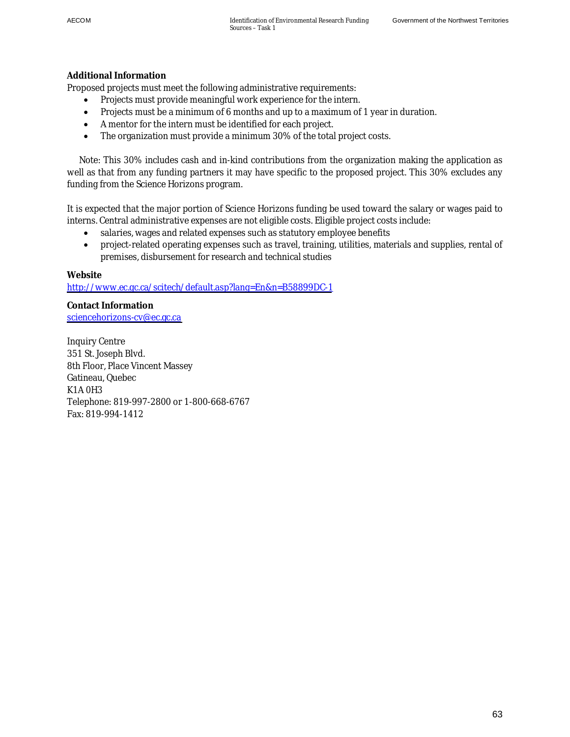#### **Additional Information**

Proposed projects must meet the following administrative requirements:

- Projects must provide meaningful work experience for the intern.
- Projects must be a minimum of 6 months and up to a maximum of 1 year in duration.
- A mentor for the intern must be identified for each project.
- The organization must provide a minimum 30% of the total project costs.

 Note: This 30% includes cash and in-kind contributions from the organization making the application as well as that from any funding partners it may have specific to the proposed project. This 30% excludes any funding from the Science Horizons program.

It is expected that the major portion of Science Horizons funding be used toward the salary or wages paid to interns. Central administrative expenses are not eligible costs. Eligible project costs include:

- salaries, wages and related expenses such as statutory employee benefits
- project-related operating expenses such as travel, training, utilities, materials and supplies, rental of premises, disbursement for research and technical studies

#### **Website**

<http://www.ec.gc.ca/scitech/default.asp?lang=En&n=B58899DC-1>

**Contact Information**  [sciencehorizons-cv@ec.gc.ca](mailto:sciencehorizons-cv@ec.gc.ca)

Inquiry Centre 351 St. Joseph Blvd. 8th Floor, Place Vincent Massey Gatineau, Quebec K1A 0H3 Telephone: 819-997-2800 or 1-800-668-6767 Fax: 819-994-1412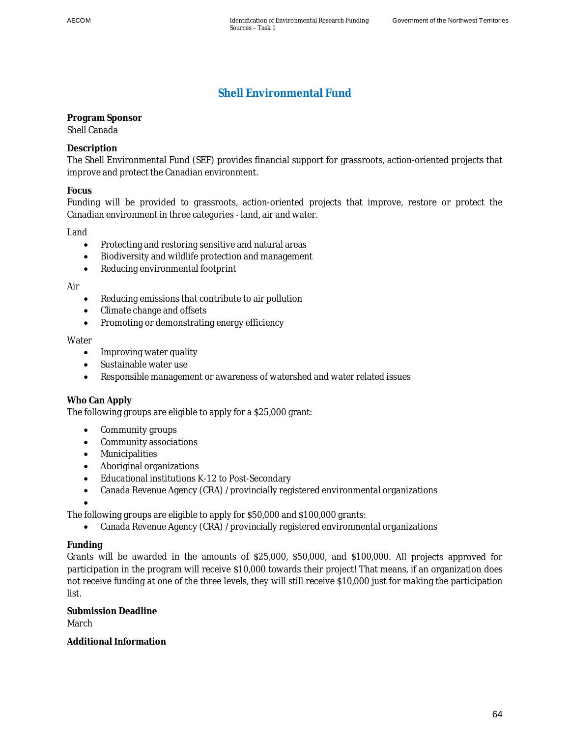# **Shell Environmental Fund**

**Program Sponsor**  Shell Canada

**Description** 

The Shell Environmental Fund (SEF) provides financial support for grassroots, action-oriented projects that improve and protect the Canadian environment.

**Focus** 

Funding will be provided to grassroots, action-oriented projects that improve, restore or protect the Canadian environment in three categories - land, air and water.

Land

- Protecting and restoring sensitive and natural areas
- Biodiversity and wildlife protection and management
- Reducing environmental footprint

Air

- $\bullet$  Reducing emissions that contribute to air pollution
- Climate change and offsets
- Promoting or demonstrating energy efficiency

#### **Water**

- Improving water quality
- Sustainable water use
- Responsible management or awareness of watershed and water related issues

#### **Who Can Apply**

The following groups are eligible to apply for a \$25,000 grant:

- Community groups
- Community associations
- Municipalities
- Aboriginal organizations
- Educational institutions K-12 to Post-Secondary
- Canada Revenue Agency (CRA) /provincially registered environmental organizations

The following groups are eligible to apply for \$50,000 and \$100,000 grants:

• Canada Revenue Agency (CRA) /provincially registered environmental organizations

#### **Funding**

 $\bullet$ 

Grants will be awarded in the amounts of \$25,000, \$50,000, and \$100,000. All projects approved for participation in the program will receive \$10,000 towards their project! That means, if an organization does not receive funding at one of the three levels, they will still receive \$10,000 just for making the participation list.

**Submission Deadline**  March

**Additional Information**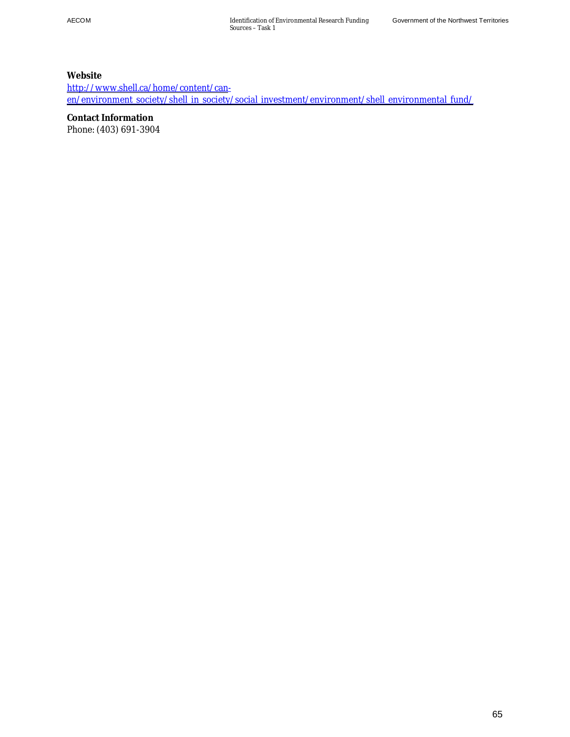**Website**  [http://www.shell.ca/home/content/can](http://www.shell.ca/home/content/can-en/environment_society/shell_in_society/social_investment/environment/shell_environmental_fund/)[en/environment\\_society/shell\\_in\\_society/social\\_investment/environment/shell\\_environmental\\_fund/](http://www.shell.ca/home/content/can-en/environment_society/shell_in_society/social_investment/environment/shell_environmental_fund/)

**Contact Information**  Phone: (403) 691-3904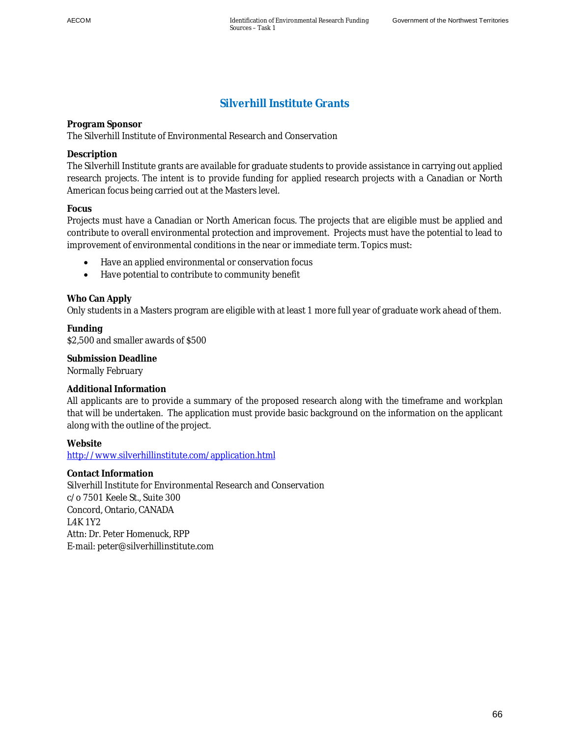# **Silverhill Institute Grants**

**Program Sponsor**  The Silverhill Institute of Environmental Research and Conservation

#### **Description**

The Silverhill Institute grants are available for graduate students to provide assistance in carrying out applied research projects. The intent is to provide funding for applied research projects with a Canadian or North American focus being carried out at the Masters level.

#### **Focus**

Projects must have a Canadian or North American focus. The projects that are eligible must be applied and contribute to overall environmental protection and improvement. Projects must have the potential to lead to improvement of environmental conditions in the near or immediate term. Topics must:

- Have an applied environmental or conservation focus
- Have potential to contribute to community benefit

#### **Who Can Apply**

Only students in a Masters program are eligible with at least 1 more full year of graduate work ahead of them.

**Funding**  \$2,500 and smaller awards of \$500

**Submission Deadline**  Normally February

#### **Additional Information**

All applicants are to provide a summary of the proposed research along with the timeframe and workplan that will be undertaken. The application must provide basic background on the information on the applicant along with the outline of the project.

**Website**  http://www.silverhillinstitute.com/application.html

**Contact Information**  Silverhill Institute for Environmental Research and Conservation c/o 7501 Keele St., Suite 300 Concord, Ontario, CANADA L4K 1Y2 Attn: Dr. Peter Homenuck, RPP E-mail: peter@silverhillinstitute.com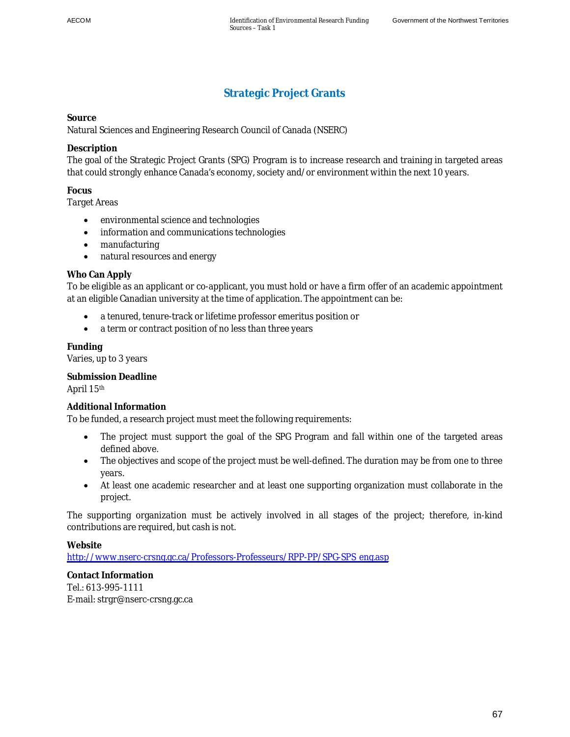# **Strategic Project Grants**

#### **Source**

Natural Sciences and Engineering Research Council of Canada (NSERC)

#### **Description**

The goal of the Strategic Project Grants (SPG) Program is to increase research and training in targeted areas that could strongly enhance Canada's economy, society and/or environment within the next 10 years.

#### **Focus**

Target Areas

- environmental science and technologies
- information and communications technologies
- $\bullet$  manufacturing
- natural resources and energy

#### **Who Can Apply**

To be eligible as an applicant or co-applicant, you must hold or have a firm offer of an academic appointment at an eligible Canadian university at the time of application. The appointment can be:

- a tenured, tenure-track or lifetime professor emeritus position or
- a term or contract position of no less than three years

**Funding** 

Varies, up to 3 years

**Submission Deadline**  April 15th

#### **Additional Information**

To be funded, a research project must meet the following requirements:

- The project must support the goal of the SPG Program and fall within one of the targeted areas defined above.
- The objectives and scope of the project must be well-defined. The duration may be from one to three years.
- At least one academic researcher and at least one supporting organization must collaborate in the project.

The supporting organization must be actively involved in all stages of the project; therefore, in-kind contributions are required, but cash is not.

**Website** 

[http://www.nserc-crsng.gc.ca/Professors-Professeurs/RPP-PP/SPG-SPS\\_eng.asp](http://www.nserc-crsng.gc.ca/Professors-Professeurs/RPP-PP/SPG-SPS_eng.asp)

**Contact Information**  Tel.: 613-995-1111 E-mail: strgr@nserc-crsng.gc.ca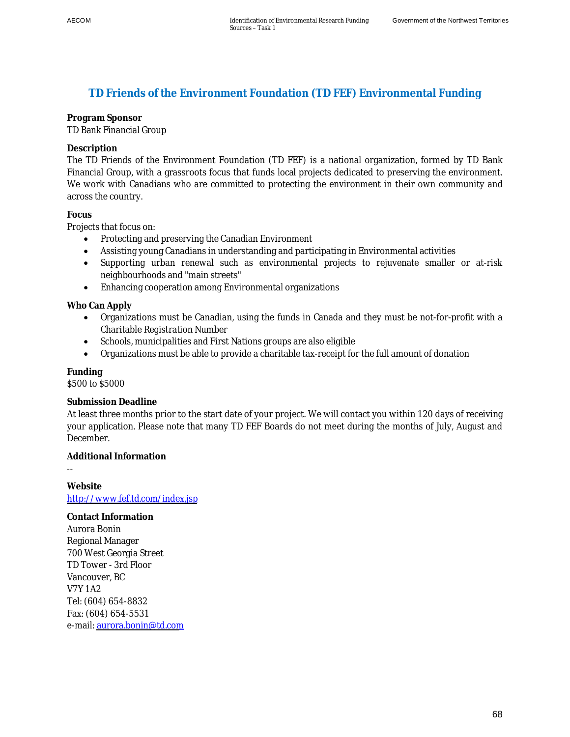### **TD Friends of the Environment Foundation (TD FEF) Environmental Funding**

#### **Program Sponsor**  TD Bank Financial Group

# **Description**

The TD Friends of the Environment Foundation (TD FEF) is a national organization, formed by TD Bank Financial Group, with a grassroots focus that funds local projects dedicated to preserving the environment. We work with Canadians who are committed to protecting the environment in their own community and across the country.

#### **Focus**

Projects that focus on:

- Protecting and preserving the Canadian Environment
- Assisting young Canadians in understanding and participating in Environmental activities
- Supporting urban renewal such as environmental projects to rejuvenate smaller or at-risk neighbourhoods and "main streets"
- Enhancing cooperation among Environmental organizations

**Who Can Apply** 

- Organizations must be Canadian, using the funds in Canada and they must be not-for-profit with a Charitable Registration Number
- Schools, municipalities and First Nations groups are also eligible
- Organizations must be able to provide a charitable tax-receipt for the full amount of donation

# **Funding**

--

\$500 to \$5000

#### **Submission Deadline**

At least three months prior to the start date of your project. We will contact you within 120 days of receiving your application. Please note that many TD FEF Boards do not meet during the months of July, August and December.

**Additional Information** 

**Website**  <http://www.fef.td.com/index.jsp>

**Contact Information**  Aurora Bonin Regional Manager 700 West Georgia Street TD Tower - 3rd Floor Vancouver, BC V7Y 1A2 Tel: (604) 654-8832 Fax: (604) 654-5531 e-mail: [aurora.bonin@td.com](mailto:aurora.bonin@td.com)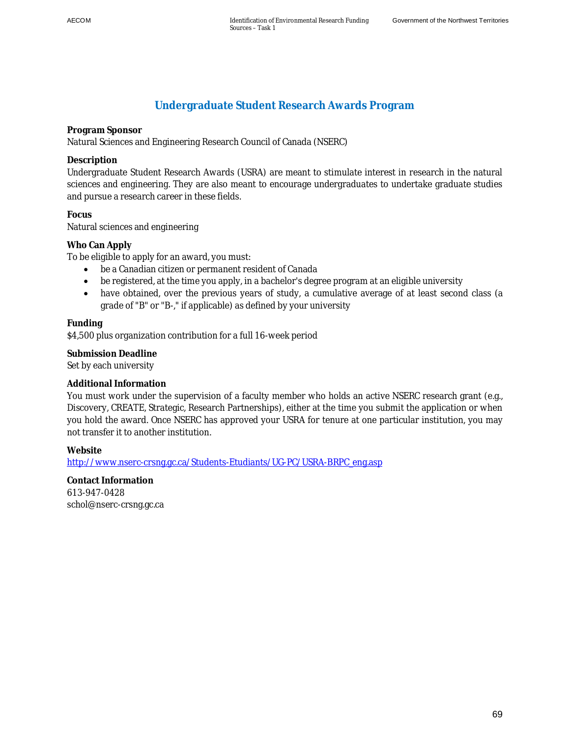# **Undergraduate Student Research Awards Program**

**Program Sponsor** 

Natural Sciences and Engineering Research Council of Canada (NSERC)

#### **Description**

Undergraduate Student Research Awards (USRA) are meant to stimulate interest in research in the natural sciences and engineering. They are also meant to encourage undergraduates to undertake graduate studies and pursue a research career in these fields.

**Focus**  Natural sciences and engineering

#### **Who Can Apply**

To be eligible to apply for an award, you must:

- be a Canadian citizen or permanent resident of Canada
- be registered, at the time you apply, in a bachelor's degree program at an eligible university
- have obtained, over the previous years of study, a cumulative average of at least second class (a grade of "B" or "B-," if applicable) as defined by your university

#### **Funding**

\$4,500 plus organization contribution for a full 16-week period

**Submission Deadline**  Set by each university

#### **Additional Information**

You must work under the supervision of a faculty member who holds an active NSERC research grant (e.g., Discovery, CREATE, Strategic, Research Partnerships), either at the time you submit the application or when you hold the award. Once NSERC has approved your USRA for tenure at one particular institution, you may not transfer it to another institution.

**Website** 

http://www.nserc-crsng.gc.ca/Students-Etudiants/UG-PC/USRA-BRPC\_eng.asp

**Contact Information**  613-947-0428 schol@nserc-crsng.gc.ca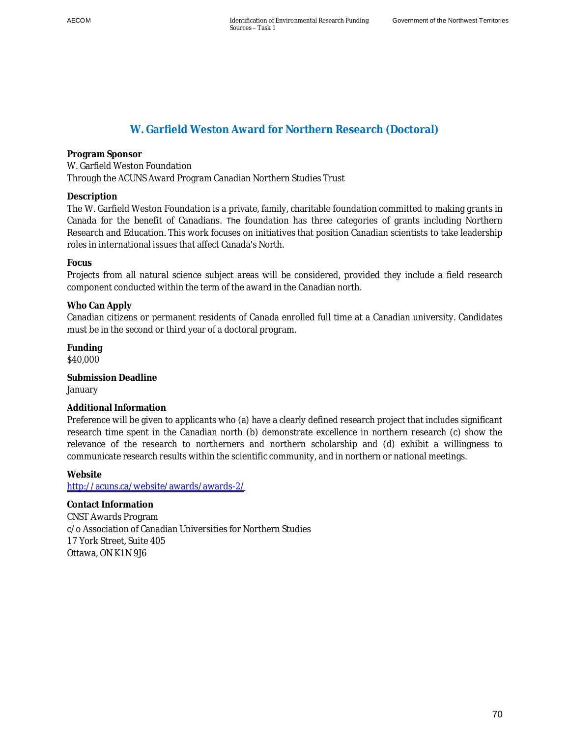# **W. Garfield Weston Award for Northern Research (Doctoral)**

**Program Sponsor**  W. Garfield Weston Foundation Through the ACUNS Award Program Canadian Northern Studies Trust

**Description** 

The W. Garfield Weston Foundation is a private, family, charitable foundation committed to making grants in Canada for the benefit of Canadians. The foundation has three categories of grants including Northern Research and Education. This work focuses on initiatives that position Canadian scientists to take leadership roles in international issues that affect Canada's North.

#### **Focus**

Projects from all natural science subject areas will be considered, provided they include a field research component conducted within the term of the award in the Canadian north.

#### **Who Can Apply**

Canadian citizens or permanent residents of Canada enrolled full time at a Canadian university. Candidates must be in the second or third year of a doctoral program.

**Funding**  \$40,000

**Submission Deadline**  January

#### **Additional Information**

Preference will be given to applicants who (a) have a clearly defined research project that includes significant research time spent in the Canadian north (b) demonstrate excellence in northern research (c) show the relevance of the research to northerners and northern scholarship and (d) exhibit a willingness to communicate research results within the scientific community, and in northern or national meetings.

**Website** 

<http://acuns.ca/website/awards/awards-2/>

**Contact Information**  CNST Awards Program c/o Association of Canadian Universities for Northern Studies 17 York Street, Suite 405 Ottawa, ON K1N 9J6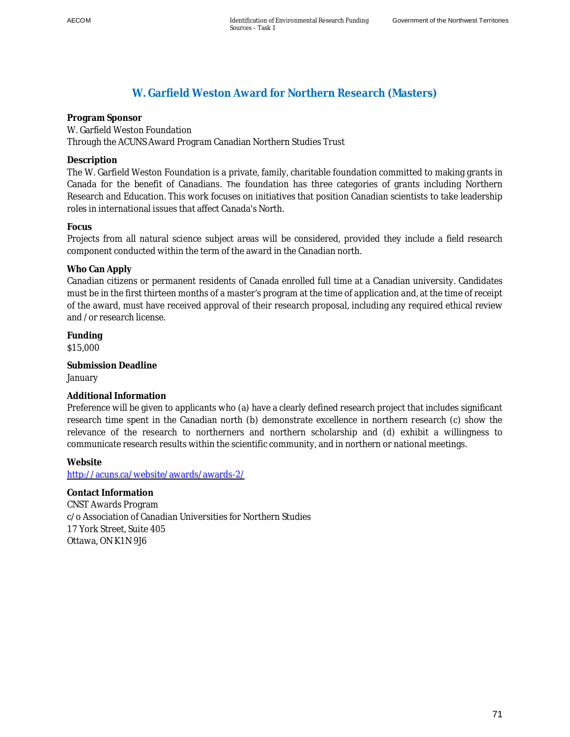### **W. Garfield Weston Award for Northern Research (Masters)**

**Program Sponsor**  W. Garfield Weston Foundation Through the ACUNS Award Program Canadian Northern Studies Trust

**Description** 

The W. Garfield Weston Foundation is a private, family, charitable foundation committed to making grants in Canada for the benefit of Canadians. The foundation has three categories of grants including Northern Research and Education. This work focuses on initiatives that position Canadian scientists to take leadership roles in international issues that affect Canada's North.

#### **Focus**

Projects from all natural science subject areas will be considered, provided they include a field research component conducted within the term of the award in the Canadian north.

#### **Who Can Apply**

Canadian citizens or permanent residents of Canada enrolled full time at a Canadian university. Candidates must be in the first thirteen months of a master's program at the time of application and, at the time of receipt of the award, must have received approval of their research proposal, including any required ethical review and /or research license.

**Funding**  \$15,000

**Submission Deadline**  January

#### **Additional Information**

Preference will be given to applicants who (a) have a clearly defined research project that includes significant research time spent in the Canadian north (b) demonstrate excellence in northern research (c) show the relevance of the research to northerners and northern scholarship and (d) exhibit a willingness to communicate research results within the scientific community, and in northern or national meetings.

#### **Website**  <http://acuns.ca/website/awards/awards-2/>

**Contact Information**  CNST Awards Program c/o Association of Canadian Universities for Northern Studies 17 York Street, Suite 405 Ottawa, ON K1N 9J6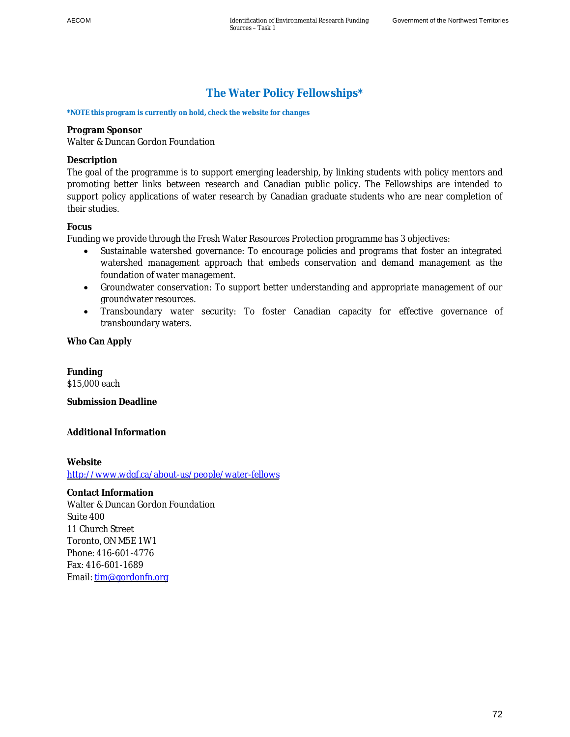# **The Water Policy Fellowships\***

**\*NOTE this program is currently on hold, check the website for changes**

**Program Sponsor**  Walter & Duncan Gordon Foundation

#### **Description**

The goal of the programme is to support emerging leadership, by linking students with policy mentors and promoting better links between research and Canadian public policy. The Fellowships are intended to support policy applications of water research by Canadian graduate students who are near completion of their studies.

#### **Focus**

Funding we provide through the Fresh Water Resources Protection programme has 3 objectives:

- Sustainable watershed governance: To encourage policies and programs that foster an integrated watershed management approach that embeds conservation and demand management as the foundation of water management.
- Groundwater conservation: To support better understanding and appropriate management of our groundwater resources.
- Transboundary water security: To foster Canadian capacity for effective governance of transboundary waters.

**Who Can Apply** 

**Funding**  \$15,000 each

**Submission Deadline** 

**Additional Information** 

**Website**  <http://www.wdgf.ca/about-us/people/water-fellows>

**Contact Information**  Walter & Duncan Gordon Foundation Suite 400 11 Church Street Toronto, ON M5E 1W1 Phone: 416-601-4776 Fax: 416-601-1689 Email: [tim@gordonfn.org](mailto:tim@gordonfn.org)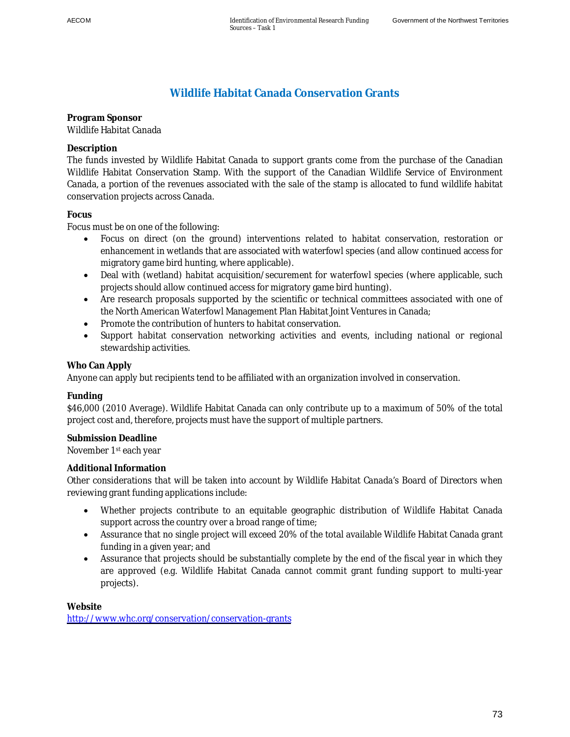### **Wildlife Habitat Canada Conservation Grants**

**Program Sponsor**  Wildlife Habitat Canada

**Description** 

The funds invested by Wildlife Habitat Canada to support grants come from the purchase of the Canadian Wildlife Habitat Conservation Stamp. With the support of the Canadian Wildlife Service of Environment Canada, a portion of the revenues associated with the sale of the stamp is allocated to fund wildlife habitat conservation projects across Canada.

#### **Focus**

Focus must be on one of the following:

- Focus on direct (on the ground) interventions related to habitat conservation, restoration or enhancement in wetlands that are associated with waterfowl species (and allow continued access for migratory game bird hunting, where applicable).
- Deal with (wetland) habitat acquisition/securement for waterfowl species (where applicable, such projects should allow continued access for migratory game bird hunting).
- Are research proposals supported by the scientific or technical committees associated with one of the North American Waterfowl Management Plan Habitat Joint Ventures in Canada;
- Promote the contribution of hunters to habitat conservation.
- Support habitat conservation networking activities and events, including national or regional stewardship activities.

#### **Who Can Apply**

Anyone can apply but recipients tend to be affiliated with an organization involved in conservation.

#### **Funding**

\$46,000 (2010 Average). Wildlife Habitat Canada can only contribute up to a maximum of 50% of the total project cost and, therefore, projects must have the support of multiple partners.

#### **Submission Deadline**  November 1st each year

#### **Additional Information**

Other considerations that will be taken into account by Wildlife Habitat Canada's Board of Directors when reviewing grant funding applications include:

- Whether projects contribute to an equitable geographic distribution of Wildlife Habitat Canada support across the country over a broad range of time;
- Assurance that no single project will exceed 20% of the total available Wildlife Habitat Canada grant funding in a given year; and
- Assurance that projects should be substantially complete by the end of the fiscal year in which they are approved (e.g. Wildlife Habitat Canada cannot commit grant funding support to multi-year projects).

**Website**  <http://www.whc.org/conservation/conservation-grants>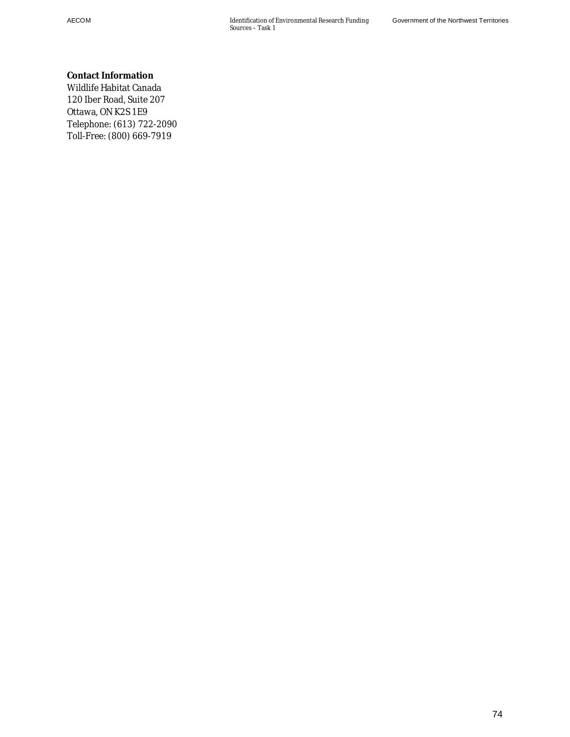**Contact Information**  Wildlife Habitat Canada 120 Iber Road, Suite 207 Ottawa, ON K2S 1E9 Telephone: (613) 722-2090 Toll-Free: (800) 669-7919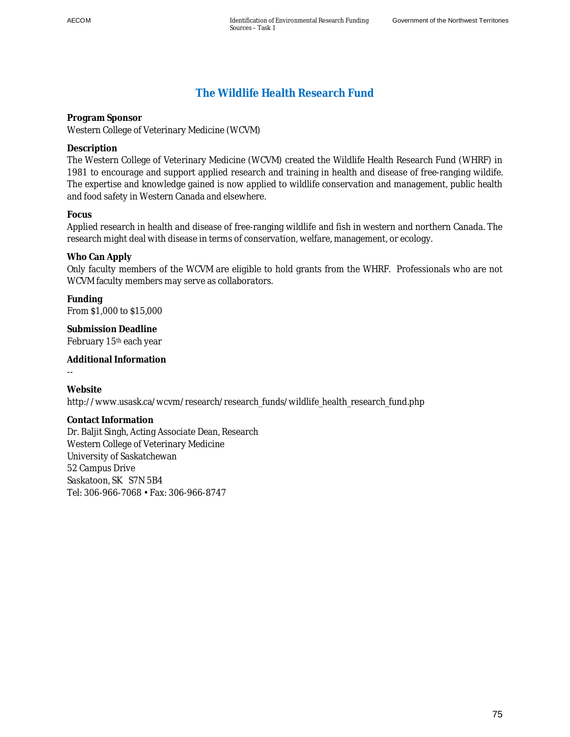## **The Wildlife Health Research Fund**

**Program Sponsor**  Western College of Veterinary Medicine (WCVM)

**Description** 

The Western College of Veterinary Medicine (WCVM) created the Wildlife Health Research Fund (WHRF) in 1981 to encourage and support applied research and training in health and disease of free-ranging wildife. The expertise and knowledge gained is now applied to wildlife conservation and management, public health and food safety in Western Canada and elsewhere.

**Focus** 

Applied research in health and disease of free-ranging wildlife and fish in western and northern Canada. The research might deal with disease in terms of conservation, welfare, management, or ecology.

**Who Can Apply** 

Only faculty members of the WCVM are eligible to hold grants from the WHRF. Professionals who are not WCVM faculty members may serve as collaborators.

**Funding**  From \$1,000 to \$15,000

**Submission Deadline**  February 15th each year

**Additional Information** 

--

**Website**  http://www.usask.ca/wcvm/research/research\_funds/wildlife\_health\_research\_fund.php

**Contact Information**  Dr. Baljit Singh, Acting Associate Dean, Research Western College of Veterinary Medicine University of Saskatchewan 52 Campus Drive Saskatoon, SK S7N 5B4 Tel: 306-966-7068 • Fax: 306-966-8747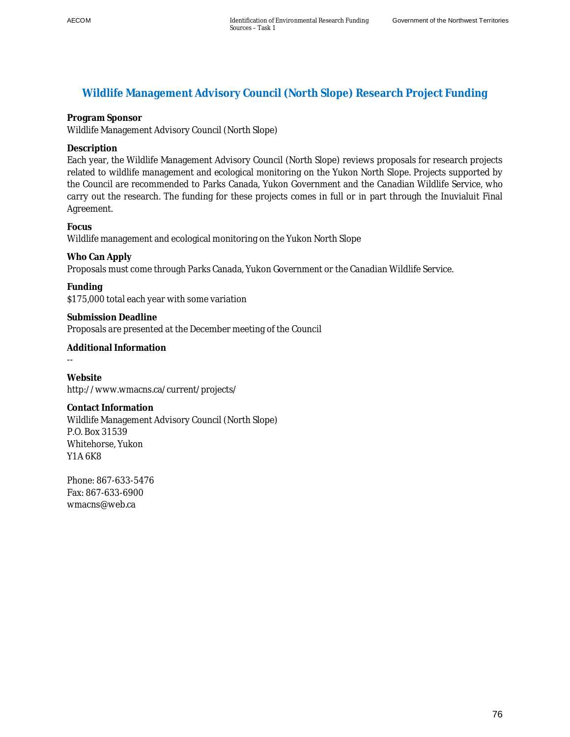### **Wildlife Management Advisory Council (North Slope) Research Project Funding**

**Program Sponsor** 

Wildlife Management Advisory Council (North Slope)

**Description** 

Each year, the Wildlife Management Advisory Council (North Slope) reviews proposals for research projects related to wildlife management and ecological monitoring on the Yukon North Slope. Projects supported by the Council are recommended to Parks Canada, Yukon Government and the Canadian Wildlife Service, who carry out the research. The funding for these projects comes in full or in part through the Inuvialuit Final Agreement.

**Focus**  Wildlife management and ecological monitoring on the Yukon North Slope

**Who Can Apply**  Proposals must come through Parks Canada, Yukon Government or the Canadian Wildlife Service.

**Funding**  \$175,000 total each year with some variation

**Submission Deadline**  Proposals are presented at the December meeting of the Council

**Additional Information** 

--

**Website**  http://www.wmacns.ca/current/projects/

**Contact Information**  Wildlife Management Advisory Council (North Slope) P.O. Box 31539 Whitehorse, Yukon Y1A 6K8

Phone: 867-633-5476 Fax: 867-633-6900 wmacns@web.ca